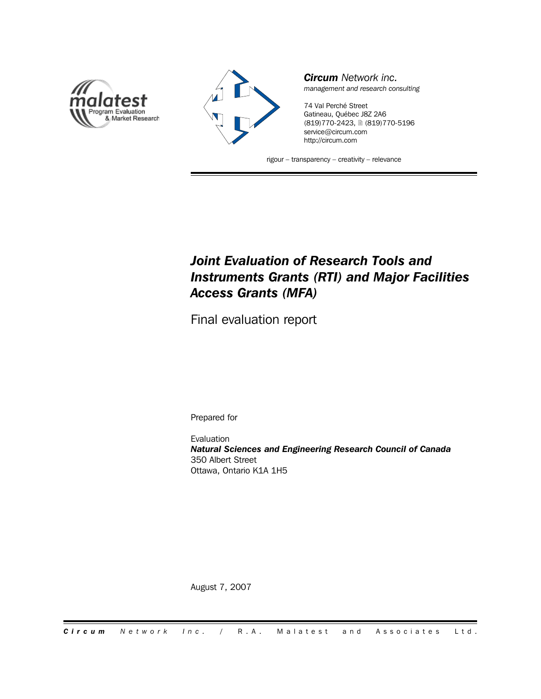



*Circum Network inc. management and research consulting*

74 Val Perché Street Gatineau, Québec J8Z 2A6 (819)770-2423, 2 (819)770-5196 [service@circum.com](mailto:service@circum.com) <http://circum.com>

rigour – transparency – creativity – relevance

# *Joint Evaluation of Research Tools and Instruments Grants (RTI) and Major Facilities Access Grants (MFA)*

Final evaluation report

Prepared for

Evaluation *Natural Sciences and Engineering Research Council of Canada* 350 Albert Street Ottawa, Ontario K1A 1H5

August 7, 2007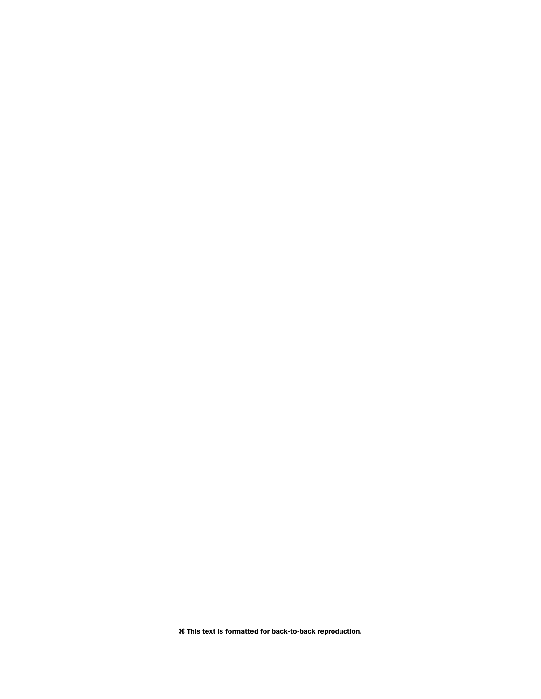**z This text is formatted for back-to-back reproduction.**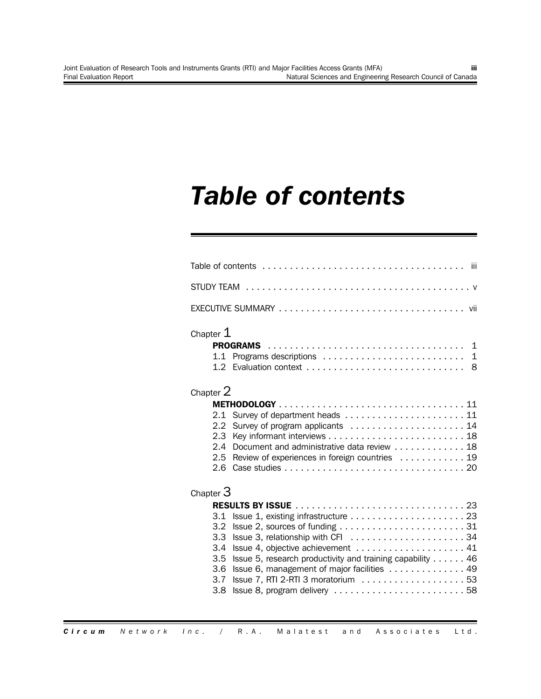# *Table of contents*

| Chapter $1$                                                                                                                                                                                                                                                       |
|-------------------------------------------------------------------------------------------------------------------------------------------------------------------------------------------------------------------------------------------------------------------|
| Chapter 2<br>2.1<br>2.2<br>2.3<br>Document and administrative data review 18<br>2.4<br>Review of experiences in foreign countries  19<br>$2.5^{\circ}$                                                                                                            |
| Chapter $3$<br>3.1<br>3.2 <sub>2</sub><br>3.3<br>3.4<br>Issue 5, research productivity and training capability 46<br>3.5<br>Issue 6, management of major facilities 49<br>3.6<br>Issue 7, RTI 2-RTI 3 moratorium 53<br>3.7<br>Issue 8, program delivery 58<br>3.8 |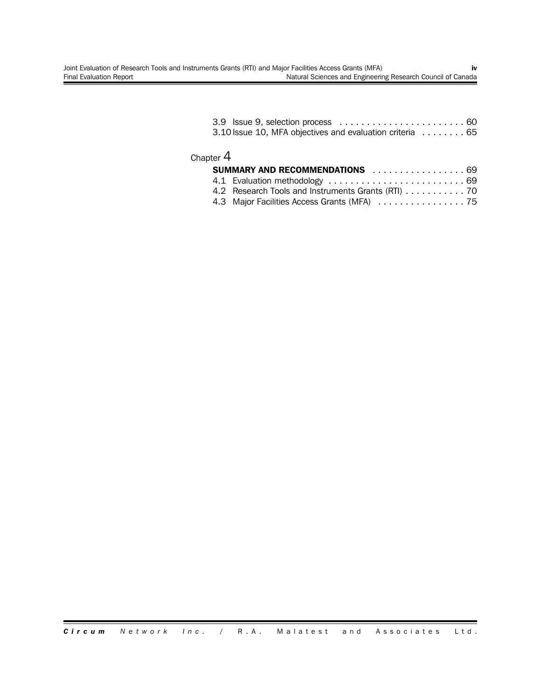| 3.10 Issue 10, MFA objectives and evaluation criteria 65 |  |
|----------------------------------------------------------|--|

# Chapter 4

| <b>SUMMARY AND RECOMMENDATIONS</b> 69              |  |
|----------------------------------------------------|--|
|                                                    |  |
| 4.2 Research Tools and Instruments Grants (RTI) 70 |  |
|                                                    |  |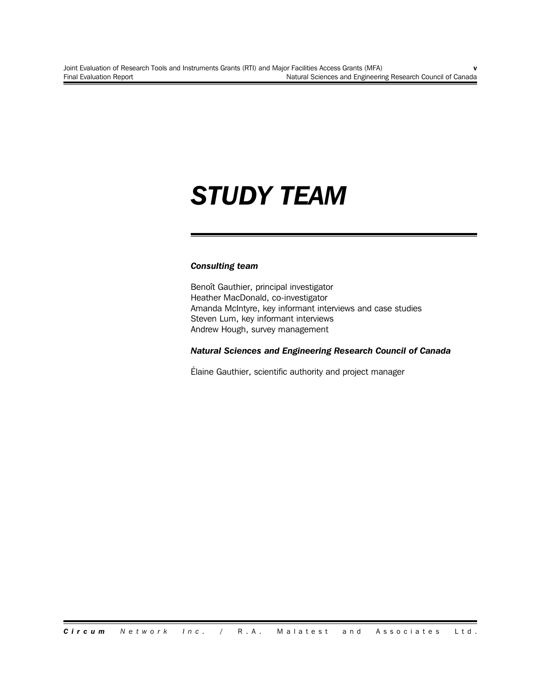# *STUDY TEAM*

### *Consulting team*

Benoît Gauthier, principal investigator Heather MacDonald, co-investigator Amanda McIntyre, key informant interviews and case studies Steven Lum, key informant interviews Andrew Hough, survey management

### *Natural Sciences and Engineering Research Council of Canada*

Élaine Gauthier, scientific authority and project manager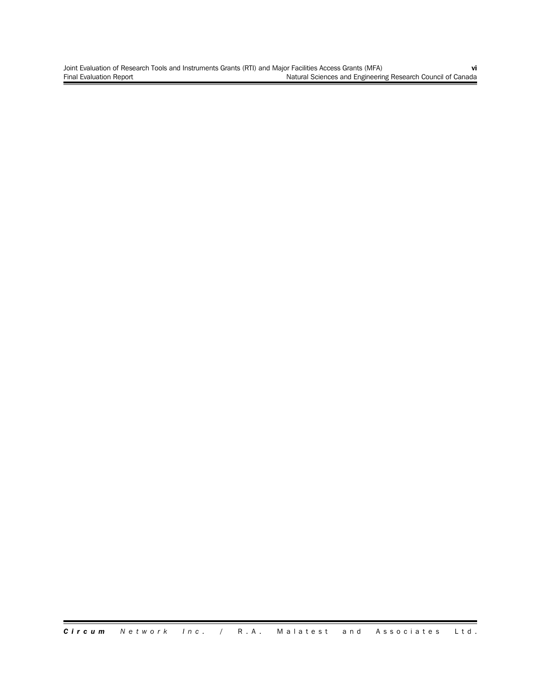Joint Evaluation of Research Tools and Instruments Grants (RTI) and Major Facilities Access Grants (MFA) **vi** Final Evaluation Report **Natural Sciences and Engineering Research Council of Canada**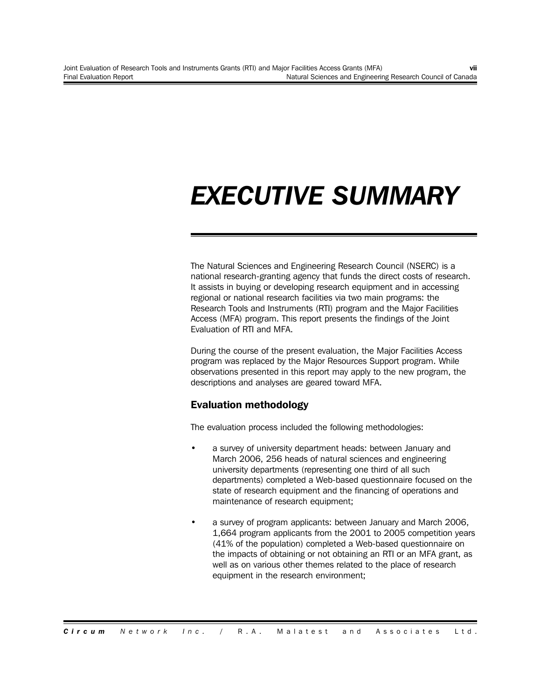# *EXECUTIVE SUMMARY*

The Natural Sciences and Engineering Research Council (NSERC) is a national research-granting agency that funds the direct costs of research. It assists in buying or developing research equipment and in accessing regional or national research facilities via two main programs: the Research Tools and Instruments (RTI) program and the Major Facilities Access (MFA) program. This report presents the findings of the Joint Evaluation of RTI and MFA.

During the course of the present evaluation, the Major Facilities Access program was replaced by the Major Resources Support program. While observations presented in this report may apply to the new program, the descriptions and analyses are geared toward MFA.

### **Evaluation methodology**

The evaluation process included the following methodologies:

- a survey of university department heads: between January and March 2006, 256 heads of natural sciences and engineering university departments (representing one third of all such departments) completed a Web-based questionnaire focused on the state of research equipment and the financing of operations and maintenance of research equipment;
- a survey of program applicants: between January and March 2006, 1,664 program applicants from the 2001 to 2005 competition years (41% of the population) completed a Web-based questionnaire on the impacts of obtaining or not obtaining an RTI or an MFA grant, as well as on various other themes related to the place of research equipment in the research environment;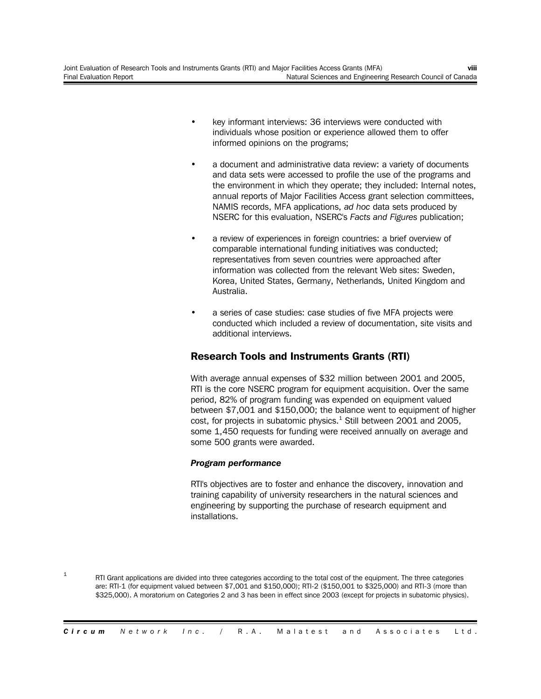- key informant interviews: 36 interviews were conducted with individuals whose position or experience allowed them to offer informed opinions on the programs;
- a document and administrative data review: a variety of documents and data sets were accessed to profile the use of the programs and the environment in which they operate; they included: Internal notes, annual reports of Major Facilities Access grant selection committees, NAMIS records, MFA applications, *ad hoc* data sets produced by NSERC for this evaluation, NSERC's *Facts and Figures* publication;
- a review of experiences in foreign countries: a brief overview of comparable international funding initiatives was conducted; representatives from seven countries were approached after information was collected from the relevant Web sites: Sweden, Korea, United States, Germany, Netherlands, United Kingdom and Australia.
- a series of case studies: case studies of five MFA projects were conducted which included a review of documentation, site visits and additional interviews.

### **Research Tools and Instruments Grants (RTI)**

With average annual expenses of \$32 million between 2001 and 2005, RTI is the core NSERC program for equipment acquisition. Over the same period, 82% of program funding was expended on equipment valued between \$7,001 and \$150,000; the balance went to equipment of higher cost, for projects in subatomic physics. $1$  Still between 2001 and 2005, some 1,450 requests for funding were received annually on average and some 500 grants were awarded.

### *Program performance*

RTI's objectives are to foster and enhance the discovery, innovation and training capability of university researchers in the natural sciences and engineering by supporting the purchase of research equipment and installations.

1 RTI Grant applications are divided into three categories according to the total cost of the equipment. The three categories are: RTI-1 (for equipment valued between \$7,001 and \$150,000); RTI-2 (\$150,001 to \$325,000) and RTI-3 (more than \$325,000). A moratorium on Categories 2 and 3 has been in effect since 2003 (except for projects in subatomic physics).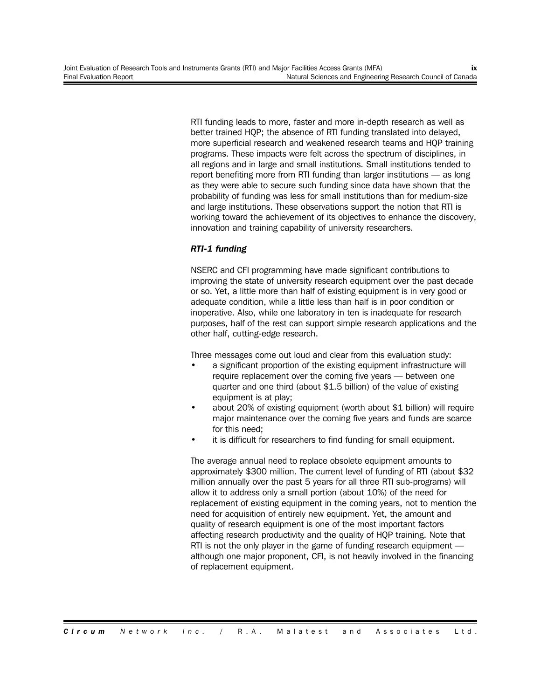RTI funding leads to more, faster and more in-depth research as well as better trained HQP; the absence of RTI funding translated into delayed, more superficial research and weakened research teams and HQP training programs. These impacts were felt across the spectrum of disciplines, in all regions and in large and small institutions. Small institutions tended to report benefiting more from RTI funding than larger institutions — as long as they were able to secure such funding since data have shown that the probability of funding was less for small institutions than for medium-size and large institutions. These observations support the notion that RTI is working toward the achievement of its objectives to enhance the discovery, innovation and training capability of university researchers.

### *RTI-1 funding*

NSERC and CFI programming have made significant contributions to improving the state of university research equipment over the past decade or so. Yet, a little more than half of existing equipment is in very good or adequate condition, while a little less than half is in poor condition or inoperative. Also, while one laboratory in ten is inadequate for research purposes, half of the rest can support simple research applications and the other half, cutting-edge research.

Three messages come out loud and clear from this evaluation study:

- a significant proportion of the existing equipment infrastructure will require replacement over the coming five years — between one quarter and one third (about \$1.5 billion) of the value of existing equipment is at play;
- about 20% of existing equipment (worth about \$1 billion) will require major maintenance over the coming five years and funds are scarce for this need;
- it is difficult for researchers to find funding for small equipment.

The average annual need to replace obsolete equipment amounts to approximately \$300 million. The current level of funding of RTI (about \$32 million annually over the past 5 years for all three RTI sub-programs) will allow it to address only a small portion (about 10%) of the need for replacement of existing equipment in the coming years, not to mention the need for acquisition of entirely new equipment. Yet, the amount and quality of research equipment is one of the most important factors affecting research productivity and the quality of HQP training. Note that RTI is not the only player in the game of funding research equipment although one major proponent, CFI, is not heavily involved in the financing of replacement equipment.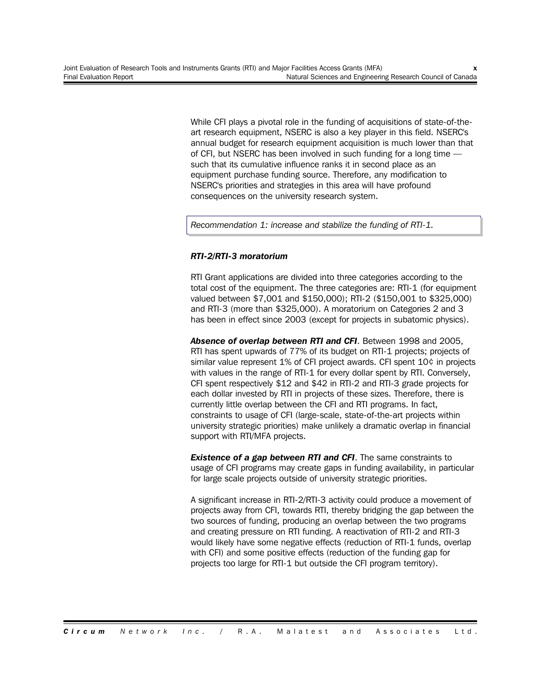While CFI plays a pivotal role in the funding of acquisitions of state-of-theart research equipment, NSERC is also a key player in this field. NSERC's annual budget for research equipment acquisition is much lower than that of CFI, but NSERC has been involved in such funding for a long time such that its cumulative influence ranks it in second place as an equipment purchase funding source. Therefore, any modification to NSERC's priorities and strategies in this area will have profound consequences on the university research system.

*Recommendation 1: increase and stabilize the funding of RTI-1.*

### *RTI-2/RTI-3 moratorium*

RTI Grant applications are divided into three categories according to the total cost of the equipment. The three categories are: RTI-1 (for equipment valued between \$7,001 and \$150,000); RTI-2 (\$150,001 to \$325,000) and RTI-3 (more than \$325,000). A moratorium on Categories 2 and 3 has been in effect since 2003 (except for projects in subatomic physics).

*Absence of overlap between RTI and CFI*. Between 1998 and 2005, RTI has spent upwards of 77% of its budget on RTI-1 projects; projects of similar value represent 1% of CFI project awards. CFI spent 10¢ in projects with values in the range of RTI-1 for every dollar spent by RTI. Conversely, CFI spent respectively \$12 and \$42 in RTI-2 and RTI-3 grade projects for each dollar invested by RTI in projects of these sizes. Therefore, there is currently little overlap between the CFI and RTI programs. In fact, constraints to usage of CFI (large-scale, state-of-the-art projects within university strategic priorities) make unlikely a dramatic overlap in financial support with RTI/MFA projects.

*Existence of a gap between RTI and CFI*. The same constraints to usage of CFI programs may create gaps in funding availability, in particular for large scale projects outside of university strategic priorities.

A significant increase in RTI-2/RTI-3 activity could produce a movement of projects away from CFI, towards RTI, thereby bridging the gap between the two sources of funding, producing an overlap between the two programs and creating pressure on RTI funding. A reactivation of RTI-2 and RTI-3 would likely have some negative effects (reduction of RTI-1 funds, overlap with CFI) and some positive effects (reduction of the funding gap for projects too large for RTI-1 but outside the CFI program territory).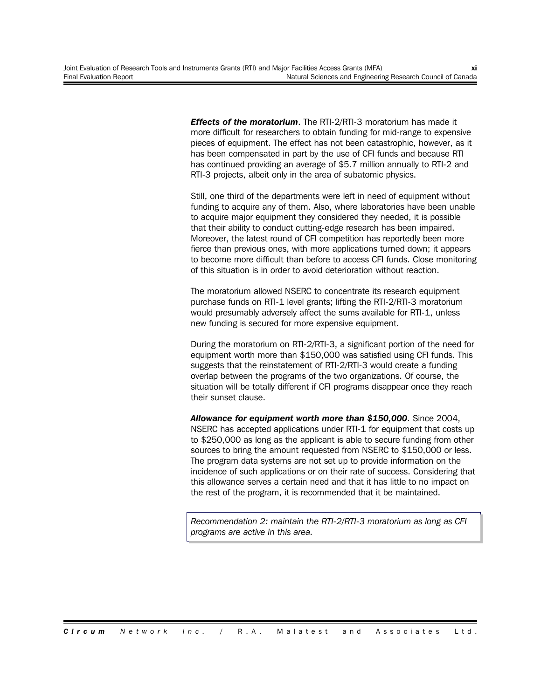*Effects of the moratorium*. The RTI-2/RTI-3 moratorium has made it more difficult for researchers to obtain funding for mid-range to expensive pieces of equipment. The effect has not been catastrophic, however, as it has been compensated in part by the use of CFI funds and because RTI has continued providing an average of \$5.7 million annually to RTI-2 and RTI-3 projects, albeit only in the area of subatomic physics.

Still, one third of the departments were left in need of equipment without funding to acquire any of them. Also, where laboratories have been unable to acquire major equipment they considered they needed, it is possible that their ability to conduct cutting-edge research has been impaired. Moreover, the latest round of CFI competition has reportedly been more fierce than previous ones, with more applications turned down; it appears to become more difficult than before to access CFI funds. Close monitoring of this situation is in order to avoid deterioration without reaction.

The moratorium allowed NSERC to concentrate its research equipment purchase funds on RTI-1 level grants; lifting the RTI-2/RTI-3 moratorium would presumably adversely affect the sums available for RTI-1, unless new funding is secured for more expensive equipment.

During the moratorium on RTI-2/RTI-3, a significant portion of the need for equipment worth more than \$150,000 was satisfied using CFI funds. This suggests that the reinstatement of RTI-2/RTI-3 would create a funding overlap between the programs of the two organizations. Of course, the situation will be totally different if CFI programs disappear once they reach their sunset clause.

*Allowance for equipment worth more than \$150,000*. Since 2004, NSERC has accepted applications under RTI-1 for equipment that costs up to \$250,000 as long as the applicant is able to secure funding from other sources to bring the amount requested from NSERC to \$150,000 or less. The program data systems are not set up to provide information on the incidence of such applications or on their rate of success. Considering that this allowance serves a certain need and that it has little to no impact on the rest of the program, it is recommended that it be maintained.

*Recommendation 2: maintain the RTI-2/RTI-3 moratorium as long as CFI programs are active in this area.*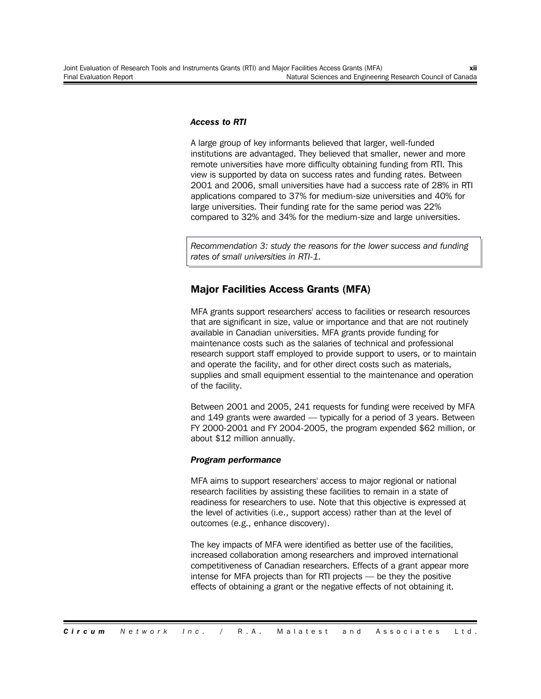### *Access to RTI*

A large group of key informants believed that larger, well-funded institutions are advantaged. They believed that smaller, newer and more remote universities have more difficulty obtaining funding from RTI. This view is supported by data on success rates and funding rates. Between 2001 and 2006, small universities have had a success rate of 28% in RTI applications compared to 37% for medium-size universities and 40% for large universities. Their funding rate for the same period was 22% compared to 32% and 34% for the medium-size and large universities.

*Recommendation 3: study the reasons for the lower success and funding rates of small universities in RTI-1.*

### **Major Facilities Access Grants (MFA)**

MFA grants support researchers' access to facilities or research resources that are significant in size, value or importance and that are not routinely available in Canadian universities. MFA grants provide funding for maintenance costs such as the salaries of technical and professional research support staff employed to provide support to users, or to maintain and operate the facility, and for other direct costs such as materials, supplies and small equipment essential to the maintenance and operation of the facility.

Between 2001 and 2005, 241 requests for funding were received by MFA and 149 grants were awarded — typically for a period of 3 years. Between FY 2000-2001 and FY 2004-2005, the program expended \$62 million, or about \$12 million annually.

### *Program performance*

MFA aims to support researchers' access to major regional or national research facilities by assisting these facilities to remain in a state of readiness for researchers to use. Note that this objective is expressed at the level of activities (i.e., support access) rather than at the level of outcomes (e.g., enhance discovery).

The key impacts of MFA were identified as better use of the facilities, increased collaboration among researchers and improved international competitiveness of Canadian researchers. Effects of a grant appear more intense for MFA projects than for RTI projects — be they the positive effects of obtaining a grant or the negative effects of not obtaining it.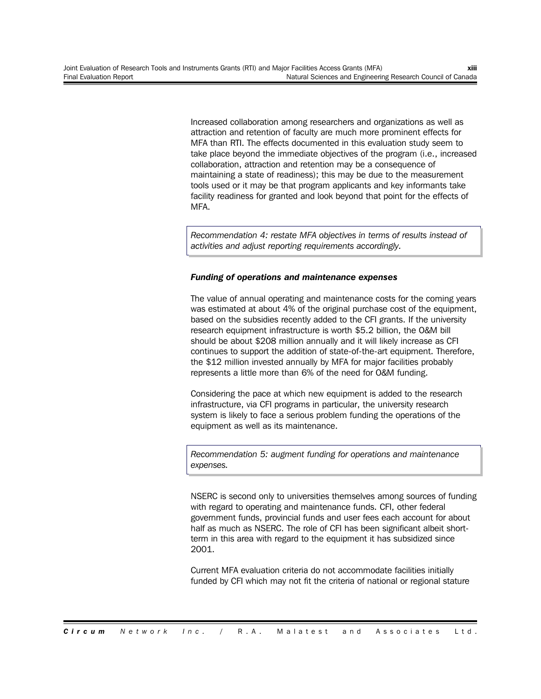Increased collaboration among researchers and organizations as well as attraction and retention of faculty are much more prominent effects for MFA than RTI. The effects documented in this evaluation study seem to take place beyond the immediate objectives of the program (i.e., increased collaboration, attraction and retention may be a consequence of maintaining a state of readiness); this may be due to the measurement tools used or it may be that program applicants and key informants take facility readiness for granted and look beyond that point for the effects of MFA.

*Recommendation 4: restate MFA objectives in terms of results instead of activities and adjust reporting requirements accordingly.*

### *Funding of operations and maintenance expenses*

The value of annual operating and maintenance costs for the coming years was estimated at about 4% of the original purchase cost of the equipment, based on the subsidies recently added to the CFI grants. If the university research equipment infrastructure is worth \$5.2 billion, the O&M bill should be about \$208 million annually and it will likely increase as CFI continues to support the addition of state-of-the-art equipment. Therefore, the \$12 million invested annually by MFA for major facilities probably represents a little more than 6% of the need for O&M funding.

Considering the pace at which new equipment is added to the research infrastructure, via CFI programs in particular, the university research system is likely to face a serious problem funding the operations of the equipment as well as its maintenance.

*Recommendation 5: augment funding for operations and maintenance expenses.*

NSERC is second only to universities themselves among sources of funding with regard to operating and maintenance funds. CFI, other federal government funds, provincial funds and user fees each account for about half as much as NSERC. The role of CFI has been significant albeit shortterm in this area with regard to the equipment it has subsidized since 2001.

Current MFA evaluation criteria do not accommodate facilities initially funded by CFI which may not fit the criteria of national or regional stature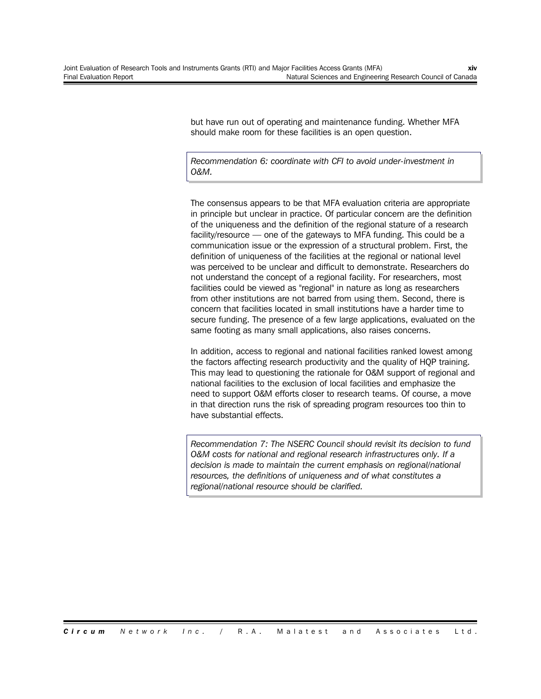but have run out of operating and maintenance funding. Whether MFA should make room for these facilities is an open question.

*Recommendation 6: coordinate with CFI to avoid under-investment in O&M.*

The consensus appears to be that MFA evaluation criteria are appropriate in principle but unclear in practice. Of particular concern are the definition of the uniqueness and the definition of the regional stature of a research facility/resource — one of the gateways to MFA funding. This could be a communication issue or the expression of a structural problem. First, the definition of uniqueness of the facilities at the regional or national level was perceived to be unclear and difficult to demonstrate. Researchers do not understand the concept of a regional facility. For researchers, most facilities could be viewed as "regional" in nature as long as researchers from other institutions are not barred from using them. Second, there is concern that facilities located in small institutions have a harder time to secure funding. The presence of a few large applications, evaluated on the same footing as many small applications, also raises concerns.

In addition, access to regional and national facilities ranked lowest among the factors affecting research productivity and the quality of HQP training. This may lead to questioning the rationale for O&M support of regional and national facilities to the exclusion of local facilities and emphasize the need to support O&M efforts closer to research teams. Of course, a move in that direction runs the risk of spreading program resources too thin to have substantial effects.

*Recommendation 7: The NSERC Council should revisit its decision to fund O&M costs for national and regional research infrastructures only. If a decision is made to maintain the current emphasis on regional/national resources, the definitions of uniqueness and of what constitutes a regional/national resource should be clarified.*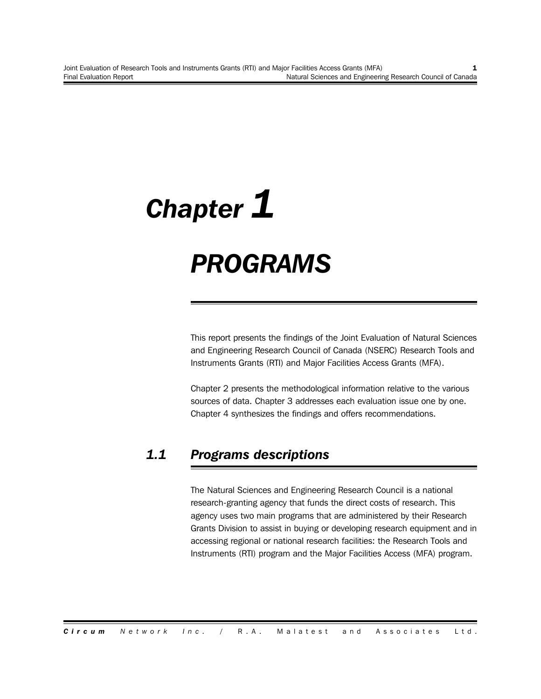# *Chapter 1 PROGRAMS*

This report presents the findings of the Joint Evaluation of Natural Sciences and Engineering Research Council of Canada (NSERC) Research Tools and Instruments Grants (RTI) and Major Facilities Access Grants (MFA).

Chapter 2 presents the methodological information relative to the various sources of data. Chapter 3 addresses each evaluation issue one by one. Chapter 4 synthesizes the findings and offers recommendations.

# *1.1 Programs descriptions*

The Natural Sciences and Engineering Research Council is a national research-granting agency that funds the direct costs of research. This agency uses two main programs that are administered by their Research Grants Division to assist in buying or developing research equipment and in accessing regional or national research facilities: the Research Tools and Instruments (RTI) program and the Major Facilities Access (MFA) program.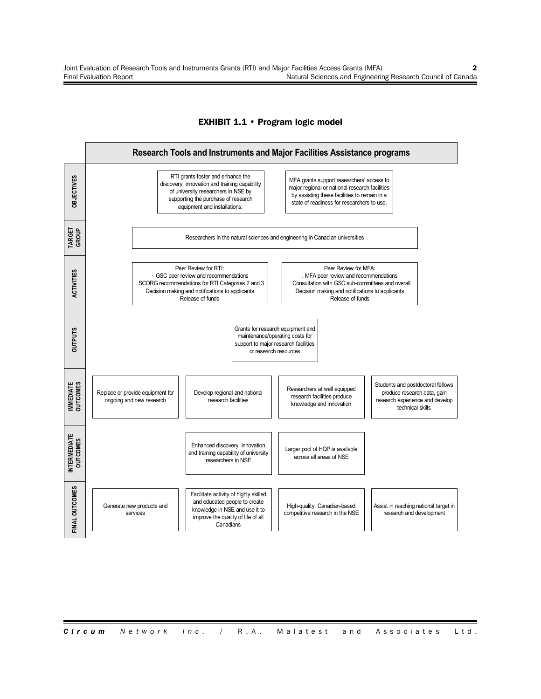

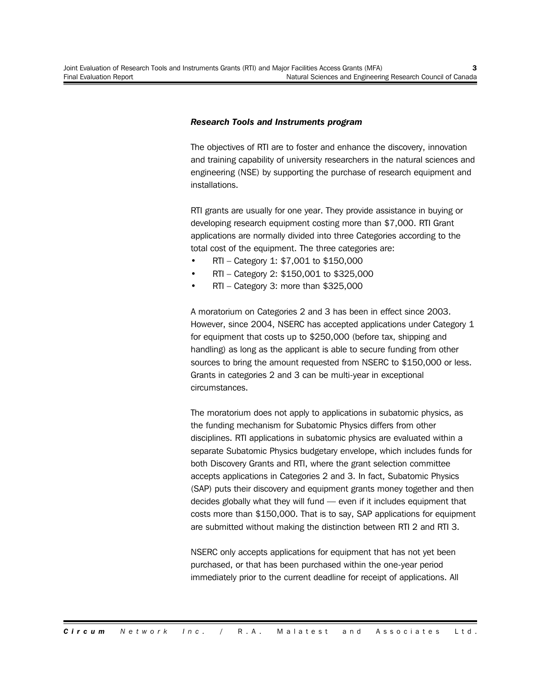#### *Research Tools and Instruments program*

The objectives of RTI are to foster and enhance the discovery, innovation and training capability of university researchers in the natural sciences and engineering (NSE) by supporting the purchase of research equipment and installations.

RTI grants are usually for one year. They provide assistance in buying or developing research equipment costing more than \$7,000. RTI Grant applications are normally divided into three Categories according to the total cost of the equipment. The three categories are:

- RTI Category 1: \$7,001 to \$150,000
- RTI Category 2: \$150,001 to \$325,000
- RTI Category 3: more than \$325,000

A moratorium on Categories 2 and 3 has been in effect since 2003. However, since 2004, NSERC has accepted applications under Category 1 for equipment that costs up to \$250,000 (before tax, shipping and handling) as long as the applicant is able to secure funding from other sources to bring the amount requested from NSERC to \$150,000 or less. Grants in categories 2 and 3 can be multi-year in exceptional circumstances.

The moratorium does not apply to applications in subatomic physics, as the funding mechanism for Subatomic Physics differs from other disciplines. RTI applications in subatomic physics are evaluated within a separate Subatomic Physics budgetary envelope, which includes funds for both Discovery Grants and RTI, where the grant selection committee accepts applications in Categories 2 and 3. In fact, Subatomic Physics (SAP) puts their discovery and equipment grants money together and then decides globally what they will fund — even if it includes equipment that costs more than \$150,000. That is to say, SAP applications for equipment are submitted without making the distinction between RTI 2 and RTI 3.

NSERC only accepts applications for equipment that has not yet been purchased, or that has been purchased within the one-year period immediately prior to the current deadline for receipt of applications. All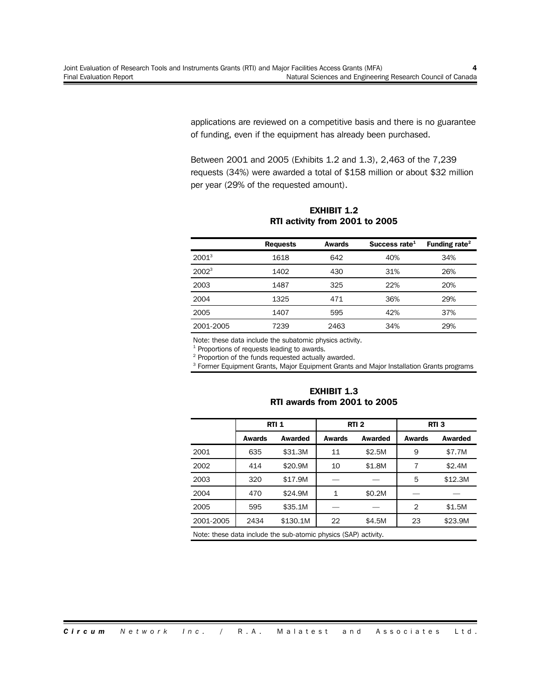applications are reviewed on a competitive basis and there is no guarantee of funding, even if the equipment has already been purchased.

Between 2001 and 2005 (Exhibits 1.2 and 1.3), 2,463 of the 7,239 requests (34%) were awarded a total of \$158 million or about \$32 million per year (29% of the requested amount).

|           | <b>Requests</b> | Awards | Success rate <sup>1</sup> | Funding rate <sup>2</sup> |
|-----------|-----------------|--------|---------------------------|---------------------------|
| $2001^3$  | 1618            | 642    | 40%                       | 34%                       |
| $2002^3$  | 1402            | 430    | 31%                       | 26%                       |
| 2003      | 1487            | 325    | 22%                       | 20%                       |
| 2004      | 1325            | 471    | 36%                       | 29%                       |
| 2005      | 1407            | 595    | 42%                       | 37%                       |
| 2001-2005 | 7239            | 2463   | 34%                       | 29%                       |

**EXHIBIT 1.2 RTI activity from 2001 to 2005**

Note: these data include the subatomic physics activity.

 $1$  Proportions of requests leading to awards.

 $2$  Proportion of the funds requested actually awarded.

<sup>3</sup> Former Equipment Grants, Major Equipment Grants and Major Installation Grants programs

**EXHIBIT 1.3 RTI awards from 2001 to 2005**

|           |                                                                | RTI <sub>1</sub> |               | RTI <sub>2</sub> | RTI <sub>3</sub> |                |  |  |
|-----------|----------------------------------------------------------------|------------------|---------------|------------------|------------------|----------------|--|--|
|           | <b>Awards</b>                                                  | <b>Awarded</b>   | <b>Awards</b> | <b>Awarded</b>   | <b>Awards</b>    | <b>Awarded</b> |  |  |
| 2001      | 635                                                            | \$31.3M          | 11            | \$2.5M           | 9                | \$7.7M         |  |  |
| 2002      | 414                                                            | \$20.9M          | 10            | \$1.8M           | 7                | \$2.4M         |  |  |
| 2003      | 320                                                            | \$17.9M          |               |                  | 5                | \$12.3M        |  |  |
| 2004      | 470                                                            | \$24.9M          | 1             | \$0.2M           |                  |                |  |  |
| 2005      | 595                                                            | \$35.1M          |               |                  | $\overline{2}$   | \$1.5M         |  |  |
| 2001-2005 | 2434                                                           | \$130.1M         | 22            | \$4.5M           | 23               | \$23.9M        |  |  |
|           | Note: these data include the sub atomic physics (SAD) activity |                  |               |                  |                  |                |  |  |

Note: these data include the sub-atomic physics (SAP) activity.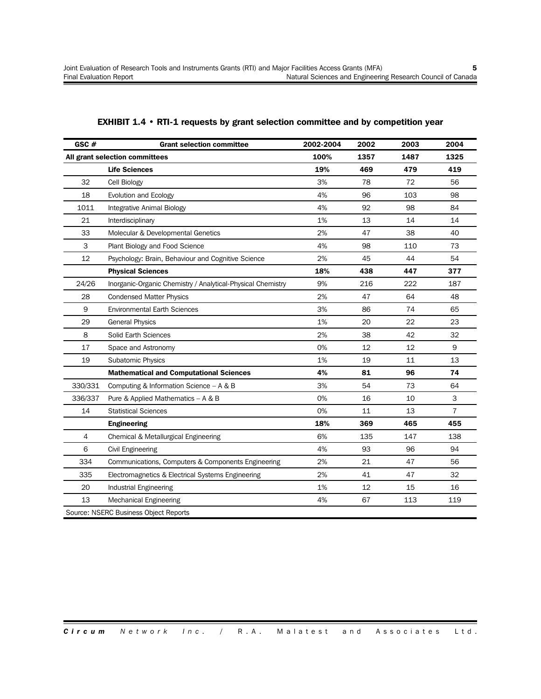| GSC#           | <b>Grant selection committee</b>                            | 2002-2004 | 2002 | 2003 | 2004 |
|----------------|-------------------------------------------------------------|-----------|------|------|------|
|                | All grant selection committees                              | 100%      | 1357 | 1487 | 1325 |
|                | <b>Life Sciences</b>                                        | 19%       | 469  | 479  | 419  |
| 32             | Cell Biology                                                | 3%        | 78   | 72   | 56   |
| 18             | Evolution and Ecology                                       | 4%        | 96   | 103  | 98   |
| 1011           | Integrative Animal Biology                                  | 4%        | 92   | 98   | 84   |
| 21             | Interdisciplinary                                           | 1%        | 13   | 14   | 14   |
| 33             | Molecular & Developmental Genetics                          | 2%        | 47   | 38   | 40   |
| 3              | Plant Biology and Food Science                              | 4%        | 98   | 110  | 73   |
| 12             | Psychology: Brain, Behaviour and Cognitive Science          | 2%        | 45   | 44   | 54   |
|                | <b>Physical Sciences</b>                                    | 18%       | 438  | 447  | 377  |
| 24/26          | Inorganic-Organic Chemistry / Analytical-Physical Chemistry | 9%        | 216  | 222  | 187  |
| 28             | <b>Condensed Matter Physics</b>                             | 2%        | 47   | 64   | 48   |
| 9              | <b>Environmental Earth Sciences</b>                         | 3%        | 86   | 74   | 65   |
| 29             | <b>General Physics</b>                                      | 1%        | 20   | 22   | 23   |
| 8              | Solid Earth Sciences                                        | 2%        | 38   | 42   | 32   |
| 17             | Space and Astronomy                                         | 0%        | 12   | 12   | 9    |
| 19             | <b>Subatomic Physics</b>                                    | 1%        | 19   | 11   | 13   |
|                | <b>Mathematical and Computational Sciences</b>              | 4%        | 81   | 96   | 74   |
| 330/331        | Computing & Information Science $- A & B$                   | 3%        | 54   | 73   | 64   |
| 336/337        | Pure & Applied Mathematics - A & B                          | 0%        | 16   | 10   | 3    |
| 14             | <b>Statistical Sciences</b>                                 | 0%        | 11   | 13   | 7    |
|                | <b>Engineering</b>                                          | 18%       | 369  | 465  | 455  |
| $\overline{4}$ | Chemical & Metallurgical Engineering                        | 6%        | 135  | 147  | 138  |
| 6              | Civil Engineering                                           | 4%        | 93   | 96   | 94   |
| 334            | Communications, Computers & Components Engineering          | 2%        | 21   | 47   | 56   |
| 335            | Electromagnetics & Electrical Systems Engineering           | 2%        | 41   | 47   | 32   |
| 20             | Industrial Engineering                                      | 1%        | 12   | 15   | 16   |
| 13             | <b>Mechanical Engineering</b>                               | 4%        | 67   | 113  | 119  |
|                | Source: NSERC Business Object Reports                       |           |      |      |      |

### **EXHIBIT 1.4 • RTI-1 requests by grant selection committee and by competition year**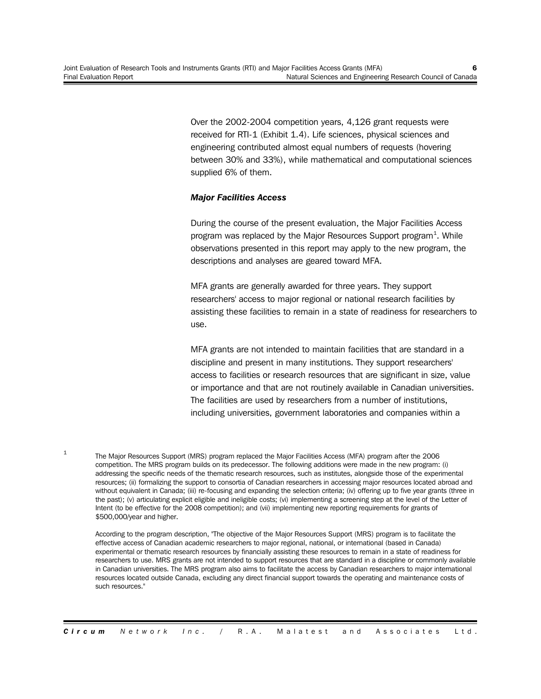Over the 2002-2004 competition years, 4,126 grant requests were received for RTI-1 (Exhibit 1.4). Life sciences, physical sciences and engineering contributed almost equal numbers of requests (hovering between 30% and 33%), while mathematical and computational sciences supplied 6% of them.

### *Major Facilities Access*

During the course of the present evaluation, the Major Facilities Access program was replaced by the Major Resources Support program<sup>1</sup>. While observations presented in this report may apply to the new program, the descriptions and analyses are geared toward MFA.

MFA grants are generally awarded for three years. They support researchers' access to major regional or national research facilities by assisting these facilities to remain in a state of readiness for researchers to use.

MFA grants are not intended to maintain facilities that are standard in a discipline and present in many institutions. They support researchers' access to facilities or research resources that are significant in size, value or importance and that are not routinely available in Canadian universities. The facilities are used by researchers from a number of institutions, including universities, government laboratories and companies within a

The Major Resources Support (MRS) program replaced the Major Facilities Access (MFA) program after the 2006 competition. The MRS program builds on its predecessor. The following additions were made in the new program: (i) addressing the specific needs of the thematic research resources, such as institutes, alongside those of the experimental resources; (ii) formalizing the support to consortia of Canadian researchers in accessing major resources located abroad and without equivalent in Canada; (iii) re-focusing and expanding the selection criteria; (iv) offering up to five year grants (three in the past); (v) articulating explicit eligible and ineligible costs; (vi) implementing a screening step at the level of the Letter of Intent (to be effective for the 2008 competition); and (vii) implementing new reporting requirements for grants of \$500,000/year and higher.

1

According to the program description, "The objective of the Major Resources Support (MRS) program is to facilitate the effective access of Canadian academic researchers to major regional, national, or international (based in Canada) experimental or thematic research resources by financially assisting these resources to remain in a state of readiness for researchers to use. MRS grants are not intended to support resources that are standard in a discipline or commonly available in Canadian universities. The MRS program also aims to facilitate the access by Canadian researchers to major international resources located outside Canada, excluding any direct financial support towards the operating and maintenance costs of such resources."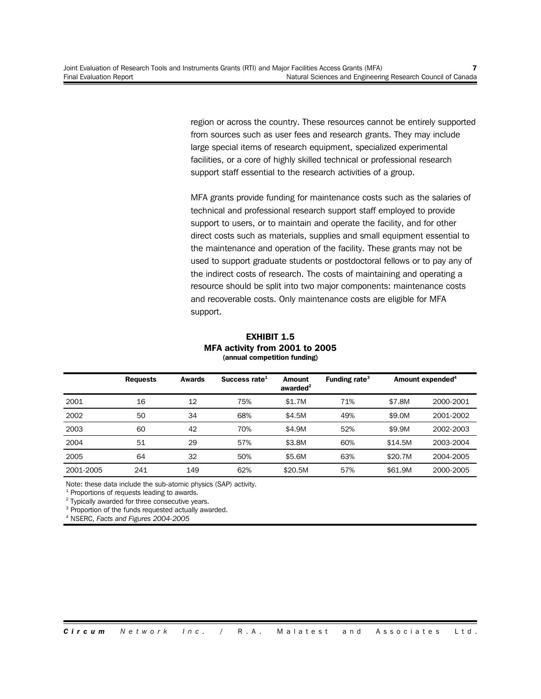region or across the country. These resources cannot be entirely supported from sources such as user fees and research grants. They may include large special items of research equipment, specialized experimental facilities, or a core of highly skilled technical or professional research support staff essential to the research activities of a group.

MFA grants provide funding for maintenance costs such as the salaries of technical and professional research support staff employed to provide support to users, or to maintain and operate the facility, and for other direct costs such as materials, supplies and small equipment essential to the maintenance and operation of the facility. These grants may not be used to support graduate students or postdoctoral fellows or to pay any of the indirect costs of research. The costs of maintaining and operating a resource should be split into two major components: maintenance costs and recoverable costs. Only maintenance costs are eligible for MFA support.

| <b>EXHIBIT 1.5</b>             |  |  |  |  |
|--------------------------------|--|--|--|--|
| MFA activity from 2001 to 2005 |  |  |  |  |
| (annual competition funding)   |  |  |  |  |

|           | <b>Requests</b> | <b>Awards</b> | Success rate <sup>1</sup> | Amount<br>awarded <sup>2</sup> | Funding rate <sup>3</sup> |         | Amount expended <sup>4</sup> |
|-----------|-----------------|---------------|---------------------------|--------------------------------|---------------------------|---------|------------------------------|
| 2001      | 16              | 12            | 75%                       | \$1.7M                         | 71%                       | \$7.8M  | 2000-2001                    |
| 2002      | 50              | 34            | 68%                       | \$4.5M                         | 49%                       | \$9.0M  | 2001-2002                    |
| 2003      | 60              | 42            | 70%                       | \$4.9M                         | 52%                       | \$9.9M  | 2002-2003                    |
| 2004      | 51              | 29            | 57%                       | \$3.8M                         | 60%                       | \$14.5M | 2003-2004                    |
| 2005      | 64              | 32            | 50%                       | \$5.6M                         | 63%                       | \$20.7M | 2004-2005                    |
| 2001-2005 | 241             | 149           | 62%                       | \$20.5M                        | 57%                       | \$61.9M | 2000-2005                    |

Note: these data include the sub-atomic physics (SAP) activity.

<sup>1</sup> Proportions of requests leading to awards.

 $2$  Typically awarded for three consecutive years.

<sup>3</sup> Proportion of the funds requested actually awarded.

<sup>4</sup> NSERC, *Facts and Figures 2004-2005*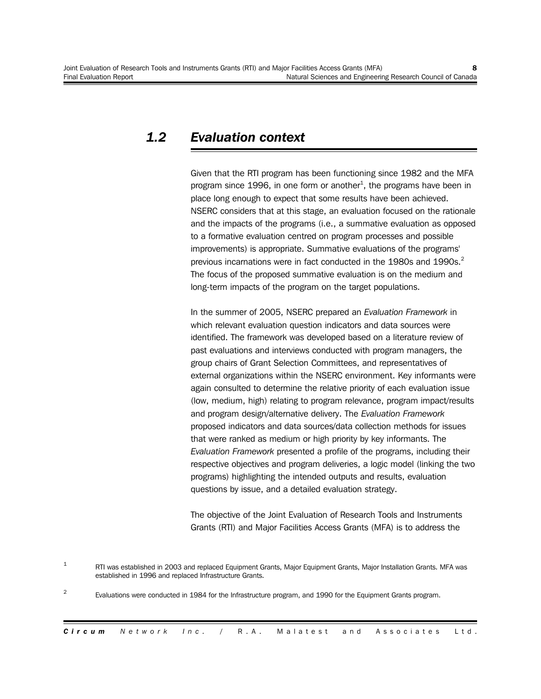# *1.2 Evaluation context*

Given that the RTI program has been functioning since 1982 and the MFA program since 1996, in one form or another<sup>1</sup>, the programs have been in place long enough to expect that some results have been achieved. NSERC considers that at this stage, an evaluation focused on the rationale and the impacts of the programs (i.e., a summative evaluation as opposed to a formative evaluation centred on program processes and possible improvements) is appropriate. Summative evaluations of the programs' previous incarnations were in fact conducted in the  $1980s$  and  $1990s<sup>2</sup>$ The focus of the proposed summative evaluation is on the medium and long-term impacts of the program on the target populations.

In the summer of 2005, NSERC prepared an *Evaluation Framework* in which relevant evaluation question indicators and data sources were identified. The framework was developed based on a literature review of past evaluations and interviews conducted with program managers, the group chairs of Grant Selection Committees, and representatives of external organizations within the NSERC environment. Key informants were again consulted to determine the relative priority of each evaluation issue (low, medium, high) relating to program relevance, program impact/results and program design/alternative delivery. The *Evaluation Framework* proposed indicators and data sources/data collection methods for issues that were ranked as medium or high priority by key informants. The *Evaluation Framework* presented a profile of the programs, including their respective objectives and program deliveries, a logic model (linking the two programs) highlighting the intended outputs and results, evaluation questions by issue, and a detailed evaluation strategy.

The objective of the Joint Evaluation of Research Tools and Instruments Grants (RTI) and Major Facilities Access Grants (MFA) is to address the

<sup>1</sup> RTI was established in 2003 and replaced Equipment Grants, Major Equipment Grants, Major Installation Grants. MFA was established in 1996 and replaced Infrastructure Grants.

<sup>2</sup> Evaluations were conducted in 1984 for the Infrastructure program, and 1990 for the Equipment Grants program.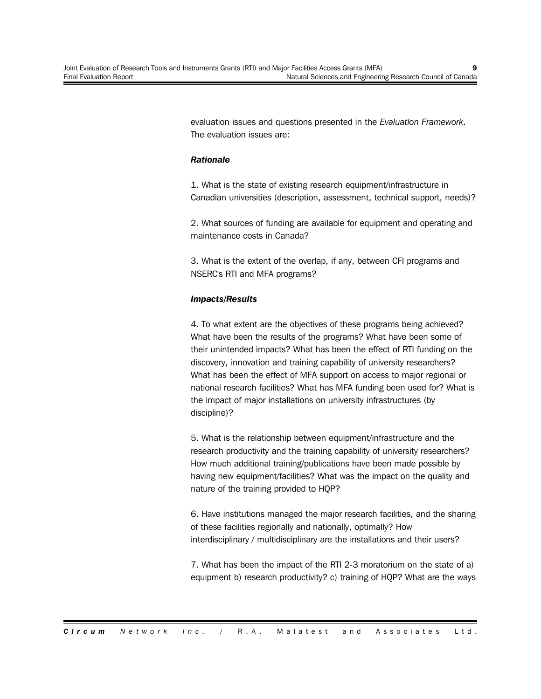evaluation issues and questions presented in the *Evaluation Framework*. The evaluation issues are:

### *Rationale*

1. What is the state of existing research equipment/infrastructure in Canadian universities (description, assessment, technical support, needs)?

2. What sources of funding are available for equipment and operating and maintenance costs in Canada?

3. What is the extent of the overlap, if any, between CFI programs and NSERC's RTI and MFA programs?

### *Impacts/Results*

4. To what extent are the objectives of these programs being achieved? What have been the results of the programs? What have been some of their unintended impacts? What has been the effect of RTI funding on the discovery, innovation and training capability of university researchers? What has been the effect of MFA support on access to major regional or national research facilities? What has MFA funding been used for? What is the impact of major installations on university infrastructures (by discipline)?

5. What is the relationship between equipment/infrastructure and the research productivity and the training capability of university researchers? How much additional training/publications have been made possible by having new equipment/facilities? What was the impact on the quality and nature of the training provided to HQP?

6. Have institutions managed the major research facilities, and the sharing of these facilities regionally and nationally, optimally? How interdisciplinary / multidisciplinary are the installations and their users?

7. What has been the impact of the RTI 2-3 moratorium on the state of a) equipment b) research productivity? c) training of HQP? What are the ways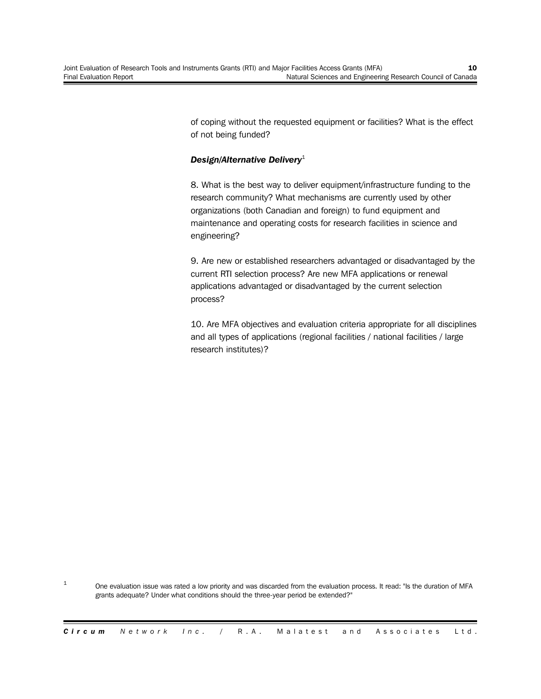of coping without the requested equipment or facilities? What is the effect of not being funded?

### *Design/Alternative Delivery*<sup>1</sup>

8. What is the best way to deliver equipment/infrastructure funding to the research community? What mechanisms are currently used by other organizations (both Canadian and foreign) to fund equipment and maintenance and operating costs for research facilities in science and engineering?

9. Are new or established researchers advantaged or disadvantaged by the current RTI selection process? Are new MFA applications or renewal applications advantaged or disadvantaged by the current selection process?

10. Are MFA objectives and evaluation criteria appropriate for all disciplines and all types of applications (regional facilities / national facilities / large research institutes)?

1 One evaluation issue was rated a low priority and was discarded from the evaluation process. It read: "Is the duration of MFA grants adequate? Under what conditions should the three-year period be extended?"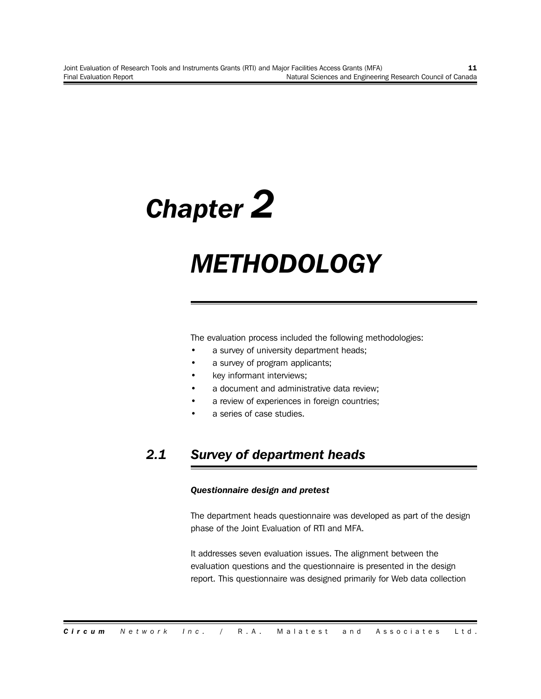# *Chapter 2*

# *METHODOLOGY*

The evaluation process included the following methodologies:

- a survey of university department heads;
- a survey of program applicants;
- key informant interviews;
- a document and administrative data review;
- a review of experiences in foreign countries;
- a series of case studies.

# *2.1 Survey of department heads*

### *Questionnaire design and pretest*

The department heads questionnaire was developed as part of the design phase of the Joint Evaluation of RTI and MFA.

It addresses seven evaluation issues. The alignment between the evaluation questions and the questionnaire is presented in the design report. This questionnaire was designed primarily for Web data collection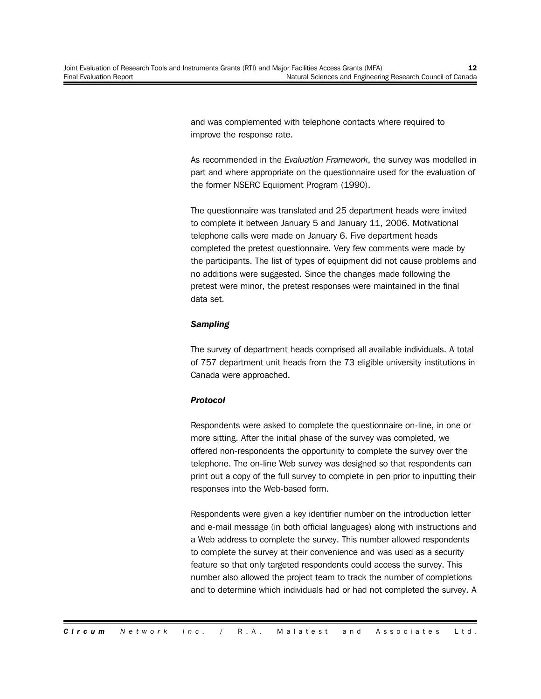and was complemented with telephone contacts where required to improve the response rate.

As recommended in the *Evaluation Framework*, the survey was modelled in part and where appropriate on the questionnaire used for the evaluation of the former NSERC Equipment Program (1990).

The questionnaire was translated and 25 department heads were invited to complete it between January 5 and January 11, 2006. Motivational telephone calls were made on January 6. Five department heads completed the pretest questionnaire. Very few comments were made by the participants. The list of types of equipment did not cause problems and no additions were suggested. Since the changes made following the pretest were minor, the pretest responses were maintained in the final data set.

### *Sampling*

The survey of department heads comprised all available individuals. A total of 757 department unit heads from the 73 eligible university institutions in Canada were approached.

### *Protocol*

Respondents were asked to complete the questionnaire on-line, in one or more sitting. After the initial phase of the survey was completed, we offered non-respondents the opportunity to complete the survey over the telephone. The on-line Web survey was designed so that respondents can print out a copy of the full survey to complete in pen prior to inputting their responses into the Web-based form.

Respondents were given a key identifier number on the introduction letter and e-mail message (in both official languages) along with instructions and a Web address to complete the survey. This number allowed respondents to complete the survey at their convenience and was used as a security feature so that only targeted respondents could access the survey. This number also allowed the project team to track the number of completions and to determine which individuals had or had not completed the survey. A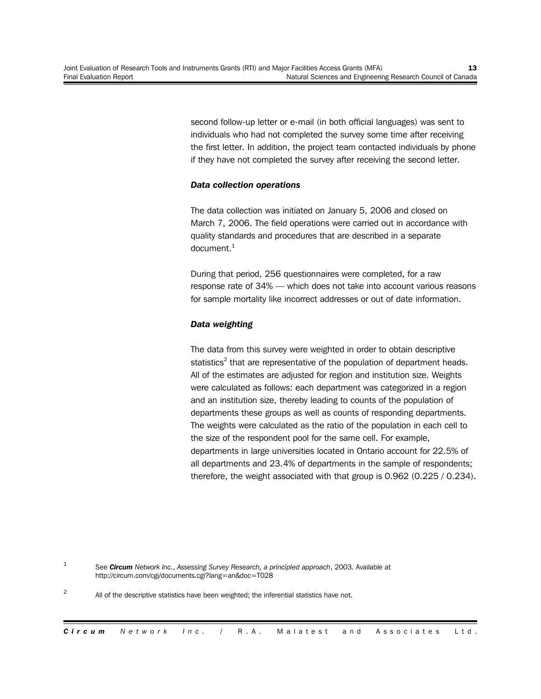second follow-up letter or e-mail (in both official languages) was sent to individuals who had not completed the survey some time after receiving the first letter. In addition, the project team contacted individuals by phone if they have not completed the survey after receiving the second letter.

### *Data collection operations*

The data collection was initiated on January 5, 2006 and closed on March 7, 2006. The field operations were carried out in accordance with quality standards and procedures that are described in a separate  $document.<sup>1</sup>$ 

During that period, 256 questionnaires were completed, for a raw response rate of 34% — which does not take into account various reasons for sample mortality like incorrect addresses or out of date information.

### *Data weighting*

The data from this survey were weighted in order to obtain descriptive statistics<sup>2</sup> that are representative of the population of department heads. All of the estimates are adjusted for region and institution size. Weights were calculated as follows: each department was categorized in a region and an institution size, thereby leading to counts of the population of departments these groups as well as counts of responding departments. The weights were calculated as the ratio of the population in each cell to the size of the respondent pool for the same cell. For example, departments in large universities located in Ontario account for 22.5% of all departments and 23.4% of departments in the sample of respondents; therefore, the weight associated with that group is 0.962 (0.225 / 0.234).

1 See *Circum Network Inc.*, *Assessing Survey Research, a principled approach*, 2003. Available at <http://circum.com/cgi/documents.cgi?lang=an&doc=T028>

2 All of the descriptive statistics have been weighted; the inferential statistics have not.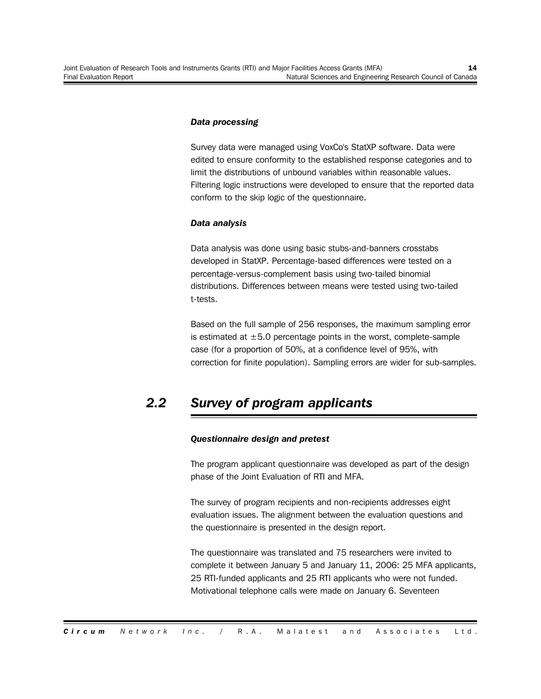### *Data processing*

Survey data were managed using VoxCo's StatXP software. Data were edited to ensure conformity to the established response categories and to limit the distributions of unbound variables within reasonable values. Filtering logic instructions were developed to ensure that the reported data conform to the skip logic of the questionnaire.

### *Data analysis*

Data analysis was done using basic stubs-and-banners crosstabs developed in StatXP. Percentage-based differences were tested on a percentage-versus-complement basis using two-tailed binomial distributions. Differences between means were tested using two-tailed t-tests.

Based on the full sample of 256 responses, the maximum sampling error is estimated at  $\pm 5.0$  percentage points in the worst, complete-sample case (for a proportion of 50%, at a confidence level of 95%, with correction for finite population). Sampling errors are wider for sub-samples.

## *2.2 Survey of program applicants*

### *Questionnaire design and pretest*

The program applicant questionnaire was developed as part of the design phase of the Joint Evaluation of RTI and MFA.

The survey of program recipients and non-recipients addresses eight evaluation issues. The alignment between the evaluation questions and the questionnaire is presented in the design report.

The questionnaire was translated and 75 researchers were invited to complete it between January 5 and January 11, 2006: 25 MFA applicants, 25 RTI-funded applicants and 25 RTI applicants who were not funded. Motivational telephone calls were made on January 6. Seventeen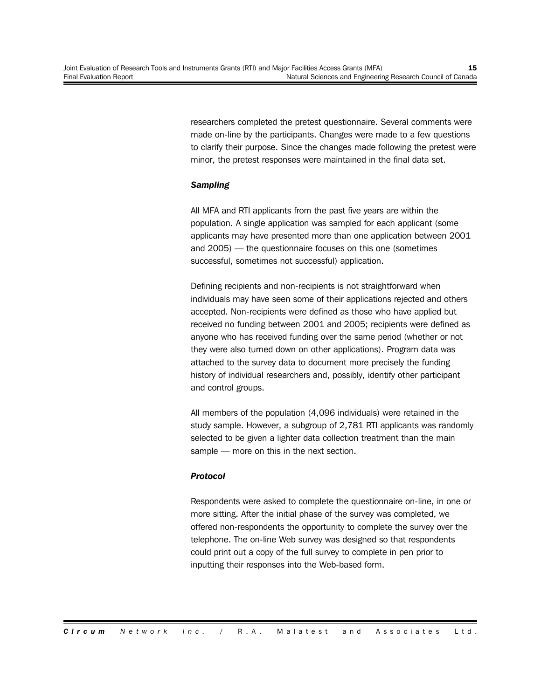researchers completed the pretest questionnaire. Several comments were made on-line by the participants. Changes were made to a few questions to clarify their purpose. Since the changes made following the pretest were minor, the pretest responses were maintained in the final data set.

### *Sampling*

All MFA and RTI applicants from the past five years are within the population. A single application was sampled for each applicant (some applicants may have presented more than one application between 2001 and 2005) — the questionnaire focuses on this one (sometimes successful, sometimes not successful) application.

Defining recipients and non-recipients is not straightforward when individuals may have seen some of their applications rejected and others accepted. Non-recipients were defined as those who have applied but received no funding between 2001 and 2005; recipients were defined as anyone who has received funding over the same period (whether or not they were also turned down on other applications). Program data was attached to the survey data to document more precisely the funding history of individual researchers and, possibly, identify other participant and control groups.

All members of the population (4,096 individuals) were retained in the study sample. However, a subgroup of 2,781 RTI applicants was randomly selected to be given a lighter data collection treatment than the main sample — more on this in the next section.

### *Protocol*

Respondents were asked to complete the questionnaire on-line, in one or more sitting. After the initial phase of the survey was completed, we offered non-respondents the opportunity to complete the survey over the telephone. The on-line Web survey was designed so that respondents could print out a copy of the full survey to complete in pen prior to inputting their responses into the Web-based form.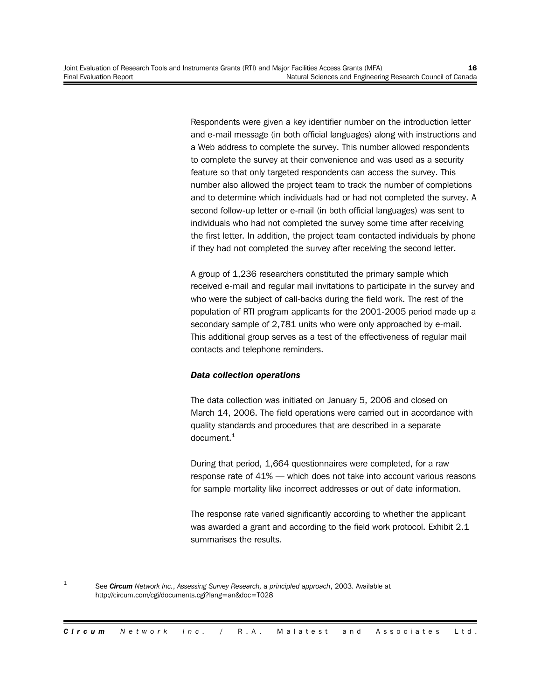Respondents were given a key identifier number on the introduction letter and e-mail message (in both official languages) along with instructions and a Web address to complete the survey. This number allowed respondents to complete the survey at their convenience and was used as a security feature so that only targeted respondents can access the survey. This number also allowed the project team to track the number of completions and to determine which individuals had or had not completed the survey. A second follow-up letter or e-mail (in both official languages) was sent to individuals who had not completed the survey some time after receiving the first letter. In addition, the project team contacted individuals by phone if they had not completed the survey after receiving the second letter.

A group of 1,236 researchers constituted the primary sample which received e-mail and regular mail invitations to participate in the survey and who were the subject of call-backs during the field work. The rest of the population of RTI program applicants for the 2001-2005 period made up a secondary sample of 2,781 units who were only approached by e-mail. This additional group serves as a test of the effectiveness of regular mail contacts and telephone reminders.

### *Data collection operations*

The data collection was initiated on January 5, 2006 and closed on March 14, 2006. The field operations were carried out in accordance with quality standards and procedures that are described in a separate document.<sup>1</sup>

During that period, 1,664 questionnaires were completed, for a raw response rate of 41% — which does not take into account various reasons for sample mortality like incorrect addresses or out of date information.

The response rate varied significantly according to whether the applicant was awarded a grant and according to the field work protocol. Exhibit 2.1 summarises the results.

1 See *Circum Network Inc.*, *Assessing Survey Research, a principled approach*, 2003. Available at <http://circum.com/cgi/documents.cgi?lang=an&doc=T028>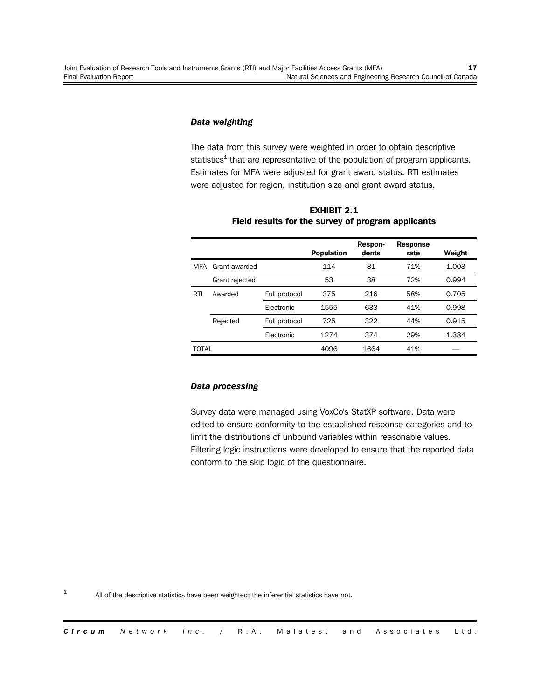### *Data weighting*

The data from this survey were weighted in order to obtain descriptive statistics<sup>1</sup> that are representative of the population of program applicants. Estimates for MFA were adjusted for grant award status. RTI estimates were adjusted for region, institution size and grant award status.

|       |                |               | <b>Population</b> | Respon-<br>dents | <b>Response</b><br>rate | Weight |
|-------|----------------|---------------|-------------------|------------------|-------------------------|--------|
| MFA   | Grant awarded  |               | 114               | 81               | 71%                     | 1.003  |
|       | Grant rejected |               | 53                | 38               | 72%                     | 0.994  |
| RTI   | Awarded        | Full protocol | 375               | 216              | 58%                     | 0.705  |
|       |                | Electronic    | 1555              | 633              | 41%                     | 0.998  |
|       | Rejected       | Full protocol | 725               | 322              | 44%                     | 0.915  |
|       |                | Electronic    | 1274              | 374              | 29%                     | 1.384  |
| TOTAL |                |               | 4096              | 1664             | 41%                     |        |

**EXHIBIT 2.1 Field results for the survey of program applicants**

### *Data processing*

Survey data were managed using VoxCo's StatXP software. Data were edited to ensure conformity to the established response categories and to limit the distributions of unbound variables within reasonable values. Filtering logic instructions were developed to ensure that the reported data conform to the skip logic of the questionnaire.

1 All of the descriptive statistics have been weighted; the inferential statistics have not.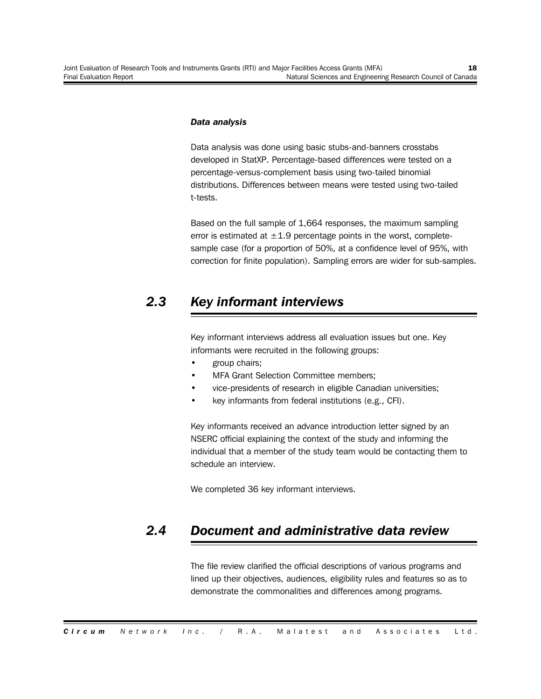### *Data analysis*

Data analysis was done using basic stubs-and-banners crosstabs developed in StatXP. Percentage-based differences were tested on a percentage-versus-complement basis using two-tailed binomial distributions. Differences between means were tested using two-tailed t-tests.

Based on the full sample of 1,664 responses, the maximum sampling error is estimated at  $\pm 1.9$  percentage points in the worst, completesample case (for a proportion of 50%, at a confidence level of 95%, with correction for finite population). Sampling errors are wider for sub-samples.

## *2.3 Key informant interviews*

Key informant interviews address all evaluation issues but one. Key informants were recruited in the following groups:

- group chairs;
- MFA Grant Selection Committee members;
- vice-presidents of research in eligible Canadian universities;
- key informants from federal institutions (e.g., CFI).

Key informants received an advance introduction letter signed by an NSERC official explaining the context of the study and informing the individual that a member of the study team would be contacting them to schedule an interview.

We completed 36 key informant interviews.

## *2.4 Document and administrative data review*

The file review clarified the official descriptions of various programs and lined up their objectives, audiences, eligibility rules and features so as to demonstrate the commonalities and differences among programs.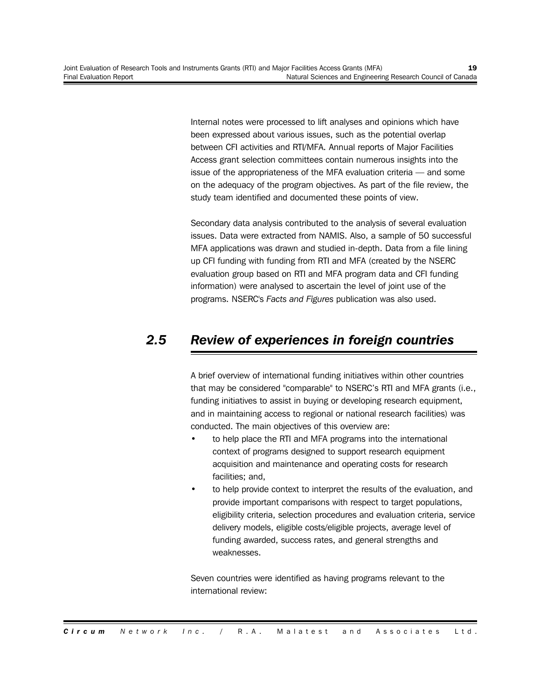Internal notes were processed to lift analyses and opinions which have been expressed about various issues, such as the potential overlap between CFI activities and RTI/MFA. Annual reports of Major Facilities Access grant selection committees contain numerous insights into the issue of the appropriateness of the MFA evaluation criteria — and some on the adequacy of the program objectives. As part of the file review, the study team identified and documented these points of view.

Secondary data analysis contributed to the analysis of several evaluation issues. Data were extracted from NAMIS. Also, a sample of 50 successful MFA applications was drawn and studied in-depth. Data from a file lining up CFI funding with funding from RTI and MFA (created by the NSERC evaluation group based on RTI and MFA program data and CFI funding information) were analysed to ascertain the level of joint use of the programs. NSERC's *Facts and Figures* publication was also used.

## *2.5 Review of experiences in foreign countries*

A brief overview of international funding initiatives within other countries that may be considered "comparable" to NSERC's RTI and MFA grants (i.e., funding initiatives to assist in buying or developing research equipment, and in maintaining access to regional or national research facilities) was conducted. The main objectives of this overview are:

- to help place the RTI and MFA programs into the international context of programs designed to support research equipment acquisition and maintenance and operating costs for research facilities; and,
- to help provide context to interpret the results of the evaluation, and provide important comparisons with respect to target populations, eligibility criteria, selection procedures and evaluation criteria, service delivery models, eligible costs/eligible projects, average level of funding awarded, success rates, and general strengths and weaknesses.

Seven countries were identified as having programs relevant to the international review: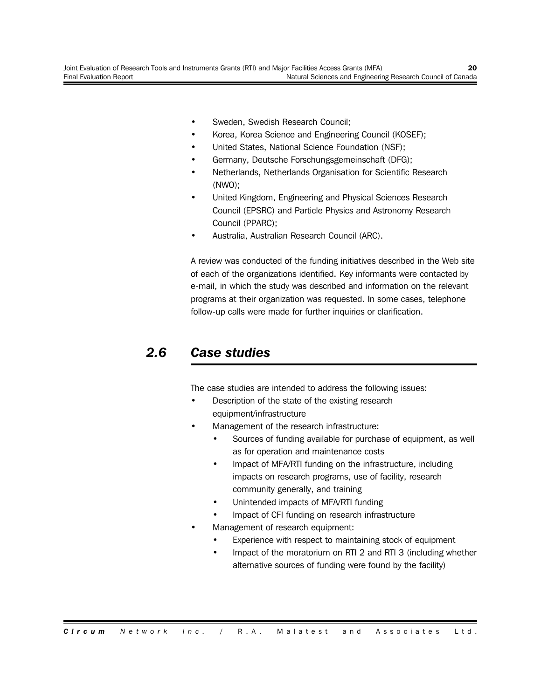- Sweden, Swedish Research Council;
- Korea, Korea Science and Engineering Council (KOSEF);
- United States, National Science Foundation (NSF);
- Germany, Deutsche Forschungsgemeinschaft (DFG);
- Netherlands, Netherlands Organisation for Scientific Research (NWO);
- United Kingdom, Engineering and Physical Sciences Research Council (EPSRC) and Particle Physics and Astronomy Research Council (PPARC);
- Australia, Australian Research Council (ARC).

A review was conducted of the funding initiatives described in the Web site of each of the organizations identified. Key informants were contacted by e-mail, in which the study was described and information on the relevant programs at their organization was requested. In some cases, telephone follow-up calls were made for further inquiries or clarification.

## *2.6 Case studies*

The case studies are intended to address the following issues:

- Description of the state of the existing research equipment/infrastructure
- Management of the research infrastructure:
	- Sources of funding available for purchase of equipment, as well as for operation and maintenance costs
	- Impact of MFA/RTI funding on the infrastructure, including impacts on research programs, use of facility, research community generally, and training
	- Unintended impacts of MFA/RTI funding
	- Impact of CFI funding on research infrastructure
- Management of research equipment:
	- Experience with respect to maintaining stock of equipment
	- Impact of the moratorium on RTI 2 and RTI 3 (including whether alternative sources of funding were found by the facility)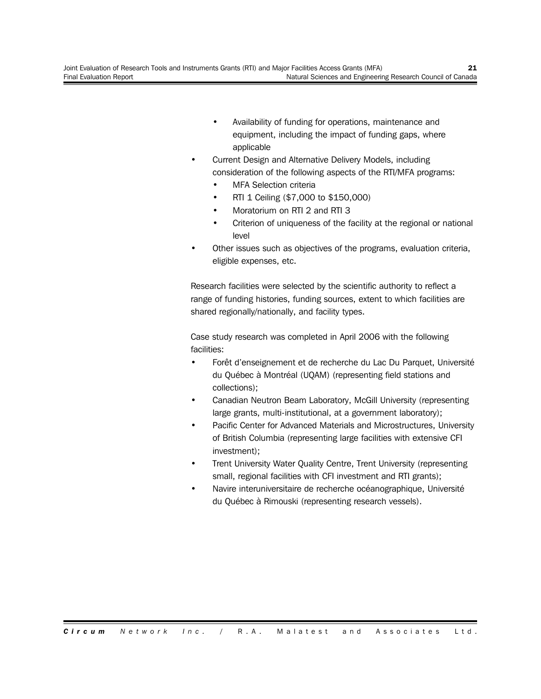- Availability of funding for operations, maintenance and equipment, including the impact of funding gaps, where applicable
- Current Design and Alternative Delivery Models, including consideration of the following aspects of the RTI/MFA programs:
	- **MFA Selection criteria**
	- RTI 1 Ceiling (\$7,000 to \$150,000)
	- Moratorium on RTI 2 and RTI 3
	- Criterion of uniqueness of the facility at the regional or national level
- Other issues such as objectives of the programs, evaluation criteria, eligible expenses, etc.

Research facilities were selected by the scientific authority to reflect a range of funding histories, funding sources, extent to which facilities are shared regionally/nationally, and facility types.

Case study research was completed in April 2006 with the following facilities:

- Forêt d'enseignement et de recherche du Lac Du Parquet, Université du Québec à Montréal (UQAM) (representing field stations and collections);
- Canadian Neutron Beam Laboratory, McGill University (representing large grants, multi-institutional, at a government laboratory);
- Pacific Center for Advanced Materials and Microstructures, University of British Columbia (representing large facilities with extensive CFI investment);
- Trent University Water Quality Centre, Trent University (representing small, regional facilities with CFI investment and RTI grants);
- Navire interuniversitaire de recherche océanographique, Université du Québec à Rimouski (representing research vessels).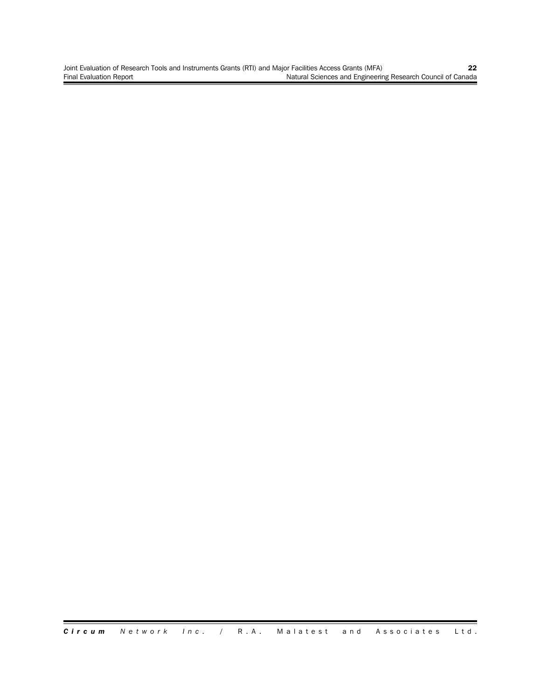Joint Evaluation of Research Tools and Instruments Grants (RTI) and Major Facilities Access Grants (MFA) **22** Final Evaluation Report **Natural Sciences and Engineering Research Council of Canada**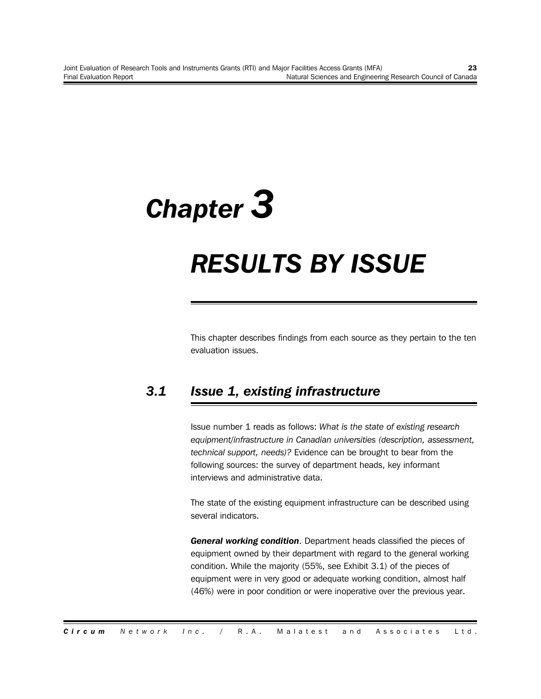# *Chapter 3 RESULTS BY ISSUE*

This chapter describes findings from each source as they pertain to the ten evaluation issues.

# *3.1 Issue 1, existing infrastructure*

Issue number 1 reads as follows: *What is the state of existing research equipment/infrastructure in Canadian universities (description, assessment, technical support, needs)?* Evidence can be brought to bear from the following sources: the survey of department heads, key informant interviews and administrative data.

The state of the existing equipment infrastructure can be described using several indicators.

*General working condition*. Department heads classified the pieces of equipment owned by their department with regard to the general working condition. While the majority (55%, see Exhibit 3.1) of the pieces of equipment were in very good or adequate working condition, almost half (46%) were in poor condition or were inoperative over the previous year.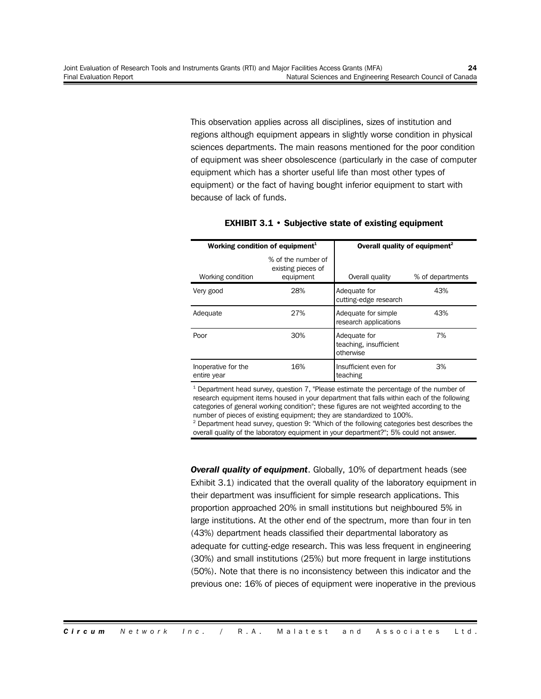This observation applies across all disciplines, sizes of institution and regions although equipment appears in slightly worse condition in physical sciences departments. The main reasons mentioned for the poor condition of equipment was sheer obsolescence (particularly in the case of computer equipment which has a shorter useful life than most other types of equipment) or the fact of having bought inferior equipment to start with because of lack of funds.

| Working condition of equipment <sup>1</sup> |                                                       | Overall quality of equipment <sup>2</sup>           |                  |  |  |
|---------------------------------------------|-------------------------------------------------------|-----------------------------------------------------|------------------|--|--|
| Working condition                           | % of the number of<br>existing pieces of<br>equipment | Overall quality                                     | % of departments |  |  |
| Very good                                   | 28%                                                   | Adequate for<br>cutting-edge research               | 43%              |  |  |
| Adequate                                    | 27%                                                   | Adequate for simple<br>research applications        | 43%              |  |  |
| Poor                                        | 30%                                                   | Adequate for<br>teaching, insufficient<br>otherwise | 7%               |  |  |
| Inoperative for the<br>entire year          | 16%                                                   | Insufficient even for<br>teaching                   | 3%               |  |  |

#### **EXHIBIT 3.1 • Subjective state of existing equipment**

 $1$  Department head survey, question 7, "Please estimate the percentage of the number of research equipment items housed in your department that falls within each of the following categories of general working condition"; these figures are not weighted according to the number of pieces of existing equipment; they are standardized to 100%. <sup>2</sup> Department head survey, question 9: "Which of the following categories best describes the overall quality of the laboratory equipment in your department?"; 5% could not answer.

*Overall quality of equipment*. Globally, 10% of department heads (see Exhibit 3.1) indicated that the overall quality of the laboratory equipment in their department was insufficient for simple research applications. This proportion approached 20% in small institutions but neighboured 5% in large institutions. At the other end of the spectrum, more than four in ten (43%) department heads classified their departmental laboratory as adequate for cutting-edge research. This was less frequent in engineering (30%) and small institutions (25%) but more frequent in large institutions (50%). Note that there is no inconsistency between this indicator and the previous one: 16% of pieces of equipment were inoperative in the previous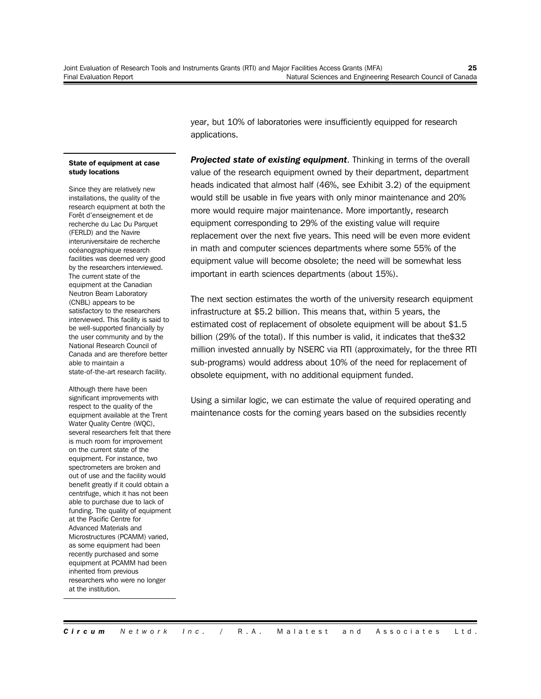#### **State of equipment at case study locations**

Since they are relatively new installations, the quality of the research equipment at both the Forêt d'enseignement et de recherche du Lac Du Parquet (FERLD) and the Navire interuniversitaire de recherche océanographique research facilities was deemed very good by the researchers interviewed. The current state of the equipment at the Canadian Neutron Beam Laboratory (CNBL) appears to be satisfactory to the researchers interviewed. This facility is said to be well-supported financially by the user community and by the National Research Council of Canada and are therefore better able to maintain a state-of-the-art research facility.

Although there have been significant improvements with respect to the quality of the equipment available at the Trent Water Quality Centre (WQC), several researchers felt that there is much room for improvement on the current state of the equipment. For instance, two spectrometers are broken and out of use and the facility would benefit greatly if it could obtain a centrifuge, which it has not been able to purchase due to lack of funding. The quality of equipment at the Pacific Centre for Advanced Materials and Microstructures (PCAMM) varied, as some equipment had been recently purchased and some equipment at PCAMM had been inherited from previous researchers who were no longer at the institution.

year, but 10% of laboratories were insufficiently equipped for research applications.

*Projected state of existing equipment*. Thinking in terms of the overall value of the research equipment owned by their department, department heads indicated that almost half (46%, see Exhibit 3.2) of the equipment would still be usable in five years with only minor maintenance and 20% more would require major maintenance. More importantly, research equipment corresponding to 29% of the existing value will require replacement over the next five years. This need will be even more evident in math and computer sciences departments where some 55% of the equipment value will become obsolete; the need will be somewhat less important in earth sciences departments (about 15%).

The next section estimates the worth of the university research equipment infrastructure at \$5.2 billion. This means that, within 5 years, the estimated cost of replacement of obsolete equipment will be about \$1.5 billion (29% of the total). If this number is valid, it indicates that the\$32 million invested annually by NSERC via RTI (approximately, for the three RTI sub-programs) would address about 10% of the need for replacement of obsolete equipment, with no additional equipment funded.

Using a similar logic, we can estimate the value of required operating and maintenance costs for the coming years based on the subsidies recently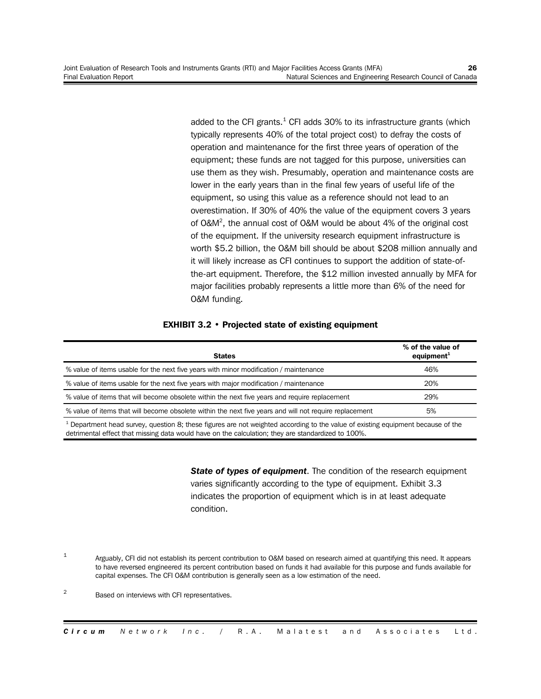added to the CFI grants. $1$  CFI adds 30% to its infrastructure grants (which typically represents 40% of the total project cost) to defray the costs of operation and maintenance for the first three years of operation of the equipment; these funds are not tagged for this purpose, universities can use them as they wish. Presumably, operation and maintenance costs are lower in the early years than in the final few years of useful life of the equipment, so using this value as a reference should not lead to an overestimation. If 30% of 40% the value of the equipment covers 3 years of O&M<sup>2</sup>, the annual cost of O&M would be about 4% of the original cost of the equipment. If the university research equipment infrastructure is worth \$5.2 billion, the O&M bill should be about \$208 million annually and it will likely increase as CFI continues to support the addition of state-ofthe-art equipment. Therefore, the \$12 million invested annually by MFA for major facilities probably represents a little more than 6% of the need for O&M funding.

#### **EXHIBIT 3.2 • Projected state of existing equipment**

| <b>States</b>                                                                                          | % of the value of<br>equipment $1$ |
|--------------------------------------------------------------------------------------------------------|------------------------------------|
| % value of items usable for the next five years with minor modification / maintenance                  | 46%                                |
| % value of items usable for the next five years with major modification / maintenance                  | 20%                                |
| % value of items that will become obsolete within the next five years and require replacement          | 29%                                |
| % value of items that will become obsolete within the next five years and will not require replacement | 5%                                 |

 $1$  Department head survey, question 8; these figures are not weighted according to the value of existing equipment because of the detrimental effect that missing data would have on the calculation; they are standardized to 100%.

> *State of types of equipment*. The condition of the research equipment varies significantly according to the type of equipment. Exhibit 3.3 indicates the proportion of equipment which is in at least adequate condition.

1 Arguably, CFI did not establish its percent contribution to O&M based on research aimed at quantifying this need. It appears to have reversed engineered its percent contribution based on funds it had available for this purpose and funds available for capital expenses. The CFI O&M contribution is generally seen as a low estimation of the need.

2 Based on interviews with CFI representatives.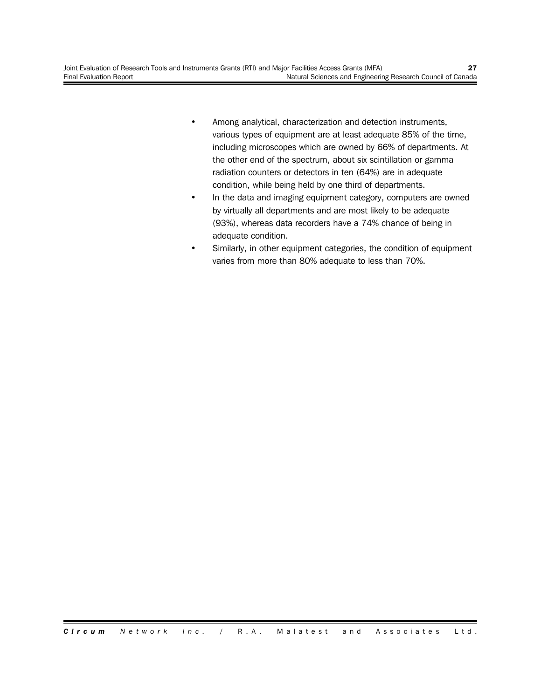- Among analytical, characterization and detection instruments, various types of equipment are at least adequate 85% of the time, including microscopes which are owned by 66% of departments. At the other end of the spectrum, about six scintillation or gamma radiation counters or detectors in ten (64%) are in adequate condition, while being held by one third of departments.
- In the data and imaging equipment category, computers are owned by virtually all departments and are most likely to be adequate (93%), whereas data recorders have a 74% chance of being in adequate condition.
- Similarly, in other equipment categories, the condition of equipment varies from more than 80% adequate to less than 70%.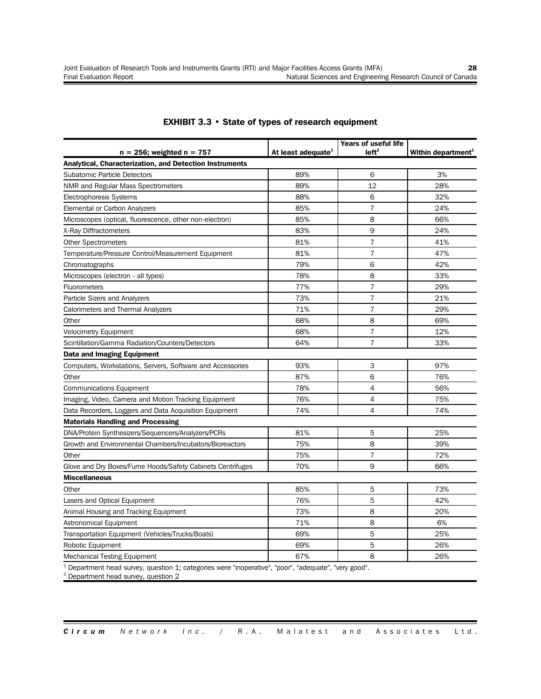| $n = 256$ ; weighted $n = 757$                                 | At least adequate <sup>1</sup>                                      | <b>Years of useful life</b><br>left <sup>2</sup> | Within department <sup>1</sup> |
|----------------------------------------------------------------|---------------------------------------------------------------------|--------------------------------------------------|--------------------------------|
| <b>Analytical, Characterization, and Detection Instruments</b> |                                                                     |                                                  |                                |
| Subatomic Particle Detectors                                   | 89%                                                                 | 6                                                | 3%                             |
| NMR and Regular Mass Spectrometers                             | 89%                                                                 | 12                                               | 28%                            |
| Electrophoresis Systems                                        | 88%                                                                 | 6                                                | 32%                            |
| Elemental or Carbon Analyzers                                  | 85%                                                                 | $\overline{7}$                                   | 24%                            |
| Microscopes (optical, fluorescence, other non-electron)        | 85%                                                                 | 8                                                | 66%                            |
| X-Ray Diffractometers                                          | 83%                                                                 | 9                                                | 24%                            |
| <b>Other Spectrometers</b>                                     | 81%                                                                 | $\overline{1}$                                   | 41%                            |
| Temperature/Pressure Control/Measurement Equipment             | 81%                                                                 | $\overline{1}$                                   | 47%                            |
| Chromatographs                                                 | 79%                                                                 | 6                                                | 42%                            |
| Microscopes (electron - all types)                             | 78%                                                                 | 8                                                | 33%                            |
| Fluorometers                                                   | 77%                                                                 | $\overline{7}$                                   | 29%                            |
| Particle Sizers and Analyzers                                  | 73%                                                                 | $\overline{7}$                                   | 21%                            |
| Calorimeters and Thermal Analyzers                             | 71%                                                                 | $\overline{7}$                                   | 29%                            |
| Other                                                          | 68%                                                                 | 8                                                | 69%                            |
| <b>Velocimetry Equipment</b>                                   | 68%                                                                 | $\overline{7}$                                   | 12%                            |
| Scintillation/Gamma Radiation/Counters/Detectors               | 64%                                                                 | $\overline{7}$                                   | 33%                            |
| <b>Data and Imaging Equipment</b>                              |                                                                     |                                                  |                                |
| Computers, Workstations, Servers, Software and Accessories     | 93%                                                                 | 3                                                | 97%                            |
| Other                                                          | 87%                                                                 | 6                                                | 76%                            |
| <b>Communications Equipment</b>                                | 78%                                                                 | 4                                                | 56%                            |
| Imaging, Video, Camera and Motion Tracking Equipment           | 76%                                                                 | 4                                                | 75%                            |
| Data Recorders, Loggers and Data Acquisition Equipment         | 74%                                                                 | 4                                                | 74%                            |
| <b>Materials Handling and Processing</b>                       |                                                                     |                                                  |                                |
| DNA/Protein Synthesizers/Sequencers/Analyzers/PCRs             | 81%                                                                 | 5                                                | 25%                            |
| Growth and Environmental Chambers/Incubators/Bioreactors       | 75%                                                                 | 8                                                | 39%                            |
| Other                                                          | 75%                                                                 | $\overline{7}$                                   | 72%                            |
| Glove and Dry Boxes/Fume Hoods/Safety Cabinets Centrifuges     | 70%                                                                 | 9                                                | 66%                            |
| <b>Miscellaneous</b>                                           |                                                                     |                                                  |                                |
| Other                                                          | 85%                                                                 | 5                                                | 73%                            |
| Lasers and Optical Equipment                                   | 76%                                                                 | 5                                                | 42%                            |
| Animal Housing and Tracking Equipment                          | 73%                                                                 | 8                                                | 20%                            |
| Astronomical Equipment                                         | 71%                                                                 | 8                                                | 6%                             |
| Transportation Equipment (Vehicles/Trucks/Boats)               | 69%                                                                 | 5                                                | 25%                            |
| Robotic Equipment                                              | 69%                                                                 | 5                                                | 26%                            |
| <b>Mechanical Testing Equipment</b><br>$1n-1$<br>112.4         | 67%<br>والمستلف المتلق والمتواطن<br>$-100 - 10 =$<br>$4.4 \pm 0.01$ | 8<br>an.                                         | 26%                            |

#### **EXHIBIT 3.3 • State of types of research equipment**

<sup>1</sup> Department head survey, question 1; categories were "inoperative", "poor", "adequate", "very good".

<sup>2</sup> Department head survey, question 2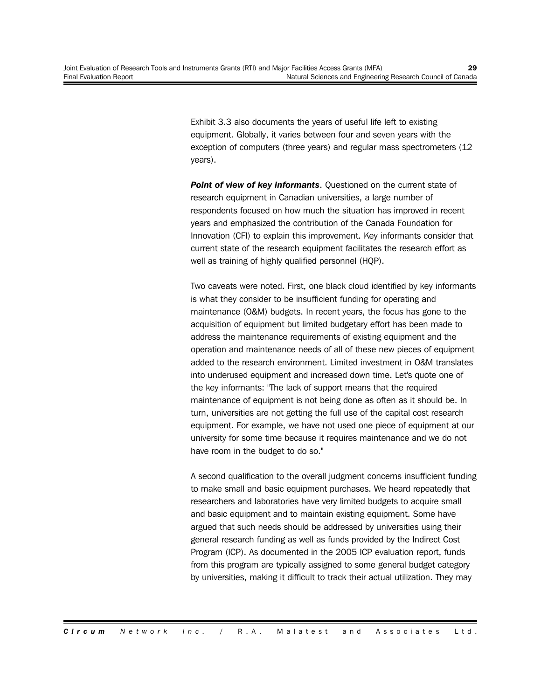Exhibit 3.3 also documents the years of useful life left to existing equipment. Globally, it varies between four and seven years with the exception of computers (three years) and regular mass spectrometers (12 years).

*Point of view of key informants*. Questioned on the current state of research equipment in Canadian universities, a large number of respondents focused on how much the situation has improved in recent years and emphasized the contribution of the Canada Foundation for Innovation (CFI) to explain this improvement. Key informants consider that current state of the research equipment facilitates the research effort as well as training of highly qualified personnel (HQP).

Two caveats were noted. First, one black cloud identified by key informants is what they consider to be insufficient funding for operating and maintenance (O&M) budgets. In recent years, the focus has gone to the acquisition of equipment but limited budgetary effort has been made to address the maintenance requirements of existing equipment and the operation and maintenance needs of all of these new pieces of equipment added to the research environment. Limited investment in O&M translates into underused equipment and increased down time. Let's quote one of the key informants: "The lack of support means that the required maintenance of equipment is not being done as often as it should be. In turn, universities are not getting the full use of the capital cost research equipment. For example, we have not used one piece of equipment at our university for some time because it requires maintenance and we do not have room in the budget to do so."

A second qualification to the overall judgment concerns insufficient funding to make small and basic equipment purchases. We heard repeatedly that researchers and laboratories have very limited budgets to acquire small and basic equipment and to maintain existing equipment. Some have argued that such needs should be addressed by universities using their general research funding as well as funds provided by the Indirect Cost Program (ICP). As documented in the 2005 ICP evaluation report, funds from this program are typically assigned to some general budget category by universities, making it difficult to track their actual utilization. They may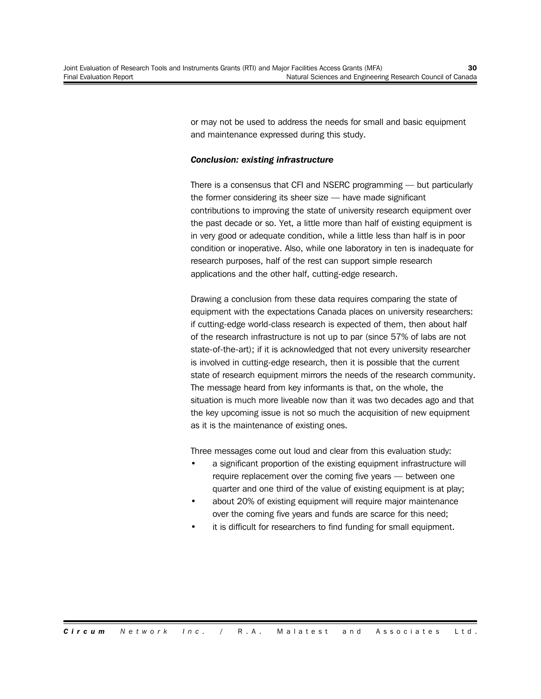or may not be used to address the needs for small and basic equipment and maintenance expressed during this study.

#### *Conclusion: existing infrastructure*

There is a consensus that CFI and NSERC programming — but particularly the former considering its sheer size — have made significant contributions to improving the state of university research equipment over the past decade or so. Yet, a little more than half of existing equipment is in very good or adequate condition, while a little less than half is in poor condition or inoperative. Also, while one laboratory in ten is inadequate for research purposes, half of the rest can support simple research applications and the other half, cutting-edge research.

Drawing a conclusion from these data requires comparing the state of equipment with the expectations Canada places on university researchers: if cutting-edge world-class research is expected of them, then about half of the research infrastructure is not up to par (since 57% of labs are not state-of-the-art); if it is acknowledged that not every university researcher is involved in cutting-edge research, then it is possible that the current state of research equipment mirrors the needs of the research community. The message heard from key informants is that, on the whole, the situation is much more liveable now than it was two decades ago and that the key upcoming issue is not so much the acquisition of new equipment as it is the maintenance of existing ones.

Three messages come out loud and clear from this evaluation study:

- a significant proportion of the existing equipment infrastructure will require replacement over the coming five years — between one quarter and one third of the value of existing equipment is at play;
- about 20% of existing equipment will require major maintenance over the coming five years and funds are scarce for this need;
- it is difficult for researchers to find funding for small equipment.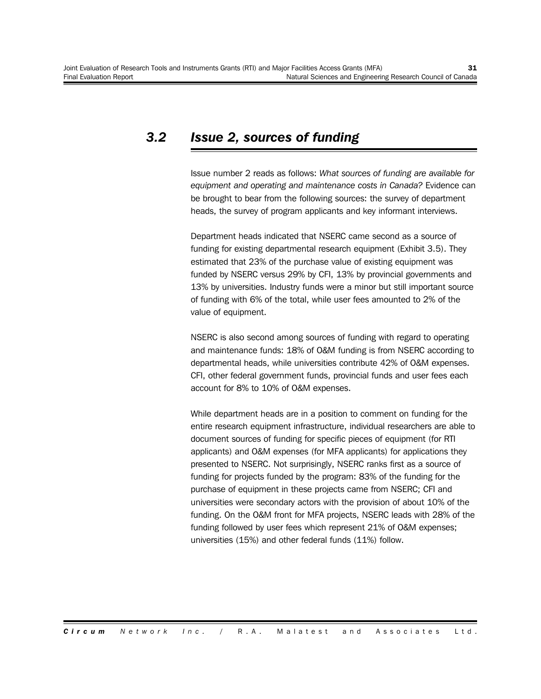## *3.2 Issue 2, sources of funding*

Issue number 2 reads as follows: *What sources of funding are available for equipment and operating and maintenance costs in Canada?* Evidence can be brought to bear from the following sources: the survey of department heads, the survey of program applicants and key informant interviews.

Department heads indicated that NSERC came second as a source of funding for existing departmental research equipment (Exhibit 3.5). They estimated that 23% of the purchase value of existing equipment was funded by NSERC versus 29% by CFI, 13% by provincial governments and 13% by universities. Industry funds were a minor but still important source of funding with 6% of the total, while user fees amounted to 2% of the value of equipment.

NSERC is also second among sources of funding with regard to operating and maintenance funds: 18% of O&M funding is from NSERC according to departmental heads, while universities contribute 42% of O&M expenses. CFI, other federal government funds, provincial funds and user fees each account for 8% to 10% of O&M expenses.

While department heads are in a position to comment on funding for the entire research equipment infrastructure, individual researchers are able to document sources of funding for specific pieces of equipment (for RTI applicants) and O&M expenses (for MFA applicants) for applications they presented to NSERC. Not surprisingly, NSERC ranks first as a source of funding for projects funded by the program: 83% of the funding for the purchase of equipment in these projects came from NSERC; CFI and universities were secondary actors with the provision of about 10% of the funding. On the O&M front for MFA projects, NSERC leads with 28% of the funding followed by user fees which represent 21% of O&M expenses; universities (15%) and other federal funds (11%) follow.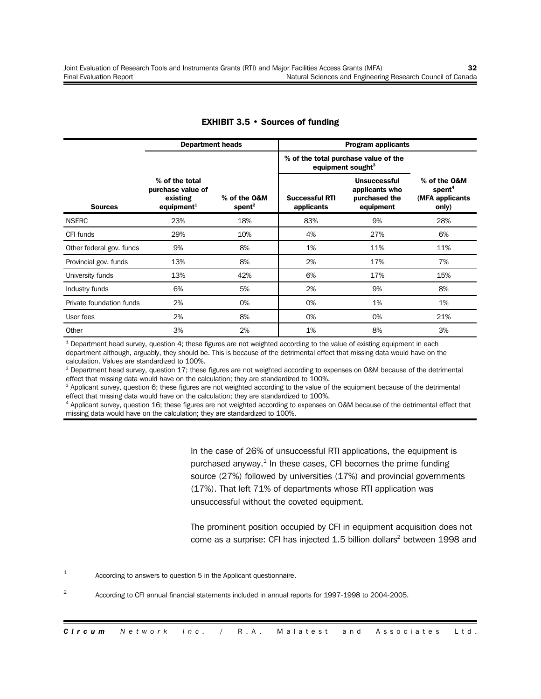|                          | <b>Department heads</b>                                                   |                                       | <b>Program applicants</b>                                             |                                                                     |                                                                   |  |
|--------------------------|---------------------------------------------------------------------------|---------------------------------------|-----------------------------------------------------------------------|---------------------------------------------------------------------|-------------------------------------------------------------------|--|
|                          |                                                                           |                                       | % of the total purchase value of the<br>equipment sought <sup>3</sup> |                                                                     |                                                                   |  |
| <b>Sources</b>           | % of the total<br>purchase value of<br>existing<br>equipment <sup>1</sup> | % of the O&M<br>$s$ pent <sup>2</sup> | <b>Successful RTI</b><br>applicants                                   | <b>Unsuccessful</b><br>applicants who<br>purchased the<br>equipment | % of the O&M<br>$s$ pent <sup>4</sup><br>(MFA applicants<br>only) |  |
| <b>NSERC</b>             | 23%                                                                       | 18%                                   | 83%                                                                   | 9%                                                                  | 28%                                                               |  |
| CFI funds                | 29%                                                                       | 10%                                   | 4%                                                                    | 27%                                                                 | 6%                                                                |  |
| Other federal gov. funds | 9%                                                                        | 8%                                    | 1%                                                                    | 11%                                                                 | 11%                                                               |  |
| Provincial gov. funds    | 13%                                                                       | 8%                                    | 2%                                                                    | 17%                                                                 | 7%                                                                |  |
| University funds         | 13%                                                                       | 42%                                   | 6%                                                                    | 17%                                                                 | 15%                                                               |  |
| Industry funds           | 6%                                                                        | 5%                                    | 2%                                                                    | 9%                                                                  | 8%                                                                |  |
| Private foundation funds | 2%                                                                        | 0%                                    | 0%                                                                    | 1%                                                                  | 1%                                                                |  |
| User fees                | 2%                                                                        | 8%                                    | 0%                                                                    | 0%                                                                  | 21%                                                               |  |
| Other                    | 3%                                                                        | 2%                                    | 1%                                                                    | 8%                                                                  | 3%                                                                |  |

#### **EXHIBIT 3.5 • Sources of funding**

<sup>1</sup> Department head survey, question 4; these figures are not weighted according to the value of existing equipment in each department although, arguably, they should be. This is because of the detrimental effect that missing data would have on the calculation. Values are standardized to 100%.

<sup>2</sup> Department head survey, question 17; these figures are not weighted according to expenses on O&M because of the detrimental effect that missing data would have on the calculation; they are standardized to 100%.

<sup>3</sup> Applicant survey, question 6; these figures are not weighted according to the value of the equipment because of the detrimental effect that missing data would have on the calculation; they are standardized to 100%.

<sup>4</sup> Applicant survey, question 16; these figures are not weighted according to expenses on O&M because of the detrimental effect that missing data would have on the calculation; they are standardized to 100%.

> In the case of 26% of unsuccessful RTI applications, the equipment is purchased anyway. $^{1}$  In these cases, CFI becomes the prime funding source (27%) followed by universities (17%) and provincial governments (17%). That left 71% of departments whose RTI application was unsuccessful without the coveted equipment.

The prominent position occupied by CFI in equipment acquisition does not come as a surprise: CFI has injected 1.5 billion dollars<sup>2</sup> between 1998 and

1 According to answers to question 5 in the Applicant questionnaire.

<sup>2</sup> According to CFI annual financial statements included in annual reports for 1997-1998 to 2004-2005.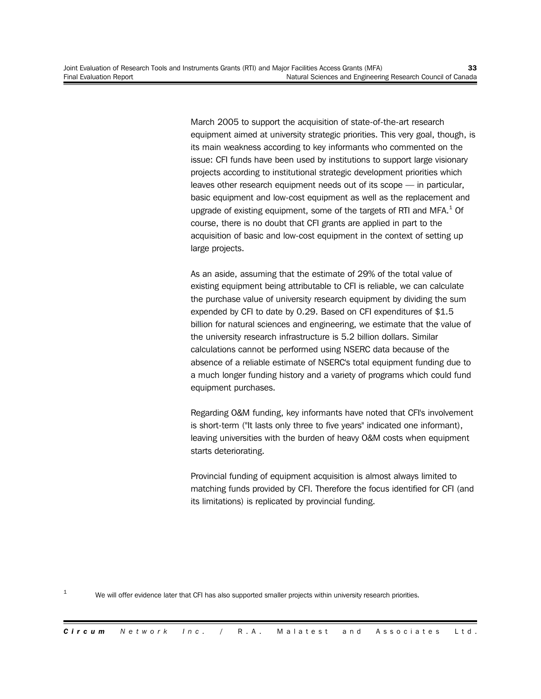March 2005 to support the acquisition of state-of-the-art research equipment aimed at university strategic priorities. This very goal, though, is its main weakness according to key informants who commented on the issue: CFI funds have been used by institutions to support large visionary projects according to institutional strategic development priorities which leaves other research equipment needs out of its scope — in particular, basic equipment and low-cost equipment as well as the replacement and upgrade of existing equipment, some of the targets of RTI and MFA. $<sup>1</sup>$  Of</sup> course, there is no doubt that CFI grants are applied in part to the acquisition of basic and low-cost equipment in the context of setting up large projects.

As an aside, assuming that the estimate of 29% of the total value of existing equipment being attributable to CFI is reliable, we can calculate the purchase value of university research equipment by dividing the sum expended by CFI to date by 0.29. Based on CFI expenditures of \$1.5 billion for natural sciences and engineering, we estimate that the value of the university research infrastructure is 5.2 billion dollars. Similar calculations cannot be performed using NSERC data because of the absence of a reliable estimate of NSERC's total equipment funding due to a much longer funding history and a variety of programs which could fund equipment purchases.

Regarding O&M funding, key informants have noted that CFI's involvement is short-term ("It lasts only three to five years" indicated one informant), leaving universities with the burden of heavy O&M costs when equipment starts deteriorating.

Provincial funding of equipment acquisition is almost always limited to matching funds provided by CFI. Therefore the focus identified for CFI (and its limitations) is replicated by provincial funding.

 $1$  We will offer evidence later that CFI has also supported smaller projects within university research priorities.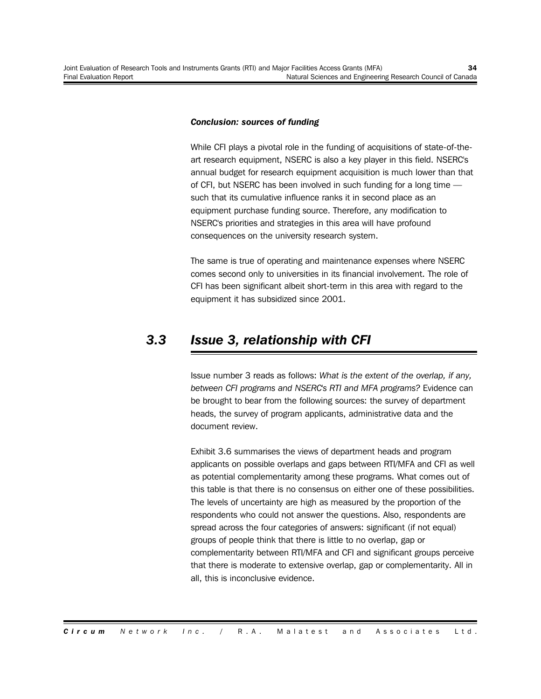#### *Conclusion: sources of funding*

While CFI plays a pivotal role in the funding of acquisitions of state-of-theart research equipment, NSERC is also a key player in this field. NSERC's annual budget for research equipment acquisition is much lower than that of CFI, but NSERC has been involved in such funding for a long time such that its cumulative influence ranks it in second place as an equipment purchase funding source. Therefore, any modification to NSERC's priorities and strategies in this area will have profound consequences on the university research system.

The same is true of operating and maintenance expenses where NSERC comes second only to universities in its financial involvement. The role of CFI has been significant albeit short-term in this area with regard to the equipment it has subsidized since 2001.

### *3.3 Issue 3, relationship with CFI*

Issue number 3 reads as follows: *What is the extent of the overlap, if any, between CFI programs and NSERC's RTI and MFA programs?* Evidence can be brought to bear from the following sources: the survey of department heads, the survey of program applicants, administrative data and the document review.

Exhibit 3.6 summarises the views of department heads and program applicants on possible overlaps and gaps between RTI/MFA and CFI as well as potential complementarity among these programs. What comes out of this table is that there is no consensus on either one of these possibilities. The levels of uncertainty are high as measured by the proportion of the respondents who could not answer the questions. Also, respondents are spread across the four categories of answers: significant (if not equal) groups of people think that there is little to no overlap, gap or complementarity between RTI/MFA and CFI and significant groups perceive that there is moderate to extensive overlap, gap or complementarity. All in all, this is inconclusive evidence.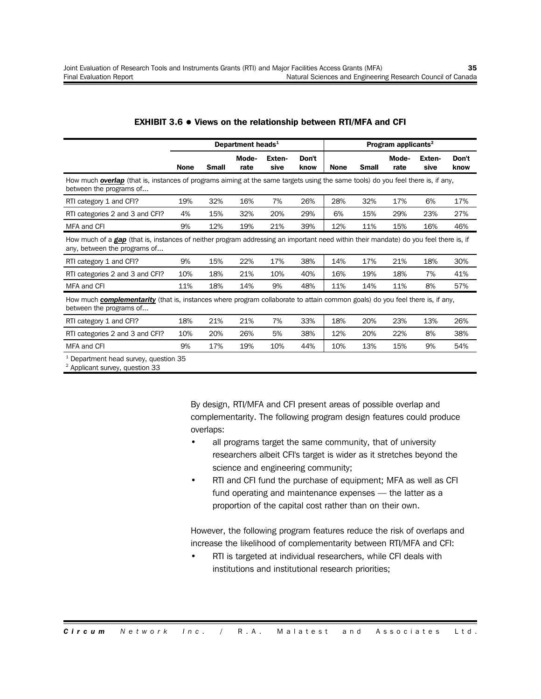|                                                                                                                                                                             |             | Department heads <sup>1</sup> |               |                | Program applicants <sup>2</sup> |             |              |               |                |               |
|-----------------------------------------------------------------------------------------------------------------------------------------------------------------------------|-------------|-------------------------------|---------------|----------------|---------------------------------|-------------|--------------|---------------|----------------|---------------|
|                                                                                                                                                                             | <b>None</b> | <b>Small</b>                  | Mode-<br>rate | Exten-<br>sive | Don't<br>know                   | <b>None</b> | <b>Small</b> | Mode-<br>rate | Exten-<br>sive | Don't<br>know |
| How much <b>overlap</b> (that is, instances of programs aiming at the same targets using the same tools) do you feel there is, if any,<br>between the programs of           |             |                               |               |                |                                 |             |              |               |                |               |
| RTI category 1 and CFI?                                                                                                                                                     | 19%         | 32%                           | 16%           | 7%             | 26%                             | 28%         | 32%          | 17%           | 6%             | 17%           |
| RTI categories 2 and 3 and CFI?                                                                                                                                             | 4%          | 15%                           | 32%           | 20%            | 29%                             | 6%          | 15%          | 29%           | 23%            | 27%           |
| MFA and CFI                                                                                                                                                                 | 9%          | 12%                           | 19%           | 21%            | 39%                             | 12%         | 11%          | 15%           | 16%            | 46%           |
| How much of a <b>gap</b> (that is, instances of neither program addressing an important need within their mandate) do you feel there is, if<br>any, between the programs of |             |                               |               |                |                                 |             |              |               |                |               |
| RTI category 1 and CFI?                                                                                                                                                     | 9%          | 15%                           | 22%           | 17%            | 38%                             | 14%         | 17%          | 21%           | 18%            | 30%           |
| RTI categories 2 and 3 and CFI?                                                                                                                                             | 10%         | 18%                           | 21%           | 10%            | 40%                             | 16%         | 19%          | 18%           | 7%             | 41%           |
| MFA and CFI                                                                                                                                                                 | 11%         | 18%                           | 14%           | 9%             | 48%                             | 11%         | 14%          | 11%           | 8%             | 57%           |
| How much <b>complementarity</b> (that is, instances where program collaborate to attain common goals) do you feel there is, if any,<br>between the programs of              |             |                               |               |                |                                 |             |              |               |                |               |
| RTI category 1 and CFI?                                                                                                                                                     | 18%         | 21%                           | 21%           | 7%             | 33%                             | 18%         | 20%          | 23%           | 13%            | 26%           |
| RTI categories 2 and 3 and CFI?                                                                                                                                             | 10%         | 20%                           | 26%           | 5%             | 38%                             | 12%         | 20%          | 22%           | 8%             | 38%           |
| MFA and CFI                                                                                                                                                                 | 9%          | 17%                           | 19%           | 10%            | 44%                             | 10%         | 13%          | 15%           | 9%             | 54%           |

#### **EXHIBIT 3.6 ! Views on the relationship between RTI/MFA and CFI**

<sup>1</sup> Department head survey, question 35

<sup>2</sup> Applicant survey, question 33

By design, RTI/MFA and CFI present areas of possible overlap and complementarity. The following program design features could produce overlaps:

- all programs target the same community, that of university researchers albeit CFI's target is wider as it stretches beyond the science and engineering community;
- RTI and CFI fund the purchase of equipment; MFA as well as CFI fund operating and maintenance expenses — the latter as a proportion of the capital cost rather than on their own.

However, the following program features reduce the risk of overlaps and increase the likelihood of complementarity between RTI/MFA and CFI:

• RTI is targeted at individual researchers, while CFI deals with institutions and institutional research priorities;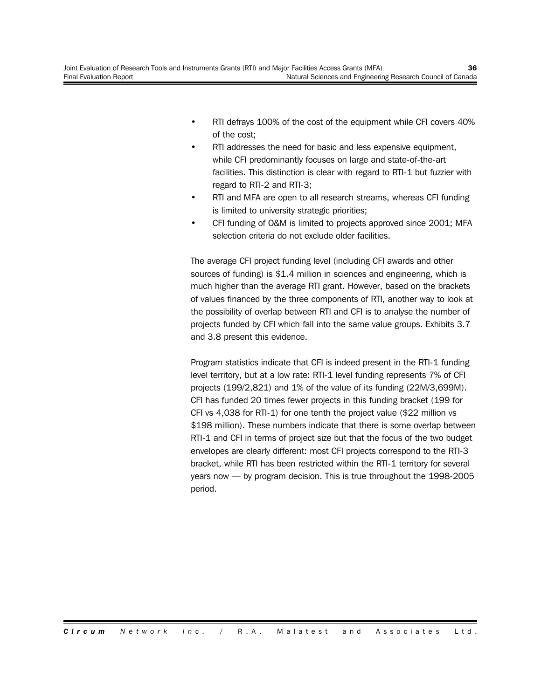- RTI defrays 100% of the cost of the equipment while CFI covers 40% of the cost;
- RTI addresses the need for basic and less expensive equipment, while CFI predominantly focuses on large and state-of-the-art facilities. This distinction is clear with regard to RTI-1 but fuzzier with regard to RTI-2 and RTI-3;
- RTI and MFA are open to all research streams, whereas CFI funding is limited to university strategic priorities;
- CFI funding of O&M is limited to projects approved since 2001; MFA selection criteria do not exclude older facilities.

The average CFI project funding level (including CFI awards and other sources of funding) is \$1.4 million in sciences and engineering, which is much higher than the average RTI grant. However, based on the brackets of values financed by the three components of RTI, another way to look at the possibility of overlap between RTI and CFI is to analyse the number of projects funded by CFI which fall into the same value groups. Exhibits 3.7 and 3.8 present this evidence.

Program statistics indicate that CFI is indeed present in the RTI-1 funding level territory, but at a low rate: RTI-1 level funding represents 7% of CFI projects (199/2,821) and 1% of the value of its funding (22M/3,699M). CFI has funded 20 times fewer projects in this funding bracket (199 for CFI vs 4,038 for RTI-1) for one tenth the project value (\$22 million vs \$198 million). These numbers indicate that there is some overlap between RTI-1 and CFI in terms of project size but that the focus of the two budget envelopes are clearly different: most CFI projects correspond to the RTI-3 bracket, while RTI has been restricted within the RTI-1 territory for several years now — by program decision. This is true throughout the 1998-2005 period.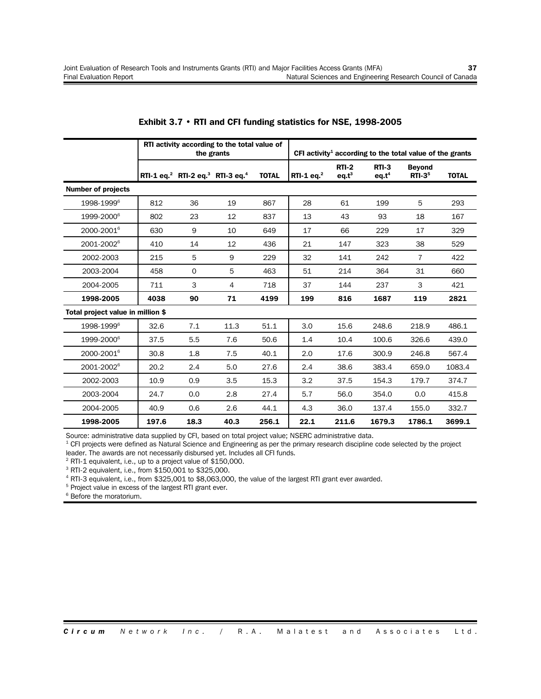|                                   | RTI activity according to the total value of<br>the grants |                                                                      |      |              |              |                              | CFI activity <sup>1</sup> according to the total value of the grants |                           |              |
|-----------------------------------|------------------------------------------------------------|----------------------------------------------------------------------|------|--------------|--------------|------------------------------|----------------------------------------------------------------------|---------------------------|--------------|
|                                   |                                                            | RTI-1 eq. <sup>2</sup> RTI-2 eq. <sup>3</sup> RTI-3 eq. <sup>4</sup> |      | <b>TOTAL</b> | RTI-1 $ea^2$ | $RTI-2$<br>eq.t <sup>3</sup> | $RTI-3$<br>eq.t <sup>4</sup>                                         | <b>Beyond</b><br>$RTI-35$ | <b>TOTAL</b> |
| <b>Number of projects</b>         |                                                            |                                                                      |      |              |              |                              |                                                                      |                           |              |
| 1998-1999 <sup>6</sup>            | 812                                                        | 36                                                                   | 19   | 867          | 28           | 61                           | 199                                                                  | 5                         | 293          |
| 1999-2000 <sup>6</sup>            | 802                                                        | 23                                                                   | 12   | 837          | 13           | 43                           | 93                                                                   | 18                        | 167          |
| 2000-2001 <sup>6</sup>            | 630                                                        | 9                                                                    | 10   | 649          | 17           | 66                           | 229                                                                  | 17                        | 329          |
| 2001-2002 <sup>6</sup>            | 410                                                        | 14                                                                   | 12   | 436          | 21           | 147                          | 323                                                                  | 38                        | 529          |
| 2002-2003                         | 215                                                        | 5                                                                    | 9    | 229          | 32           | 141                          | 242                                                                  | $\overline{7}$            | 422          |
| 2003-2004                         | 458                                                        | $\mathbf 0$                                                          | 5    | 463          | 51           | 214                          | 364                                                                  | 31                        | 660          |
| 2004-2005                         | 711                                                        | 3                                                                    | 4    | 718          | 37           | 144                          | 237                                                                  | 3                         | 421          |
| 1998-2005                         | 4038                                                       | 90                                                                   | 71   | 4199         | 199          | 816                          | 1687                                                                 | 119                       | 2821         |
| Total project value in million \$ |                                                            |                                                                      |      |              |              |                              |                                                                      |                           |              |
| 1998-1999 <sup>6</sup>            | 32.6                                                       | 7.1                                                                  | 11.3 | 51.1         | 3.0          | 15.6                         | 248.6                                                                | 218.9                     | 486.1        |
| 1999-2000 <sup>6</sup>            | 37.5                                                       | 5.5                                                                  | 7.6  | 50.6         | 1.4          | 10.4                         | 100.6                                                                | 326.6                     | 439.0        |
| 2000-2001 <sup>6</sup>            | 30.8                                                       | 1.8                                                                  | 7.5  | 40.1         | 2.0          | 17.6                         | 300.9                                                                | 246.8                     | 567.4        |
| 2001-2002 <sup>6</sup>            | 20.2                                                       | 2.4                                                                  | 5.0  | 27.6         | 2.4          | 38.6                         | 383.4                                                                | 659.0                     | 1083.4       |
| 2002-2003                         | 10.9                                                       | 0.9                                                                  | 3.5  | 15.3         | 3.2          | 37.5                         | 154.3                                                                | 179.7                     | 374.7        |
| 2003-2004                         | 24.7                                                       | 0.0                                                                  | 2.8  | 27.4         | 5.7          | 56.0                         | 354.0                                                                | 0.0                       | 415.8        |
| 2004-2005                         | 40.9                                                       | 0.6                                                                  | 2.6  | 44.1         | 4.3          | 36.0                         | 137.4                                                                | 155.0                     | 332.7        |
| 1998-2005                         | 197.6                                                      | 18.3                                                                 | 40.3 | 256.1        | 22.1         | 211.6                        | 1679.3                                                               | 1786.1                    | 3699.1       |

#### **Exhibit 3.7 • RTI and CFI funding statistics for NSE, 1998-2005**

Source: administrative data supplied by CFI, based on total project value; NSERC administrative data.

<sup>1</sup> CFI projects were defined as Natural Science and Engineering as per the primary research discipline code selected by the project leader. The awards are not necessarily disbursed yet. Includes all CFI funds.

<sup>2</sup> RTI-1 equivalent, i.e., up to a project value of \$150,000.

<sup>3</sup> RTI-2 equivalent, i.e., from \$150,001 to \$325,000.

<sup>4</sup> RTI-3 equivalent, i.e., from \$325,001 to \$8,063,000, the value of the largest RTI grant ever awarded.

<sup>5</sup> Project value in excess of the largest RTI grant ever.

<sup>6</sup> Before the moratorium.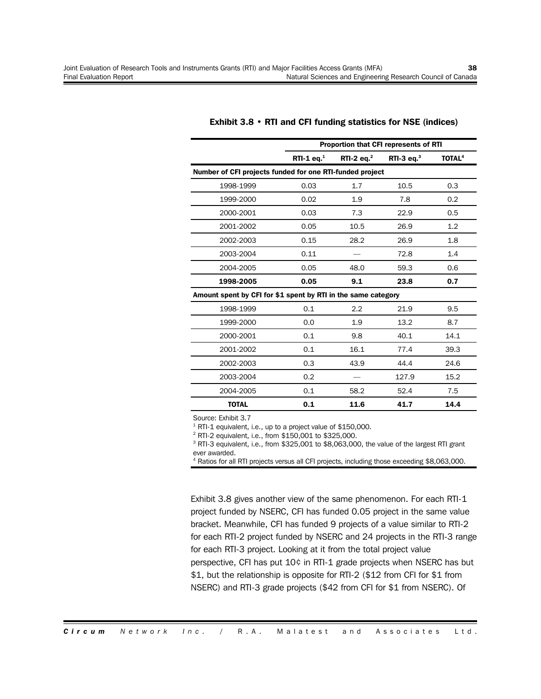|                                                               | <b>Proportion that CFI represents of RTI</b> |               |               |                          |  |  |  |
|---------------------------------------------------------------|----------------------------------------------|---------------|---------------|--------------------------|--|--|--|
|                                                               | RTI-1 $eq1$                                  | RTI-2 $eq.^2$ | RTI-3 $eq.^3$ | <b>TOTAL<sup>4</sup></b> |  |  |  |
| Number of CFI projects funded for one RTI-funded project      |                                              |               |               |                          |  |  |  |
| 1998-1999                                                     | 0.03                                         | 1.7           | 10.5          | 0.3                      |  |  |  |
| 1999-2000                                                     | 0.02                                         | 1.9           | 7.8           | 0.2                      |  |  |  |
| 2000-2001                                                     | 0.03                                         | 7.3           | 22.9          | 0.5                      |  |  |  |
| 2001-2002                                                     | 0.05                                         | 10.5          | 26.9          | 1.2                      |  |  |  |
| 2002-2003                                                     | 0.15                                         | 28.2          | 26.9          | 1.8                      |  |  |  |
| 2003-2004                                                     | 0.11                                         |               | 72.8          | 1.4                      |  |  |  |
| 2004-2005                                                     | 0.05                                         | 48.0          | 59.3          | 0.6                      |  |  |  |
| 1998-2005                                                     | 0.05                                         | 9.1           | 23.8          | 0.7                      |  |  |  |
| Amount spent by CFI for \$1 spent by RTI in the same category |                                              |               |               |                          |  |  |  |
| 1998-1999                                                     | 0.1                                          | 2.2           | 21.9          | 9.5                      |  |  |  |
| 1999-2000                                                     | 0.0                                          | 1.9           | 13.2          | 8.7                      |  |  |  |
| 2000-2001                                                     | 0.1                                          | 9.8           | 40.1          | 14.1                     |  |  |  |
| 2001-2002                                                     | 0.1                                          | 16.1          | 77.4          | 39.3                     |  |  |  |
| 2002-2003                                                     | 0.3                                          | 43.9          | 44.4          | 24.6                     |  |  |  |
| 2003-2004                                                     | 0.2                                          |               | 127.9         | 15.2                     |  |  |  |
| 2004-2005                                                     | 0.1                                          | 58.2          | 52.4          | 7.5                      |  |  |  |
| <b>TOTAL</b>                                                  | 0.1                                          | 11.6          | 41.7          | 14.4                     |  |  |  |

#### **Exhibit 3.8 • RTI and CFI funding statistics for NSE (indices)**

Source: Exhibit 3.7

 $1$  RTI-1 equivalent, i.e., up to a project value of \$150,000.

<sup>2</sup> RTI-2 equivalent, i.e., from \$150,001 to \$325,000.

<sup>3</sup> RTI-3 equivalent, i.e., from \$325,001 to \$8,063,000, the value of the largest RTI grant ever awarded.

<sup>4</sup> Ratios for all RTI projects versus all CFI projects, including those exceeding \$8,063,000.

Exhibit 3.8 gives another view of the same phenomenon. For each RTI-1 project funded by NSERC, CFI has funded 0.05 project in the same value bracket. Meanwhile, CFI has funded 9 projects of a value similar to RTI-2 for each RTI-2 project funded by NSERC and 24 projects in the RTI-3 range for each RTI-3 project. Looking at it from the total project value perspective, CFI has put 10¢ in RTI-1 grade projects when NSERC has but \$1, but the relationship is opposite for RTI-2 (\$12 from CFI for \$1 from NSERC) and RTI-3 grade projects (\$42 from CFI for \$1 from NSERC). Of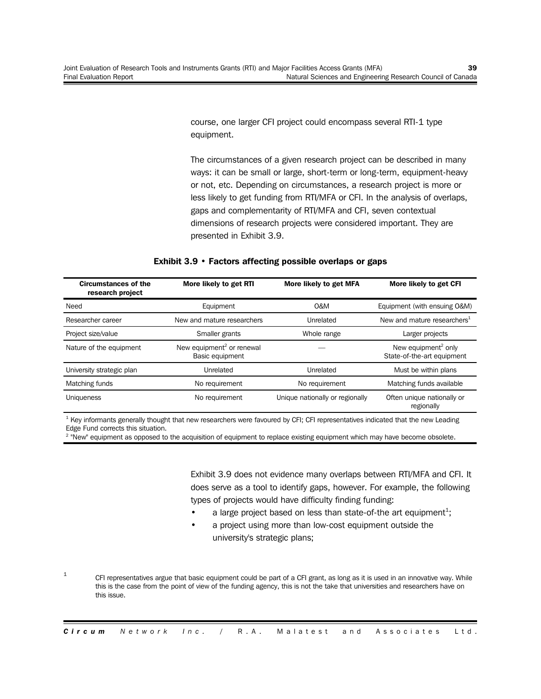course, one larger CFI project could encompass several RTI-1 type equipment.

The circumstances of a given research project can be described in many ways: it can be small or large, short-term or long-term, equipment-heavy or not, etc. Depending on circumstances, a research project is more or less likely to get funding from RTI/MFA or CFI. In the analysis of overlaps, gaps and complementarity of RTI/MFA and CFI, seven contextual dimensions of research projects were considered important. They are presented in Exhibit 3.9.

#### **Exhibit 3.9 • Factors affecting possible overlaps or gaps**

| <b>Circumstances of the</b><br>research project | More likely to get RTI                                   | More likely to get MFA          | More likely to get CFI                                        |
|-------------------------------------------------|----------------------------------------------------------|---------------------------------|---------------------------------------------------------------|
| Need                                            | Equipment                                                | O&M                             | Equipment (with ensuing O&M)                                  |
| Researcher career                               | New and mature researchers                               | Unrelated                       | New and mature researchers $1$                                |
| Project size/value                              | Smaller grants                                           | Whole range                     | Larger projects                                               |
| Nature of the equipment                         | New equipment <sup>2</sup> or renewal<br>Basic equipment |                                 | New equipment <sup>2</sup> only<br>State-of-the-art equipment |
| University strategic plan                       | Unrelated                                                | Unrelated                       | Must be within plans                                          |
| Matching funds                                  | No requirement                                           | No requirement                  | Matching funds available                                      |
| <b>Uniqueness</b>                               | No requirement                                           | Unique nationally or regionally | Often unique nationally or<br>regionally                      |

 $1$  Key informants generally thought that new researchers were favoured by CFI; CFI representatives indicated that the new Leading Edge Fund corrects this situation.

2 "New" equipment as opposed to the acquisition of equipment to replace existing equipment which may have become obsolete.

Exhibit 3.9 does not evidence many overlaps between RTI/MFA and CFI. It does serve as a tool to identify gaps, however. For example, the following types of projects would have difficulty finding funding:

- a large project based on less than state-of-the art equipment<sup>1</sup>;
- a project using more than low-cost equipment outside the university's strategic plans;

1 CFI representatives argue that basic equipment could be part of a CFI grant, as long as it is used in an innovative way. While this is the case from the point of view of the funding agency, this is not the take that universities and researchers have on this issue.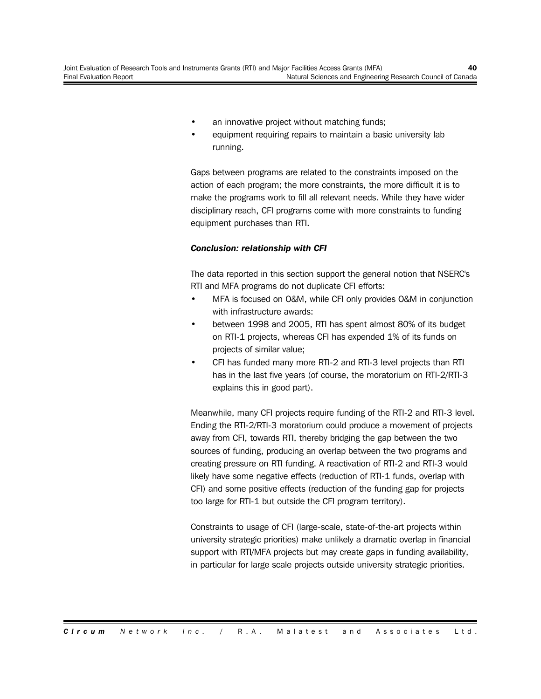- an innovative project without matching funds;
- equipment requiring repairs to maintain a basic university lab running.

Gaps between programs are related to the constraints imposed on the action of each program; the more constraints, the more difficult it is to make the programs work to fill all relevant needs. While they have wider disciplinary reach, CFI programs come with more constraints to funding equipment purchases than RTI.

#### *Conclusion: relationship with CFI*

The data reported in this section support the general notion that NSERC's RTI and MFA programs do not duplicate CFI efforts:

- MFA is focused on O&M, while CFI only provides O&M in conjunction with infrastructure awards:
- between 1998 and 2005, RTI has spent almost 80% of its budget on RTI-1 projects, whereas CFI has expended 1% of its funds on projects of similar value;
- CFI has funded many more RTI-2 and RTI-3 level projects than RTI has in the last five years (of course, the moratorium on RTI-2/RTI-3 explains this in good part).

Meanwhile, many CFI projects require funding of the RTI-2 and RTI-3 level. Ending the RTI-2/RTI-3 moratorium could produce a movement of projects away from CFI, towards RTI, thereby bridging the gap between the two sources of funding, producing an overlap between the two programs and creating pressure on RTI funding. A reactivation of RTI-2 and RTI-3 would likely have some negative effects (reduction of RTI-1 funds, overlap with CFI) and some positive effects (reduction of the funding gap for projects too large for RTI-1 but outside the CFI program territory).

Constraints to usage of CFI (large-scale, state-of-the-art projects within university strategic priorities) make unlikely a dramatic overlap in financial support with RTI/MFA projects but may create gaps in funding availability, in particular for large scale projects outside university strategic priorities.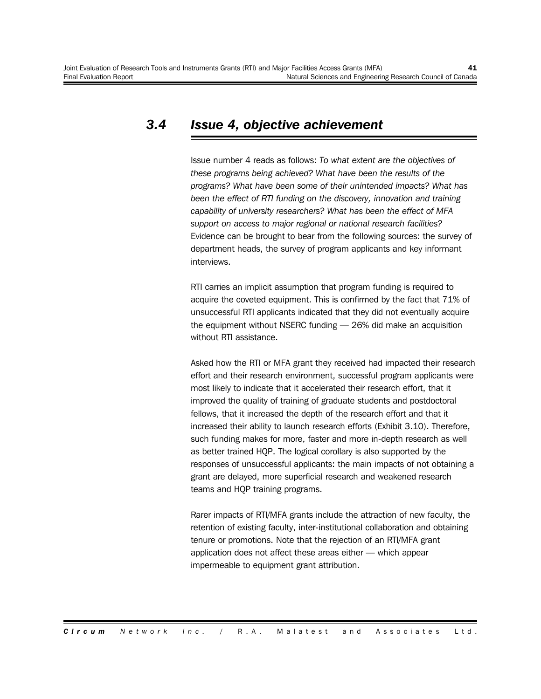# *3.4 Issue 4, objective achievement*

Issue number 4 reads as follows: *To what extent are the objectives of these programs being achieved? What have been the results of the programs? What have been some of their unintended impacts? What has been the effect of RTI funding on the discovery, innovation and training capability of university researchers? What has been the effect of MFA support on access to major regional or national research facilities?* Evidence can be brought to bear from the following sources: the survey of department heads, the survey of program applicants and key informant interviews.

RTI carries an implicit assumption that program funding is required to acquire the coveted equipment. This is confirmed by the fact that 71% of unsuccessful RTI applicants indicated that they did not eventually acquire the equipment without NSERC funding — 26% did make an acquisition without RTI assistance.

Asked how the RTI or MFA grant they received had impacted their research effort and their research environment, successful program applicants were most likely to indicate that it accelerated their research effort, that it improved the quality of training of graduate students and postdoctoral fellows, that it increased the depth of the research effort and that it increased their ability to launch research efforts (Exhibit 3.10). Therefore, such funding makes for more, faster and more in-depth research as well as better trained HQP. The logical corollary is also supported by the responses of unsuccessful applicants: the main impacts of not obtaining a grant are delayed, more superficial research and weakened research teams and HQP training programs.

Rarer impacts of RTI/MFA grants include the attraction of new faculty, the retention of existing faculty, inter-institutional collaboration and obtaining tenure or promotions. Note that the rejection of an RTI/MFA grant application does not affect these areas either — which appear impermeable to equipment grant attribution.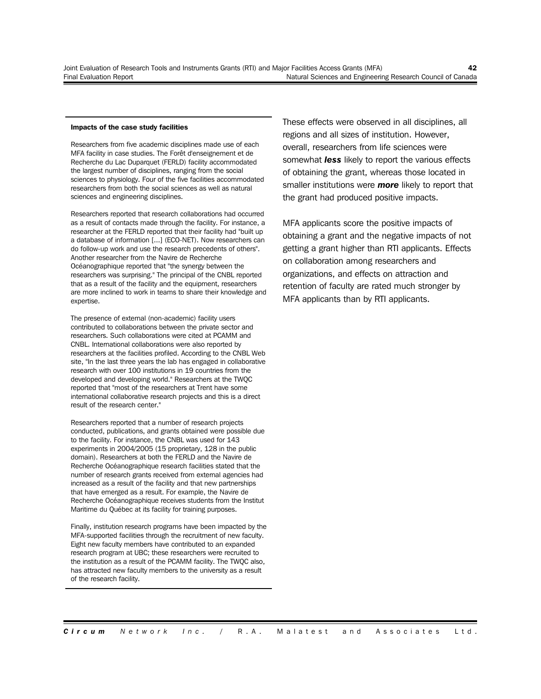Joint Evaluation of Research Tools and Instruments Grants (RTI) and Major Facilities Access Grants (MFA) **42** Final Evaluation Report **Natural Sciences and Engineering Research Council of Canada** Natural Sciences and Engineering Research Council of Canada

#### **Impacts of the case study facilities**

Researchers from five academic disciplines made use of each MFA facility in case studies. The Forêt d'enseignement et de Recherche du Lac Duparquet (FERLD) facility accommodated the largest number of disciplines, ranging from the social sciences to physiology. Four of the five facilities accommodated researchers from both the social sciences as well as natural sciences and engineering disciplines.

Researchers reported that research collaborations had occurred as a result of contacts made through the facility. For instance, a researcher at the FERLD reported that their facility had "built up a database of information [...] (ECO-NET). Now researchers can do follow-up work and use the research precedents of others". Another researcher from the Navire de Recherche Océanographique reported that "the synergy between the researchers was surprising." The principal of the CNBL reported that as a result of the facility and the equipment, researchers are more inclined to work in teams to share their knowledge and expertise.

The presence of external (non-academic) facility users contributed to collaborations between the private sector and researchers. Such collaborations were cited at PCAMM and CNBL. International collaborations were also reported by researchers at the facilities profiled. According to the CNBL Web site, "In the last three years the lab has engaged in collaborative research with over 100 institutions in 19 countries from the developed and developing world." Researchers at the TWQC reported that "most of the researchers at Trent have some international collaborative research projects and this is a direct result of the research center."

Researchers reported that a number of research projects conducted, publications, and grants obtained were possible due to the facility. For instance, the CNBL was used for 143 experiments in 2004/2005 (15 proprietary, 128 in the public domain). Researchers at both the FERLD and the Navire de Recherche Océanographique research facilities stated that the number of research grants received from external agencies had increased as a result of the facility and that new partnerships that have emerged as a result. For example, the Navire de Recherche Océanographique receives students from the Institut Maritime du Québec at its facility for training purposes.

Finally, institution research programs have been impacted by the MFA-supported facilities through the recruitment of new faculty. Eight new faculty members have contributed to an expanded research program at UBC; these researchers were recruited to the institution as a result of the PCAMM facility. The TWQC also, has attracted new faculty members to the university as a result of the research facility.

These effects were observed in all disciplines, all regions and all sizes of institution. However, overall, researchers from life sciences were somewhat *less* likely to report the various effects of obtaining the grant, whereas those located in smaller institutions were *more* likely to report that the grant had produced positive impacts.

MFA applicants score the positive impacts of obtaining a grant and the negative impacts of not getting a grant higher than RTI applicants. Effects on collaboration among researchers and organizations, and effects on attraction and retention of faculty are rated much stronger by MFA applicants than by RTI applicants.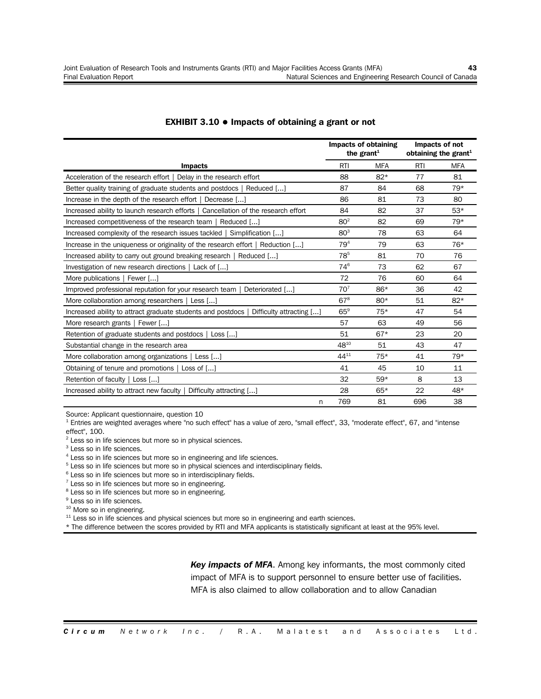|                                                                                        | <b>Impacts of obtaining</b><br>the grant <sup>1</sup> |            | Impacts of not<br>obtaining the grant <sup>1</sup> |            |
|----------------------------------------------------------------------------------------|-------------------------------------------------------|------------|----------------------------------------------------|------------|
| <b>Impacts</b>                                                                         | <b>RTI</b>                                            | <b>MFA</b> | <b>RTI</b>                                         | <b>MFA</b> |
| Acceleration of the research effort   Delay in the research effort                     | 88                                                    | $82*$      | 77                                                 | 81         |
| Better quality training of graduate students and postdocs   Reduced []                 | 87                                                    | 84         | 68                                                 | $79*$      |
| Increase in the depth of the research effort   Decrease []                             | 86                                                    | 81         | 73                                                 | 80         |
| Increased ability to launch research efforts   Cancellation of the research effort     | 84                                                    | 82         | 37                                                 | $53*$      |
| Increased competitiveness of the research team   Reduced []                            | 80 <sup>2</sup>                                       | 82         | 69                                                 | $79*$      |
| Increased complexity of the research issues tackled   Simplification []                | 80 <sup>3</sup>                                       | 78         | 63                                                 | 64         |
| Increase in the uniqueness or originality of the research effort   Reduction []        | $79^{4}$                                              | 79         | 63                                                 | $76*$      |
| Increased ability to carry out ground breaking research   Reduced []                   | 785                                                   | 81         | 70                                                 | 76         |
| Investigation of new research directions   Lack of []                                  | $74^{6}$                                              | 73         | 62                                                 | 67         |
| More publications   Fewer []                                                           | 72                                                    | 76         | 60                                                 | 64         |
| Improved professional reputation for your research team   Deteriorated []              | 70 <sup>7</sup>                                       | $86*$      | 36                                                 | 42         |
| More collaboration among researchers   Less []                                         | 67 <sup>8</sup>                                       | $80*$      | 51                                                 | $82*$      |
| Increased ability to attract graduate students and postdocs   Difficulty attracting [] | $65^\circ$                                            | $75*$      | 47                                                 | 54         |
| More research grants $ $ Fewer []                                                      | 57                                                    | 63         | 49                                                 | 56         |
| Retention of graduate students and postdocs   Loss []                                  | 51                                                    | $67*$      | 23                                                 | 20         |
| Substantial change in the research area                                                | $48^{10}$                                             | 51         | 43                                                 | 47         |
| More collaboration among organizations   Less []                                       | $44^{11}$                                             | $75*$      | 41                                                 | $79*$      |
| Obtaining of tenure and promotions   Loss of []                                        | 41                                                    | 45         | 10                                                 | 11         |
| Retention of faculty   Loss []                                                         | 32                                                    | $59*$      | 8                                                  | 13         |
| Difficulty attracting []<br>Increased ability to attract new faculty                   | 28                                                    | $65*$      | 22                                                 | 48*        |
| n                                                                                      | 769                                                   | 81         | 696                                                | 38         |

#### **EXHIBIT 3.10 ! Impacts of obtaining a grant or not**

Source: Applicant questionnaire, question 10

 $^1$  Entries are weighted averages where "no such effect" has a value of zero, "small effect", 33, "moderate effect", 67, and "intense effect", 100.

 $2$  Less so in life sciences but more so in physical sciences.

<sup>3</sup> Less so in life sciences.

<sup>4</sup> Less so in life sciences but more so in engineering and life sciences.

<sup>5</sup> Less so in life sciences but more so in physical sciences and interdisciplinary fields.

<sup>6</sup> Less so in life sciences but more so in interdisciplinary fields.

<sup>7</sup> Less so in life sciences but more so in engineering.

<sup>8</sup> Less so in life sciences but more so in engineering.

<sup>9</sup> Less so in life sciences.

<sup>10</sup> More so in engineering.

<sup>11</sup> Less so in life sciences and physical sciences but more so in engineering and earth sciences.

\* The difference between the scores provided by RTI and MFA applicants is statistically significant at least at the 95% level.

*Key impacts of MFA*. Among key informants, the most commonly cited impact of MFA is to support personnel to ensure better use of facilities. MFA is also claimed to allow collaboration and to allow Canadian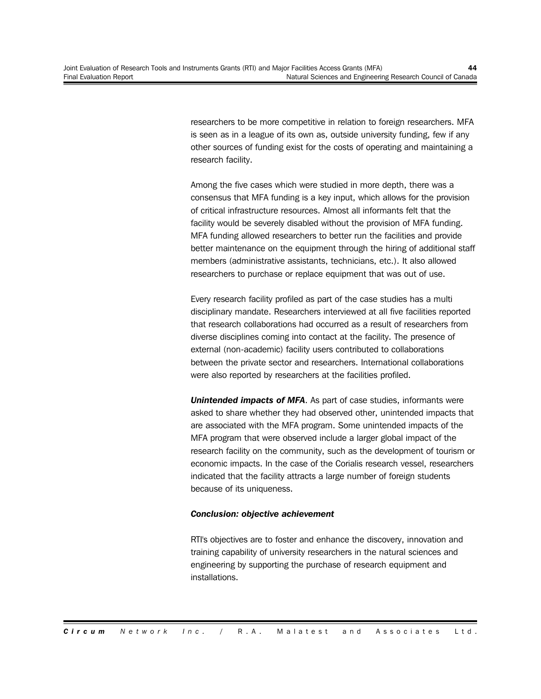researchers to be more competitive in relation to foreign researchers. MFA is seen as in a league of its own as, outside university funding, few if any other sources of funding exist for the costs of operating and maintaining a research facility.

Among the five cases which were studied in more depth, there was a consensus that MFA funding is a key input, which allows for the provision of critical infrastructure resources. Almost all informants felt that the facility would be severely disabled without the provision of MFA funding. MFA funding allowed researchers to better run the facilities and provide better maintenance on the equipment through the hiring of additional staff members (administrative assistants, technicians, etc.). It also allowed researchers to purchase or replace equipment that was out of use.

Every research facility profiled as part of the case studies has a multi disciplinary mandate. Researchers interviewed at all five facilities reported that research collaborations had occurred as a result of researchers from diverse disciplines coming into contact at the facility. The presence of external (non-academic) facility users contributed to collaborations between the private sector and researchers. International collaborations were also reported by researchers at the facilities profiled.

*Unintended impacts of MFA*. As part of case studies, informants were asked to share whether they had observed other, unintended impacts that are associated with the MFA program. Some unintended impacts of the MFA program that were observed include a larger global impact of the research facility on the community, such as the development of tourism or economic impacts. In the case of the Corialis research vessel, researchers indicated that the facility attracts a large number of foreign students because of its uniqueness.

#### *Conclusion: objective achievement*

RTI's objectives are to foster and enhance the discovery, innovation and training capability of university researchers in the natural sciences and engineering by supporting the purchase of research equipment and installations.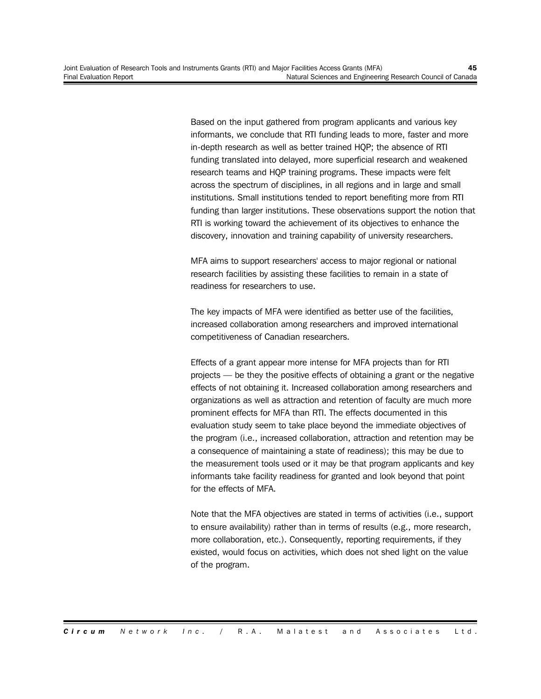Based on the input gathered from program applicants and various key informants, we conclude that RTI funding leads to more, faster and more in-depth research as well as better trained HQP; the absence of RTI funding translated into delayed, more superficial research and weakened research teams and HQP training programs. These impacts were felt across the spectrum of disciplines, in all regions and in large and small institutions. Small institutions tended to report benefiting more from RTI funding than larger institutions. These observations support the notion that RTI is working toward the achievement of its objectives to enhance the discovery, innovation and training capability of university researchers.

MFA aims to support researchers' access to major regional or national research facilities by assisting these facilities to remain in a state of readiness for researchers to use.

The key impacts of MFA were identified as better use of the facilities, increased collaboration among researchers and improved international competitiveness of Canadian researchers.

Effects of a grant appear more intense for MFA projects than for RTI projects — be they the positive effects of obtaining a grant or the negative effects of not obtaining it. Increased collaboration among researchers and organizations as well as attraction and retention of faculty are much more prominent effects for MFA than RTI. The effects documented in this evaluation study seem to take place beyond the immediate objectives of the program (i.e., increased collaboration, attraction and retention may be a consequence of maintaining a state of readiness); this may be due to the measurement tools used or it may be that program applicants and key informants take facility readiness for granted and look beyond that point for the effects of MFA.

Note that the MFA objectives are stated in terms of activities (i.e., support to ensure availability) rather than in terms of results (e.g., more research, more collaboration, etc.). Consequently, reporting requirements, if they existed, would focus on activities, which does not shed light on the value of the program.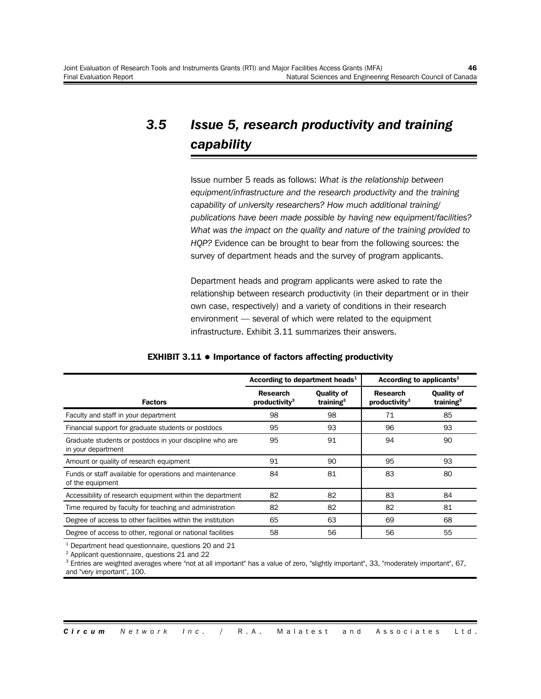# *3.5 Issue 5, research productivity and training capability*

Issue number 5 reads as follows: *What is the relationship between equipment/infrastructure and the research productivity and the training capability of university researchers? How much additional training/ publications have been made possible by having new equipment/facilities? What was the impact on the quality and nature of the training provided to HQP?* Evidence can be brought to bear from the following sources: the survey of department heads and the survey of program applicants.

Department heads and program applicants were asked to rate the relationship between research productivity (in their department or in their own case, respectively) and a variety of conditions in their research environment — several of which were related to the equipment infrastructure. Exhibit 3.11 summarizes their answers.

#### **EXHIBIT 3.11 ! Importance of factors affecting productivity**

|                                                                                | According to department heads <sup>1</sup>   |                                            | According to applicants <sup>2</sup>         |                                            |
|--------------------------------------------------------------------------------|----------------------------------------------|--------------------------------------------|----------------------------------------------|--------------------------------------------|
| <b>Factors</b>                                                                 | <b>Research</b><br>productivity <sup>3</sup> | <b>Quality of</b><br>training <sup>3</sup> | <b>Research</b><br>productivity <sup>3</sup> | <b>Quality of</b><br>training <sup>3</sup> |
| Faculty and staff in your department                                           | 98                                           | 98                                         | 71                                           | 85                                         |
| Financial support for graduate students or postdocs                            | 95                                           | 93                                         | 96                                           | 93                                         |
| Graduate students or postdocs in your discipline who are<br>in your department | 95                                           | 91                                         | 94                                           | 90                                         |
| Amount or quality of research equipment                                        | 91                                           | 90                                         | 95                                           | 93                                         |
| Funds or staff available for operations and maintenance<br>of the equipment    | 84                                           | 81                                         | 83                                           | 80                                         |
| Accessibility of research equipment within the department                      | 82                                           | 82                                         | 83                                           | 84                                         |
| Time required by faculty for teaching and administration                       | 82                                           | 82                                         | 82                                           | 81                                         |
| Degree of access to other facilities within the institution                    | 65                                           | 63                                         | 69                                           | 68                                         |
| Degree of access to other, regional or national facilities                     | 58                                           | 56                                         | 56                                           | 55                                         |

<sup>1</sup> Department head questionnaire, questions 20 and 21

<sup>2</sup> Applicant questionnaire, questions 21 and 22

 $^3$  Entries are weighted averages where "not at all important" has a value of zero, "slightly important", 33, "moderately important", 67, and "very important", 100.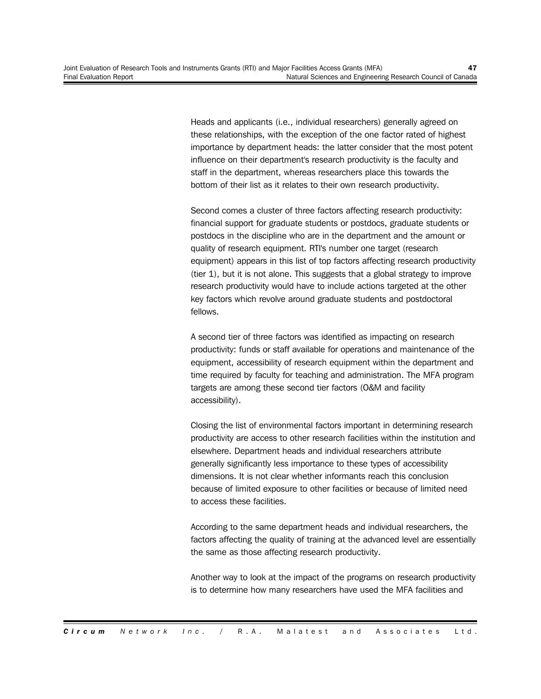Heads and applicants (i.e., individual researchers) generally agreed on these relationships, with the exception of the one factor rated of highest importance by department heads: the latter consider that the most potent influence on their department's research productivity is the faculty and staff in the department, whereas researchers place this towards the bottom of their list as it relates to their own research productivity.

Second comes a cluster of three factors affecting research productivity: financial support for graduate students or postdocs, graduate students or postdocs in the discipline who are in the department and the amount or quality of research equipment. RTI's number one target (research equipment) appears in this list of top factors affecting research productivity (tier 1), but it is not alone. This suggests that a global strategy to improve research productivity would have to include actions targeted at the other key factors which revolve around graduate students and postdoctoral fellows.

A second tier of three factors was identified as impacting on research productivity: funds or staff available for operations and maintenance of the equipment, accessibility of research equipment within the department and time required by faculty for teaching and administration. The MFA program targets are among these second tier factors (O&M and facility accessibility).

Closing the list of environmental factors important in determining research productivity are access to other research facilities within the institution and elsewhere. Department heads and individual researchers attribute generally significantly less importance to these types of accessibility dimensions. It is not clear whether informants reach this conclusion because of limited exposure to other facilities or because of limited need to access these facilities.

According to the same department heads and individual researchers, the factors affecting the quality of training at the advanced level are essentially the same as those affecting research productivity.

Another way to look at the impact of the programs on research productivity is to determine how many researchers have used the MFA facilities and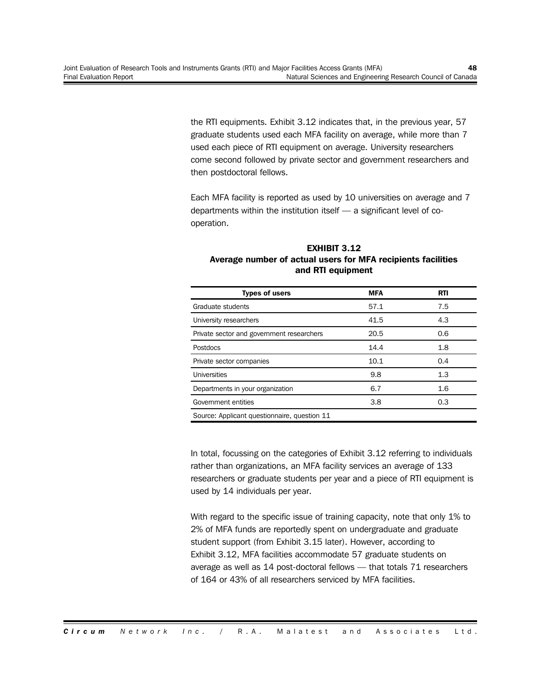the RTI equipments. Exhibit 3.12 indicates that, in the previous year, 57 graduate students used each MFA facility on average, while more than 7 used each piece of RTI equipment on average. University researchers come second followed by private sector and government researchers and then postdoctoral fellows.

Each MFA facility is reported as used by 10 universities on average and 7 departments within the institution itself — a significant level of cooperation.

| <b>Types of users</b>                        | MFA  | RTI |
|----------------------------------------------|------|-----|
| Graduate students                            | 57.1 | 7.5 |
| University researchers                       | 41.5 | 4.3 |
| Private sector and government researchers    | 20.5 | 0.6 |
| Postdocs                                     | 14.4 | 1.8 |
| Private sector companies                     | 10.1 | 0.4 |
| Universities                                 | 9.8  | 1.3 |
| Departments in your organization             | 6.7  | 1.6 |
| Government entities                          | 3.8  | 0.3 |
| Source: Applicant questionnaire, question 11 |      |     |

#### **EXHIBIT 3.12 Average number of actual users for MFA recipients facilities and RTI equipment**

In total, focussing on the categories of Exhibit 3.12 referring to individuals rather than organizations, an MFA facility services an average of 133 researchers or graduate students per year and a piece of RTI equipment is used by 14 individuals per year.

With regard to the specific issue of training capacity, note that only 1% to 2% of MFA funds are reportedly spent on undergraduate and graduate student support (from Exhibit 3.15 later). However, according to Exhibit 3.12, MFA facilities accommodate 57 graduate students on average as well as 14 post-doctoral fellows — that totals 71 researchers of 164 or 43% of all researchers serviced by MFA facilities.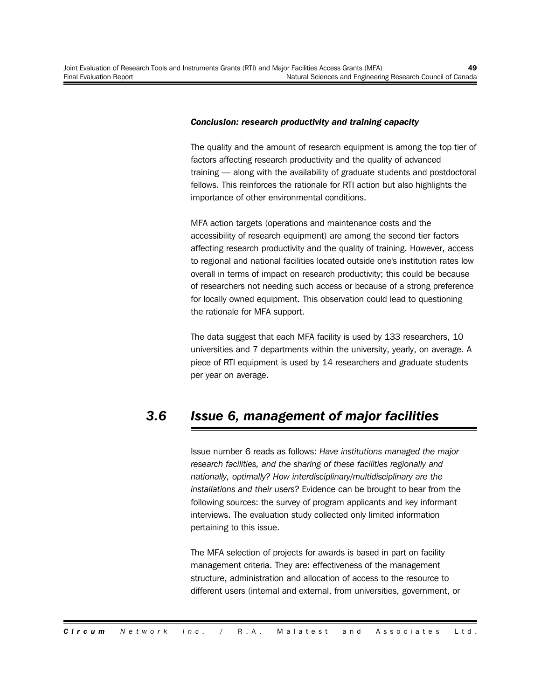#### *Conclusion: research productivity and training capacity*

The quality and the amount of research equipment is among the top tier of factors affecting research productivity and the quality of advanced training — along with the availability of graduate students and postdoctoral fellows. This reinforces the rationale for RTI action but also highlights the importance of other environmental conditions.

MFA action targets (operations and maintenance costs and the accessibility of research equipment) are among the second tier factors affecting research productivity and the quality of training. However, access to regional and national facilities located outside one's institution rates low overall in terms of impact on research productivity; this could be because of researchers not needing such access or because of a strong preference for locally owned equipment. This observation could lead to questioning the rationale for MFA support.

The data suggest that each MFA facility is used by 133 researchers, 10 universities and 7 departments within the university, yearly, on average. A piece of RTI equipment is used by 14 researchers and graduate students per year on average.

# *3.6 Issue 6, management of major facilities*

Issue number 6 reads as follows: *Have institutions managed the major research facilities, and the sharing of these facilities regionally and nationally, optimally? How interdisciplinary/multidisciplinary are the installations and their users?* Evidence can be brought to bear from the following sources: the survey of program applicants and key informant interviews. The evaluation study collected only limited information pertaining to this issue.

The MFA selection of projects for awards is based in part on facility management criteria. They are: effectiveness of the management structure, administration and allocation of access to the resource to different users (internal and external, from universities, government, or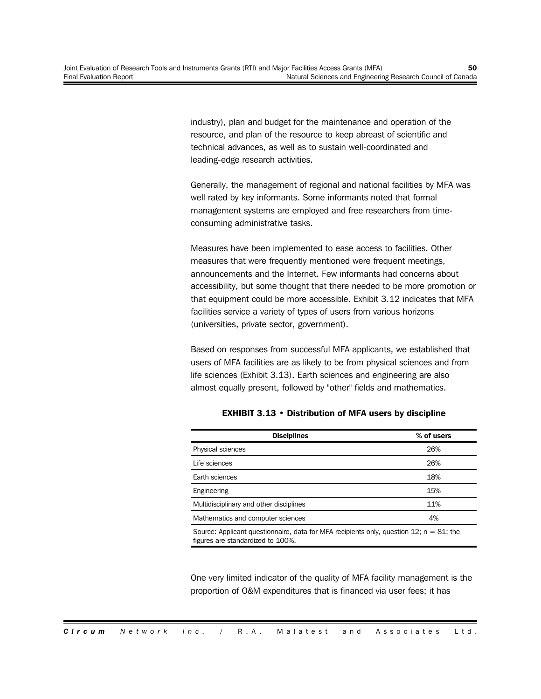industry), plan and budget for the maintenance and operation of the resource, and plan of the resource to keep abreast of scientific and technical advances, as well as to sustain well-coordinated and leading-edge research activities.

Generally, the management of regional and national facilities by MFA was well rated by key informants. Some informants noted that formal management systems are employed and free researchers from timeconsuming administrative tasks.

Measures have been implemented to ease access to facilities. Other measures that were frequently mentioned were frequent meetings, announcements and the Internet. Few informants had concerns about accessibility, but some thought that there needed to be more promotion or that equipment could be more accessible. Exhibit 3.12 indicates that MFA facilities service a variety of types of users from various horizons (universities, private sector, government).

Based on responses from successful MFA applicants, we established that users of MFA facilities are as likely to be from physical sciences and from life sciences (Exhibit 3.13). Earth sciences and engineering are also almost equally present, followed by "other" fields and mathematics.

| <b>Disciplines</b>                                                                                                              | % of users |
|---------------------------------------------------------------------------------------------------------------------------------|------------|
| Physical sciences                                                                                                               | 26%        |
| Life sciences                                                                                                                   | 26%        |
| Earth sciences                                                                                                                  | 18%        |
| Engineering                                                                                                                     | 15%        |
| Multidisciplinary and other disciplines                                                                                         | 11%        |
| Mathematics and computer sciences                                                                                               | 4%         |
| Source: Applicant questionnaire, data for MFA recipients only, question 12; $n = 81$ ; the<br>figures are standardized to 100%. |            |

#### **EXHIBIT 3.13 • Distribution of MFA users by discipline**

One very limited indicator of the quality of MFA facility management is the proportion of O&M expenditures that is financed via user fees; it has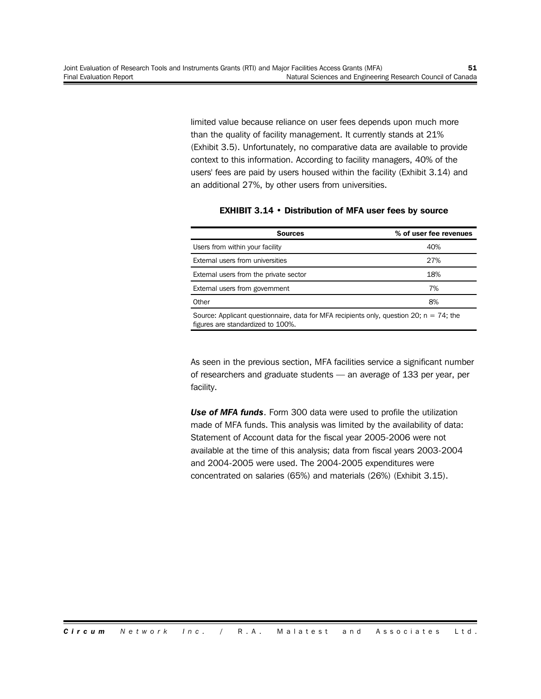limited value because reliance on user fees depends upon much more than the quality of facility management. It currently stands at 21% (Exhibit 3.5). Unfortunately, no comparative data are available to provide context to this information. According to facility managers, 40% of the users' fees are paid by users housed within the facility (Exhibit 3.14) and an additional 27%, by other users from universities.

#### **EXHIBIT 3.14 • Distribution of MFA user fees by source**

| <b>Sources</b>                                                                                                                  | % of user fee revenues |
|---------------------------------------------------------------------------------------------------------------------------------|------------------------|
| Users from within your facility                                                                                                 | 40%                    |
| External users from universities                                                                                                | 27%                    |
| External users from the private sector                                                                                          | 18%                    |
| External users from government                                                                                                  | 7%                     |
| Other                                                                                                                           | 8%                     |
| Source: Applicant questionnaire, data for MFA recipients only, question 20; $n = 74$ ; the<br>figures are standardized to 100%. |                        |

As seen in the previous section, MFA facilities service a significant number of researchers and graduate students — an average of 133 per year, per facility.

*Use of MFA funds*. Form 300 data were used to profile the utilization made of MFA funds. This analysis was limited by the availability of data: Statement of Account data for the fiscal year 2005-2006 were not available at the time of this analysis; data from fiscal years 2003-2004 and 2004-2005 were used. The 2004-2005 expenditures were concentrated on salaries (65%) and materials (26%) (Exhibit 3.15).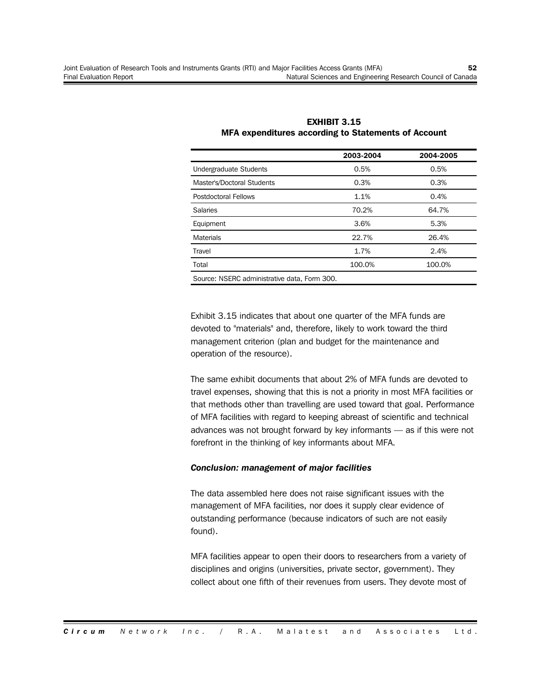|                                              | 2003-2004 | 2004-2005 |
|----------------------------------------------|-----------|-----------|
| Undergraduate Students                       | 0.5%      | 0.5%      |
| Master's/Doctoral Students                   | 0.3%      | 0.3%      |
| Postdoctoral Fellows                         | 1.1%      | 0.4%      |
| <b>Salaries</b>                              | 70.2%     | 64.7%     |
| Equipment                                    | 3.6%      | 5.3%      |
| <b>Materials</b>                             | 22.7%     | 26.4%     |
| Travel                                       | 1.7%      | 2.4%      |
| Total                                        | 100.0%    | 100.0%    |
| Source: NSERC administrative data, Form 300. |           |           |

**EXHIBIT 3.15 MFA expenditures according to Statements of Account**

Exhibit 3.15 indicates that about one quarter of the MFA funds are devoted to "materials" and, therefore, likely to work toward the third management criterion (plan and budget for the maintenance and operation of the resource).

The same exhibit documents that about 2% of MFA funds are devoted to travel expenses, showing that this is not a priority in most MFA facilities or that methods other than travelling are used toward that goal. Performance of MFA facilities with regard to keeping abreast of scientific and technical advances was not brought forward by key informants — as if this were not forefront in the thinking of key informants about MFA.

#### *Conclusion: management of major facilities*

The data assembled here does not raise significant issues with the management of MFA facilities, nor does it supply clear evidence of outstanding performance (because indicators of such are not easily found).

MFA facilities appear to open their doors to researchers from a variety of disciplines and origins (universities, private sector, government). They collect about one fifth of their revenues from users. They devote most of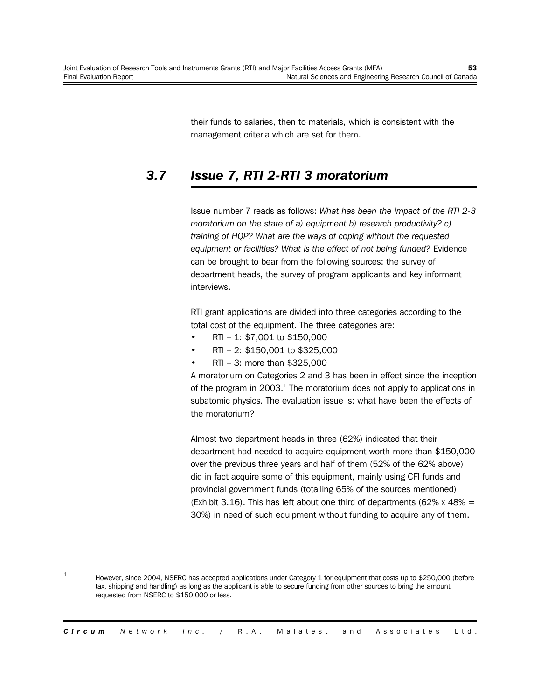their funds to salaries, then to materials, which is consistent with the management criteria which are set for them.

# *3.7 Issue 7, RTI 2-RTI 3 moratorium*

Issue number 7 reads as follows: *What has been the impact of the RTI 2-3 moratorium on the state of a) equipment b) research productivity? c) training of HQP? What are the ways of coping without the requested equipment or facilities? What is the effect of not being funded?* Evidence can be brought to bear from the following sources: the survey of department heads, the survey of program applicants and key informant interviews.

RTI grant applications are divided into three categories according to the total cost of the equipment. The three categories are:

- RTI 1: \$7,001 to \$150,000
- RTI 2: \$150,001 to \$325,000
- RTI 3: more than \$325,000

A moratorium on Categories 2 and 3 has been in effect since the inception of the program in 2003. $^1$  The moratorium does not apply to applications in subatomic physics. The evaluation issue is: what have been the effects of the moratorium?

Almost two department heads in three (62%) indicated that their department had needed to acquire equipment worth more than \$150,000 over the previous three years and half of them (52% of the 62% above) did in fact acquire some of this equipment, mainly using CFI funds and provincial government funds (totalling 65% of the sources mentioned) (Exhibit 3.16). This has left about one third of departments (62% x 48% = 30%) in need of such equipment without funding to acquire any of them.

1 However, since 2004, NSERC has accepted applications under Category 1 for equipment that costs up to \$250,000 (before tax, shipping and handling) as long as the applicant is able to secure funding from other sources to bring the amount requested from NSERC to \$150,000 or less.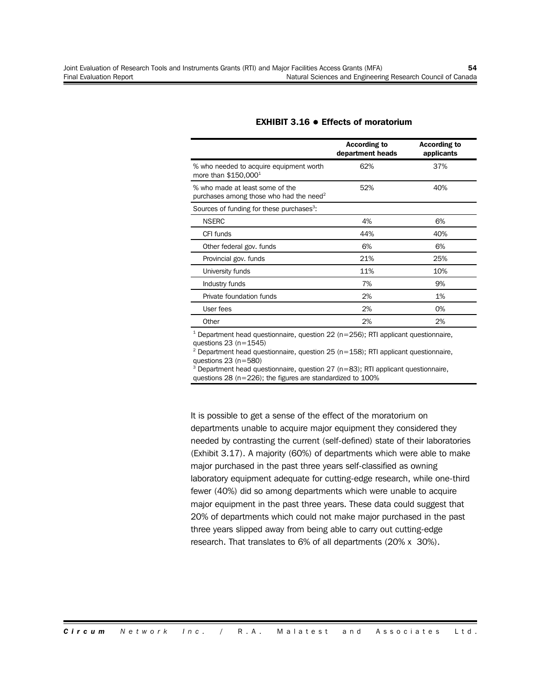|                                                                                        | <b>According to</b><br>department heads | According to<br>applicants |
|----------------------------------------------------------------------------------------|-----------------------------------------|----------------------------|
| % who needed to acquire equipment worth<br>more than $$150,000^1$                      | 62%                                     | 37%                        |
| % who made at least some of the<br>purchases among those who had the need <sup>2</sup> | 52%                                     | 40%                        |
| Sources of funding for these purchases <sup>3</sup> :                                  |                                         |                            |
| <b>NSERC</b>                                                                           | 4%                                      | 6%                         |
| CFI funds                                                                              | 44%                                     | 40%                        |
| Other federal gov. funds                                                               | 6%                                      | 6%                         |
| Provincial gov. funds                                                                  | 21%                                     | 25%                        |
| University funds                                                                       | 11%                                     | 10%                        |
| Industry funds                                                                         | 7%                                      | 9%                         |
| Private foundation funds                                                               | 2%                                      | 1%                         |
| User fees                                                                              | 2%                                      | 0%                         |
| Other                                                                                  | 2%                                      | 2%                         |

#### **EXHIBIT 3.16 ! Effects of moratorium**

 $1$  Department head questionnaire, question 22 (n=256); RTI applicant questionnaire, questions  $23(n=1545)$ 

<sup>2</sup> Department head questionnaire, question  $25$  (n=158); RTI applicant questionnaire, questions 23 (n=580)

 $3$  Department head questionnaire, question 27 (n=83); RTI applicant questionnaire, questions 28 (n=226); the figures are standardized to 100%

It is possible to get a sense of the effect of the moratorium on departments unable to acquire major equipment they considered they needed by contrasting the current (self-defined) state of their laboratories (Exhibit 3.17). A majority (60%) of departments which were able to make major purchased in the past three years self-classified as owning laboratory equipment adequate for cutting-edge research, while one-third fewer (40%) did so among departments which were unable to acquire major equipment in the past three years. These data could suggest that 20% of departments which could not make major purchased in the past three years slipped away from being able to carry out cutting-edge research. That translates to 6% of all departments (20% x 30%).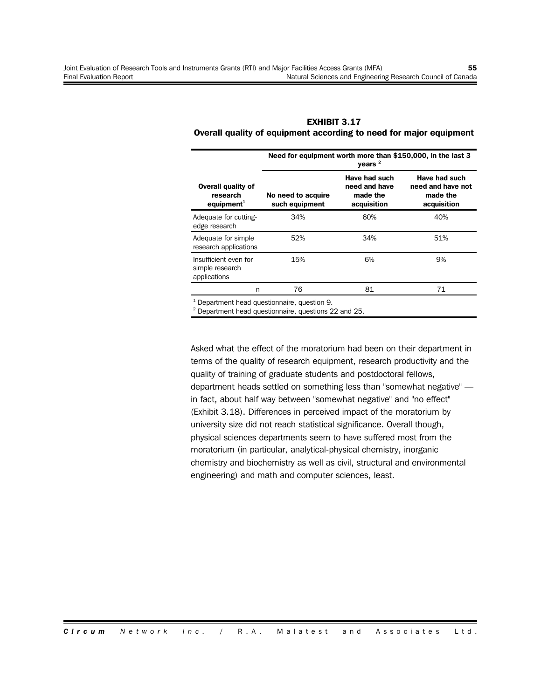|                                                          | Need for equipment worth more than \$150,000, in the last 3<br>vears $2$ |                                                           |                                                               |  |
|----------------------------------------------------------|--------------------------------------------------------------------------|-----------------------------------------------------------|---------------------------------------------------------------|--|
| <b>Overall quality of</b><br>research<br>equipment $1$   | No need to acquire<br>such equipment                                     | Have had such<br>need and have<br>made the<br>acquisition | Have had such<br>need and have not<br>made the<br>acquisition |  |
| Adequate for cutting-<br>edge research                   | 34%                                                                      | 60%                                                       | 40%                                                           |  |
| Adequate for simple<br>research applications             | 52%                                                                      | 34%                                                       | 51%                                                           |  |
| Insufficient even for<br>simple research<br>applications | 15%                                                                      | 6%                                                        | 9%                                                            |  |
| n                                                        | 76                                                                       | 81                                                        | 71                                                            |  |

#### **EXHIBIT 3.17 Overall quality of equipment according to need for major equipment**

<sup>1</sup> Department head questionnaire, question 9.

<sup>2</sup> Department head questionnaire, questions 22 and 25.

Asked what the effect of the moratorium had been on their department in terms of the quality of research equipment, research productivity and the quality of training of graduate students and postdoctoral fellows, department heads settled on something less than "somewhat negative" in fact, about half way between "somewhat negative" and "no effect" (Exhibit 3.18). Differences in perceived impact of the moratorium by university size did not reach statistical significance. Overall though, physical sciences departments seem to have suffered most from the moratorium (in particular, analytical-physical chemistry, inorganic chemistry and biochemistry as well as civil, structural and environmental engineering) and math and computer sciences, least.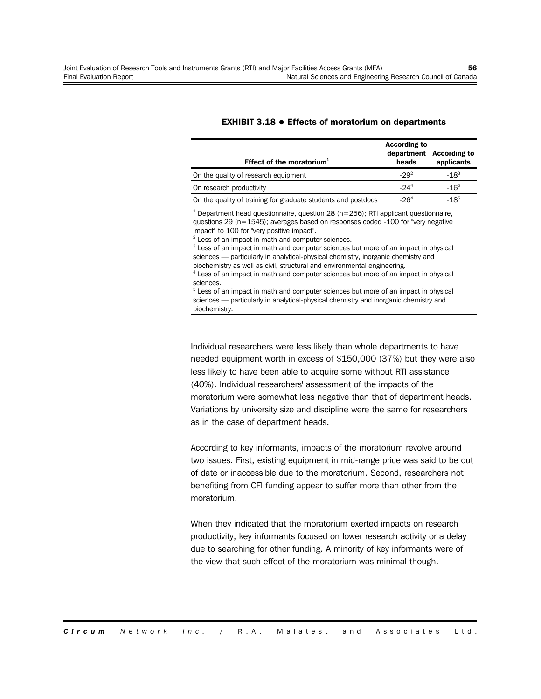#### **EXHIBIT 3.18 ! Effects of moratorium on departments**

| Effect of the moratorium <sup>1</sup>                         | According to<br>department<br>heads | According to<br>applicants |
|---------------------------------------------------------------|-------------------------------------|----------------------------|
| On the quality of research equipment                          | $-29^{2}$                           | $-18^{3}$                  |
| On research productivity                                      | $-24^{4}$                           | $-16^5$                    |
| On the quality of training for graduate students and postdocs | $-264$                              | $-18^{5}$                  |
|                                                               |                                     |                            |

 $1$  Department head questionnaire, question 28 (n=256); RTI applicant questionnaire, questions 29 (n=1545); averages based on responses coded -100 for "very negative impact" to 100 for "very positive impact".

 $2$  Less of an impact in math and computer sciences.

 $3$  Less of an impact in math and computer sciences but more of an impact in physical sciences - particularly in analytical-physical chemistry, inorganic chemistry and biochemistry as well as civil, structural and environmental engineering.

<sup>4</sup> Less of an impact in math and computer sciences but more of an impact in physical sciences.

<sup>5</sup> Less of an impact in math and computer sciences but more of an impact in physical sciences — particularly in analytical-physical chemistry and inorganic chemistry and biochemistry.

Individual researchers were less likely than whole departments to have needed equipment worth in excess of \$150,000 (37%) but they were also less likely to have been able to acquire some without RTI assistance (40%). Individual researchers' assessment of the impacts of the moratorium were somewhat less negative than that of department heads. Variations by university size and discipline were the same for researchers as in the case of department heads.

According to key informants, impacts of the moratorium revolve around two issues. First, existing equipment in mid-range price was said to be out of date or inaccessible due to the moratorium. Second, researchers not benefiting from CFI funding appear to suffer more than other from the moratorium.

When they indicated that the moratorium exerted impacts on research productivity, key informants focused on lower research activity or a delay due to searching for other funding. A minority of key informants were of the view that such effect of the moratorium was minimal though.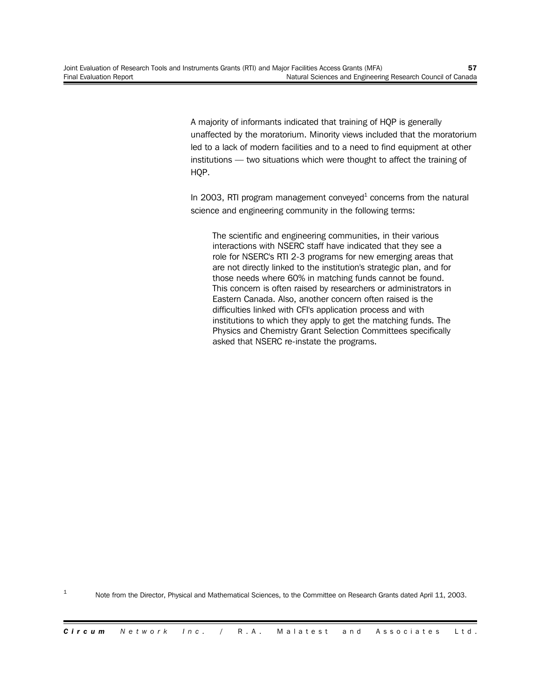A majority of informants indicated that training of HQP is generally unaffected by the moratorium. Minority views included that the moratorium led to a lack of modern facilities and to a need to find equipment at other institutions — two situations which were thought to affect the training of HQP.

In 2003, RTI program management conveyed<sup>1</sup> concerns from the natural science and engineering community in the following terms:

The scientific and engineering communities, in their various interactions with NSERC staff have indicated that they see a role for NSERC's RTI 2-3 programs for new emerging areas that are not directly linked to the institution's strategic plan, and for those needs where 60% in matching funds cannot be found. This concern is often raised by researchers or administrators in Eastern Canada. Also, another concern often raised is the difficulties linked with CFI's application process and with institutions to which they apply to get the matching funds. The Physics and Chemistry Grant Selection Committees specifically asked that NSERC re-instate the programs.

1 Note from the Director, Physical and Mathematical Sciences, to the Committee on Research Grants dated April 11, 2003.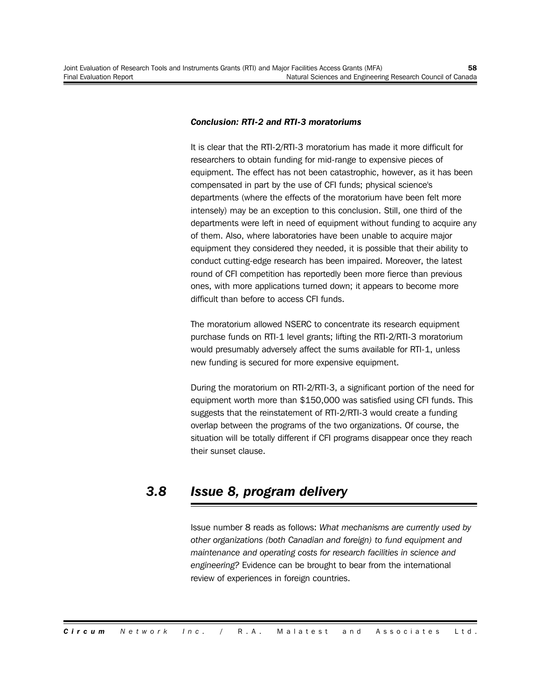#### *Conclusion: RTI-2 and RTI-3 moratoriums*

It is clear that the RTI-2/RTI-3 moratorium has made it more difficult for researchers to obtain funding for mid-range to expensive pieces of equipment. The effect has not been catastrophic, however, as it has been compensated in part by the use of CFI funds; physical science's departments (where the effects of the moratorium have been felt more intensely) may be an exception to this conclusion. Still, one third of the departments were left in need of equipment without funding to acquire any of them. Also, where laboratories have been unable to acquire major equipment they considered they needed, it is possible that their ability to conduct cutting-edge research has been impaired. Moreover, the latest round of CFI competition has reportedly been more fierce than previous ones, with more applications turned down; it appears to become more difficult than before to access CFI funds.

The moratorium allowed NSERC to concentrate its research equipment purchase funds on RTI-1 level grants; lifting the RTI-2/RTI-3 moratorium would presumably adversely affect the sums available for RTI-1, unless new funding is secured for more expensive equipment.

During the moratorium on RTI-2/RTI-3, a significant portion of the need for equipment worth more than \$150,000 was satisfied using CFI funds. This suggests that the reinstatement of RTI-2/RTI-3 would create a funding overlap between the programs of the two organizations. Of course, the situation will be totally different if CFI programs disappear once they reach their sunset clause.

## *3.8 Issue 8, program delivery*

Issue number 8 reads as follows: *What mechanisms are currently used by other organizations (both Canadian and foreign) to fund equipment and maintenance and operating costs for research facilities in science and engineering?* Evidence can be brought to bear from the international review of experiences in foreign countries.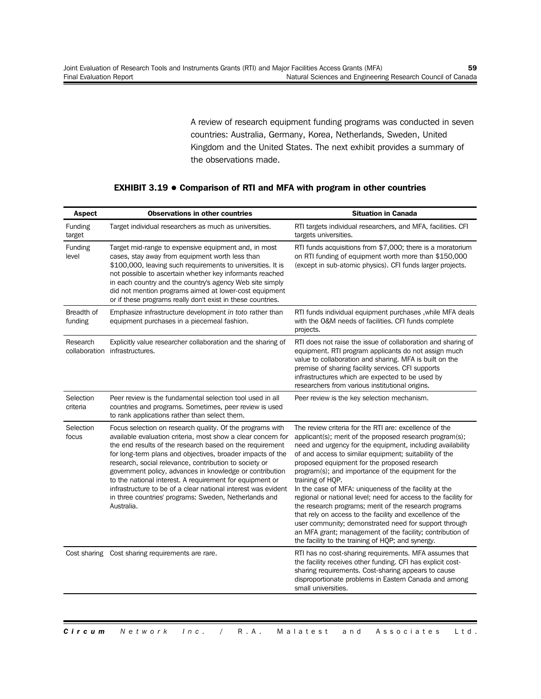A review of research equipment funding programs was conducted in seven countries: Australia, Germany, Korea, Netherlands, Sweden, United Kingdom and the United States. The next exhibit provides a summary of the observations made.

| <b>Aspect</b>             | <b>Observations in other countries</b>                                                                                                                                                                                                                                                                                                                                                                                                                                                                                                                                        | <b>Situation in Canada</b>                                                                                                                                                                                                                                                                                                                                                                                                                                                                                                                                                                                                                                                                                                                                                                         |  |
|---------------------------|-------------------------------------------------------------------------------------------------------------------------------------------------------------------------------------------------------------------------------------------------------------------------------------------------------------------------------------------------------------------------------------------------------------------------------------------------------------------------------------------------------------------------------------------------------------------------------|----------------------------------------------------------------------------------------------------------------------------------------------------------------------------------------------------------------------------------------------------------------------------------------------------------------------------------------------------------------------------------------------------------------------------------------------------------------------------------------------------------------------------------------------------------------------------------------------------------------------------------------------------------------------------------------------------------------------------------------------------------------------------------------------------|--|
| Funding<br>target         | Target individual researchers as much as universities.                                                                                                                                                                                                                                                                                                                                                                                                                                                                                                                        | RTI targets individual researchers, and MFA, facilities. CFI<br>targets universities.                                                                                                                                                                                                                                                                                                                                                                                                                                                                                                                                                                                                                                                                                                              |  |
| Funding<br>level          | Target mid-range to expensive equipment and, in most<br>cases, stay away from equipment worth less than<br>\$100,000, leaving such requirements to universities. It is<br>not possible to ascertain whether key informants reached<br>in each country and the country's agency Web site simply<br>did not mention programs aimed at lower-cost equipment<br>or if these programs really don't exist in these countries.                                                                                                                                                       | RTI funds acquisitions from \$7,000; there is a moratorium<br>on RTI funding of equipment worth more than \$150,000<br>(except in sub-atomic physics). CFI funds larger projects.                                                                                                                                                                                                                                                                                                                                                                                                                                                                                                                                                                                                                  |  |
| Breadth of<br>funding     | Emphasize infrastructure development in toto rather than<br>equipment purchases in a piecemeal fashion.                                                                                                                                                                                                                                                                                                                                                                                                                                                                       | RTI funds individual equipment purchases, while MFA deals<br>with the O&M needs of facilities. CFI funds complete<br>projects.                                                                                                                                                                                                                                                                                                                                                                                                                                                                                                                                                                                                                                                                     |  |
| Research<br>collaboration | Explicitly value researcher collaboration and the sharing of<br>infrastructures.                                                                                                                                                                                                                                                                                                                                                                                                                                                                                              | RTI does not raise the issue of collaboration and sharing of<br>equipment. RTI program applicants do not assign much<br>value to collaboration and sharing. MFA is built on the<br>premise of sharing facility services. CFI supports<br>infrastructures which are expected to be used by<br>researchers from various institutional origins.                                                                                                                                                                                                                                                                                                                                                                                                                                                       |  |
| Selection<br>criteria     | Peer review is the fundamental selection tool used in all<br>countries and programs. Sometimes, peer review is used<br>to rank applications rather than select them.                                                                                                                                                                                                                                                                                                                                                                                                          | Peer review is the key selection mechanism.                                                                                                                                                                                                                                                                                                                                                                                                                                                                                                                                                                                                                                                                                                                                                        |  |
| Selection<br>focus        | Focus selection on research quality. Of the programs with<br>available evaluation criteria, most show a clear concern for<br>the end results of the research based on the requirement<br>for long-term plans and objectives, broader impacts of the<br>research, social relevance, contribution to society or<br>government policy, advances in knowledge or contribution<br>to the national interest. A requirement for equipment or<br>infrastructure to be of a clear national interest was evident<br>in three countries' programs: Sweden, Netherlands and<br>Australia. | The review criteria for the RTI are: excellence of the<br>applicant(s); merit of the proposed research program(s);<br>need and urgency for the equipment, including availability<br>of and access to similar equipment; suitability of the<br>proposed equipment for the proposed research<br>program(s); and importance of the equipment for the<br>training of HQP.<br>In the case of MFA: uniqueness of the facility at the<br>regional or national level; need for access to the facility for<br>the research programs; merit of the research programs<br>that rely on access to the facility and excellence of the<br>user community; demonstrated need for support through<br>an MFA grant; management of the facility; contribution of<br>the facility to the training of HQP; and synergy. |  |
| Cost sharing              | Cost sharing requirements are rare.                                                                                                                                                                                                                                                                                                                                                                                                                                                                                                                                           | RTI has no cost-sharing requirements. MFA assumes that<br>the facility receives other funding. CFI has explicit cost-<br>sharing requirements. Cost-sharing appears to cause<br>disproportionate problems in Eastern Canada and among<br>small universities.                                                                                                                                                                                                                                                                                                                                                                                                                                                                                                                                       |  |

## **EXHIBIT 3.19 ! Comparison of RTI and MFA with program in other countries**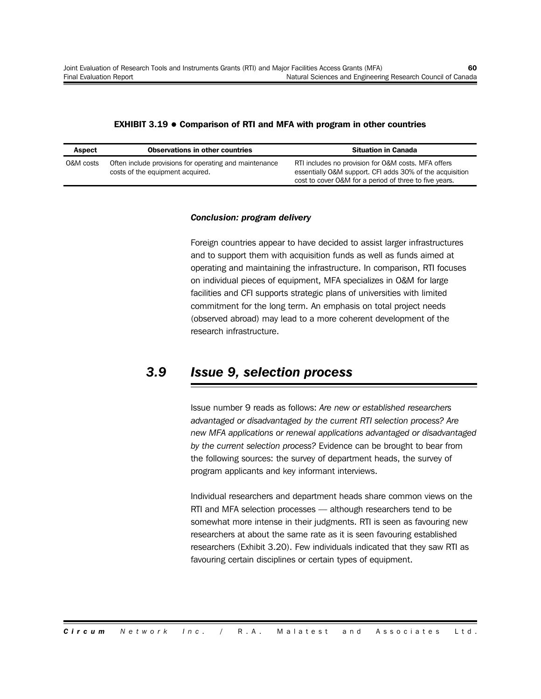#### **EXHIBIT 3.19 ! Comparison of RTI and MFA with program in other countries**

| Aspect    | Observations in other countries                                                            | <b>Situation in Canada</b>                                                                                                                                                |  |
|-----------|--------------------------------------------------------------------------------------------|---------------------------------------------------------------------------------------------------------------------------------------------------------------------------|--|
| 0&M costs | Often include provisions for operating and maintenance<br>costs of the equipment acquired. | RTI includes no provision for O&M costs. MFA offers<br>essentially O&M support. CFI adds 30% of the acquisition<br>cost to cover O&M for a period of three to five years. |  |

## *Conclusion: program delivery*

Foreign countries appear to have decided to assist larger infrastructures and to support them with acquisition funds as well as funds aimed at operating and maintaining the infrastructure. In comparison, RTI focuses on individual pieces of equipment, MFA specializes in O&M for large facilities and CFI supports strategic plans of universities with limited commitment for the long term. An emphasis on total project needs (observed abroad) may lead to a more coherent development of the research infrastructure.

## *3.9 Issue 9, selection process*

Issue number 9 reads as follows: *Are new or established researchers advantaged or disadvantaged by the current RTI selection process? Are new MFA applications or renewal applications advantaged or disadvantaged by the current selection process?* Evidence can be brought to bear from the following sources: the survey of department heads, the survey of program applicants and key informant interviews.

Individual researchers and department heads share common views on the RTI and MFA selection processes — although researchers tend to be somewhat more intense in their judgments. RTI is seen as favouring new researchers at about the same rate as it is seen favouring established researchers (Exhibit 3.20). Few individuals indicated that they saw RTI as favouring certain disciplines or certain types of equipment.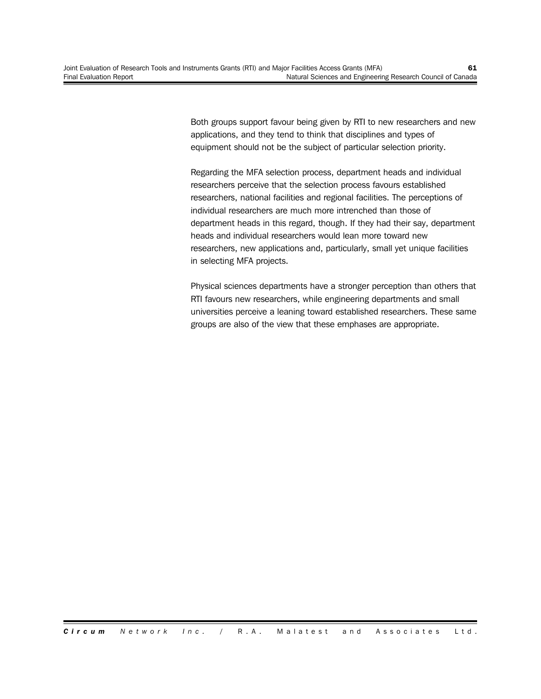Both groups support favour being given by RTI to new researchers and new applications, and they tend to think that disciplines and types of equipment should not be the subject of particular selection priority.

Regarding the MFA selection process, department heads and individual researchers perceive that the selection process favours established researchers, national facilities and regional facilities. The perceptions of individual researchers are much more intrenched than those of department heads in this regard, though. If they had their say, department heads and individual researchers would lean more toward new researchers, new applications and, particularly, small yet unique facilities in selecting MFA projects.

Physical sciences departments have a stronger perception than others that RTI favours new researchers, while engineering departments and small universities perceive a leaning toward established researchers. These same groups are also of the view that these emphases are appropriate.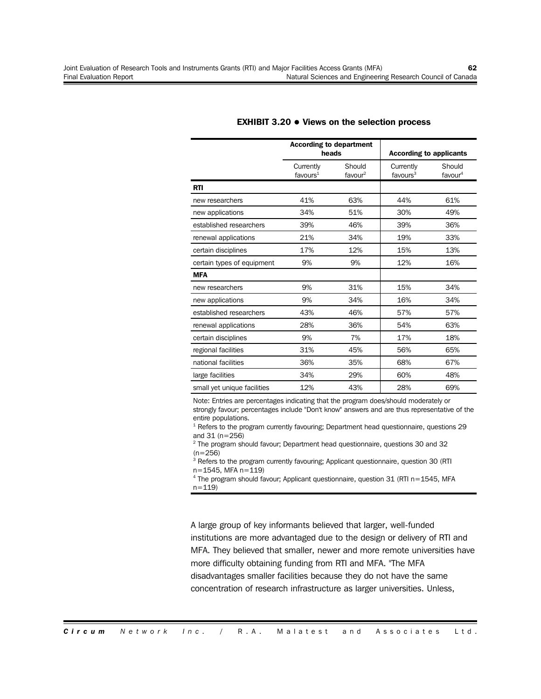|                             | <b>According to department</b><br>heads |                       | <b>According to applicants</b>    |                               |
|-----------------------------|-----------------------------------------|-----------------------|-----------------------------------|-------------------------------|
|                             | Currently<br>favours $1$                | Should<br>favour $^2$ | Currently<br>favours <sup>3</sup> | Should<br>favour <sup>4</sup> |
| RTI                         |                                         |                       |                                   |                               |
| new researchers             | 41%                                     | 63%                   | 44%                               | 61%                           |
| new applications            | 34%                                     | 51%                   | 30%                               | 49%                           |
| established researchers     | 39%                                     | 46%                   | 39%                               | 36%                           |
| renewal applications        | 21%                                     | 34%                   | 19%                               | 33%                           |
| certain disciplines         | 17%                                     | 12%                   | 15%                               | 13%                           |
| certain types of equipment  | 9%                                      | 9%                    | 12%                               | 16%                           |
| <b>MFA</b>                  |                                         |                       |                                   |                               |
| new researchers             | 9%                                      | 31%                   | 15%                               | 34%                           |
| new applications            | 9%                                      | 34%                   | 16%                               | 34%                           |
| established researchers     | 43%                                     | 46%                   | 57%                               | 57%                           |
| renewal applications        | 28%                                     | 36%                   | 54%                               | 63%                           |
| certain disciplines         | 9%                                      | 7%                    | 17%                               | 18%                           |
| regional facilities         | 31%                                     | 45%                   | 56%                               | 65%                           |
| national facilities         | 36%                                     | 35%                   | 68%                               | 67%                           |
| large facilities            | 34%                                     | 29%                   | 60%                               | 48%                           |
| small yet unique facilities | 12%                                     | 43%                   | 28%                               | 69%                           |

## **EXHIBIT 3.20 ! Views on the selection process**

Note: Entries are percentages indicating that the program does/should moderately or strongly favour; percentages include "Don't know" answers and are thus representative of the entire populations.

 $1$  Refers to the program currently favouring; Department head questionnaire, questions 29 and 31 (n=256)

 $2$  The program should favour; Department head questionnaire, questions 30 and 32  $(n=256)$ 

<sup>3</sup> Refers to the program currently favouring; Applicant questionnaire, question 30 (RTI n=1545, MFA n=119)

<sup>4</sup> The program should favour; Applicant questionnaire, question 31 (RTI n=1545, MFA  $n=119$ 

A large group of key informants believed that larger, well-funded institutions are more advantaged due to the design or delivery of RTI and MFA. They believed that smaller, newer and more remote universities have more difficulty obtaining funding from RTI and MFA. "The MFA disadvantages smaller facilities because they do not have the same concentration of research infrastructure as larger universities. Unless,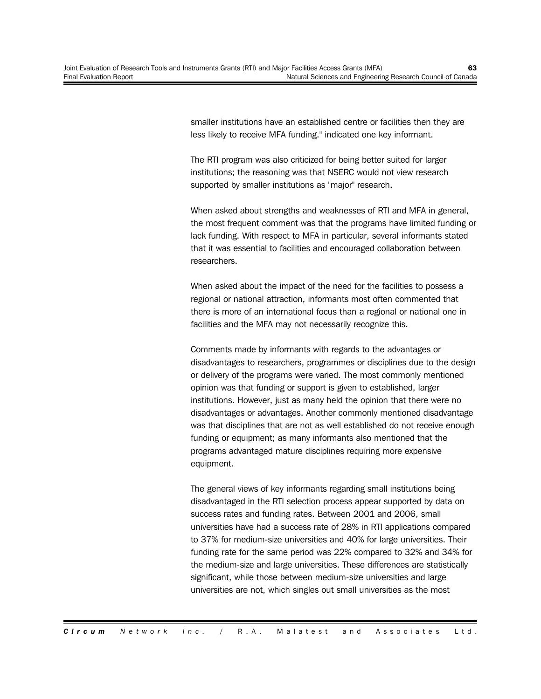smaller institutions have an established centre or facilities then they are less likely to receive MFA funding." indicated one key informant.

The RTI program was also criticized for being better suited for larger institutions; the reasoning was that NSERC would not view research supported by smaller institutions as "major" research.

When asked about strengths and weaknesses of RTI and MFA in general, the most frequent comment was that the programs have limited funding or lack funding. With respect to MFA in particular, several informants stated that it was essential to facilities and encouraged collaboration between researchers.

When asked about the impact of the need for the facilities to possess a regional or national attraction, informants most often commented that there is more of an international focus than a regional or national one in facilities and the MFA may not necessarily recognize this.

Comments made by informants with regards to the advantages or disadvantages to researchers, programmes or disciplines due to the design or delivery of the programs were varied. The most commonly mentioned opinion was that funding or support is given to established, larger institutions. However, just as many held the opinion that there were no disadvantages or advantages. Another commonly mentioned disadvantage was that disciplines that are not as well established do not receive enough funding or equipment; as many informants also mentioned that the programs advantaged mature disciplines requiring more expensive equipment.

The general views of key informants regarding small institutions being disadvantaged in the RTI selection process appear supported by data on success rates and funding rates. Between 2001 and 2006, small universities have had a success rate of 28% in RTI applications compared to 37% for medium-size universities and 40% for large universities. Their funding rate for the same period was 22% compared to 32% and 34% for the medium-size and large universities. These differences are statistically significant, while those between medium-size universities and large universities are not, which singles out small universities as the most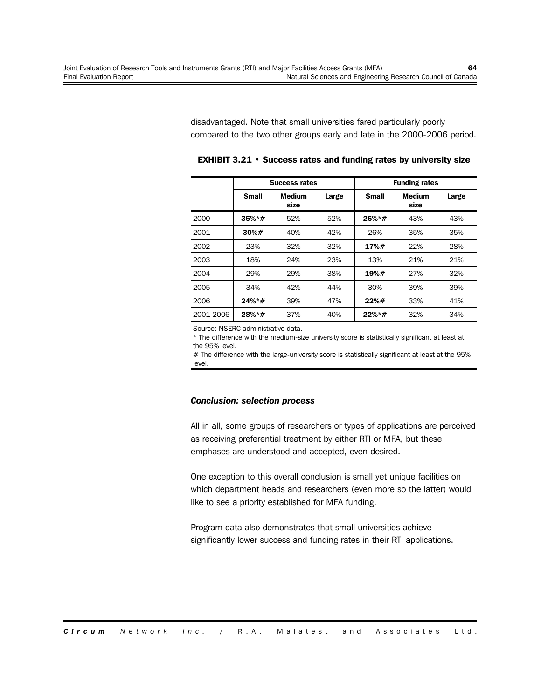disadvantaged. Note that small universities fared particularly poorly compared to the two other groups early and late in the 2000-2006 period.

**Success rates Funding rates Small Medium size Large Small Medium size Large** 2000 **35%\*#** 52% 52% **26%\*#** 43% 43% 2001 **30%#** 40% 42% 26% 35% 35% 2002 23% 32% 32% **17%#** 22% 28% 2003 18% 24% 23% 13% 21% 21% 2004 29% 29% 38% **19%#** 27% 32% 2005 34% 42% 44% 30% 39% 39% 2006 **24%\*#** 39% 47% **22%#** 33% 41% 2001-2006 **28%\*#** 37% 40% **22%\*#** 32% 34%

**EXHIBIT 3.21 • Success rates and funding rates by university size**

Source: NSERC administrative data.

\* The difference with the medium-size university score is statistically significant at least at the 95% level.

# The difference with the large-university score is statistically significant at least at the 95% level.

#### *Conclusion: selection process*

All in all, some groups of researchers or types of applications are perceived as receiving preferential treatment by either RTI or MFA, but these emphases are understood and accepted, even desired.

One exception to this overall conclusion is small yet unique facilities on which department heads and researchers (even more so the latter) would like to see a priority established for MFA funding.

Program data also demonstrates that small universities achieve significantly lower success and funding rates in their RTI applications.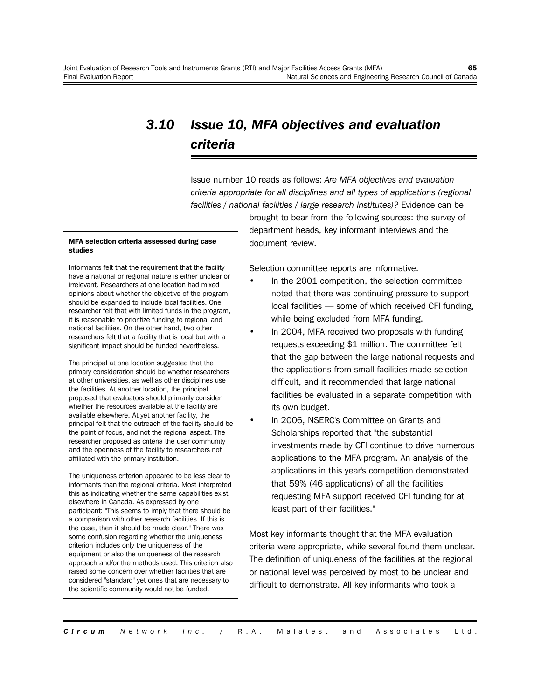## *3.10 Issue 10, MFA objectives and evaluation criteria*

Issue number 10 reads as follows: *Are MFA objectives and evaluation criteria appropriate for all disciplines and all types of applications (regional facilities / national facilities / large research institutes)?* Evidence can be

> brought to bear from the following sources: the survey of department heads, key informant interviews and the document review.

#### **MFA selection criteria assessed during case studies**

Informants felt that the requirement that the facility have a national or regional nature is either unclear or irrelevant. Researchers at one location had mixed opinions about whether the objective of the program should be expanded to include local facilities. One researcher felt that with limited funds in the program, it is reasonable to prioritize funding to regional and national facilities. On the other hand, two other researchers felt that a facility that is local but with a significant impact should be funded nevertheless.

The principal at one location suggested that the primary consideration should be whether researchers at other universities, as well as other disciplines use the facilities. At another location, the principal proposed that evaluators should primarily consider whether the resources available at the facility are available elsewhere. At yet another facility, the principal felt that the outreach of the facility should be the point of focus, and not the regional aspect. The researcher proposed as criteria the user community and the openness of the facility to researchers not affiliated with the primary institution.

The uniqueness criterion appeared to be less clear to informants than the regional criteria. Most interpreted this as indicating whether the same capabilities exist elsewhere in Canada. As expressed by one participant: "This seems to imply that there should be a comparison with other research facilities. If this is the case, then it should be made clear." There was some confusion regarding whether the uniqueness criterion includes only the uniqueness of the equipment or also the uniqueness of the research approach and/or the methods used. This criterion also raised some concern over whether facilities that are considered "standard" yet ones that are necessary to the scientific community would not be funded.

Selection committee reports are informative.

- In the 2001 competition, the selection committee noted that there was continuing pressure to support local facilities — some of which received CFI funding, while being excluded from MFA funding.
- In 2004, MFA received two proposals with funding requests exceeding \$1 million. The committee felt that the gap between the large national requests and the applications from small facilities made selection difficult, and it recommended that large national facilities be evaluated in a separate competition with its own budget.
- In 2006, NSERC's Committee on Grants and Scholarships reported that "the substantial investments made by CFI continue to drive numerous applications to the MFA program. An analysis of the applications in this year's competition demonstrated that 59% (46 applications) of all the facilities requesting MFA support received CFI funding for at least part of their facilities."

Most key informants thought that the MFA evaluation criteria were appropriate, while several found them unclear. The definition of uniqueness of the facilities at the regional or national level was perceived by most to be unclear and difficult to demonstrate. All key informants who took a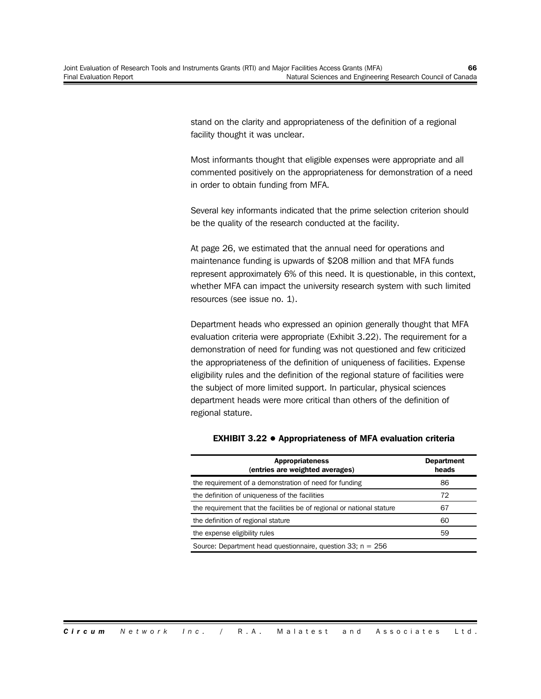stand on the clarity and appropriateness of the definition of a regional facility thought it was unclear.

Most informants thought that eligible expenses were appropriate and all commented positively on the appropriateness for demonstration of a need in order to obtain funding from MFA.

Several key informants indicated that the prime selection criterion should be the quality of the research conducted at the facility.

At page 26, we estimated that the annual need for operations and maintenance funding is upwards of \$208 million and that MFA funds represent approximately 6% of this need. It is questionable, in this context, whether MFA can impact the university research system with such limited resources (see issue no. 1).

Department heads who expressed an opinion generally thought that MFA evaluation criteria were appropriate (Exhibit 3.22). The requirement for a demonstration of need for funding was not questioned and few criticized the appropriateness of the definition of uniqueness of facilities. Expense eligibility rules and the definition of the regional stature of facilities were the subject of more limited support. In particular, physical sciences department heads were more critical than others of the definition of regional stature.

| <b>Appropriateness</b><br>(entries are weighted averages)              | <b>Department</b><br>heads |
|------------------------------------------------------------------------|----------------------------|
| the requirement of a demonstration of need for funding                 | 86                         |
| the definition of uniqueness of the facilities                         | 72                         |
| the requirement that the facilities be of regional or national stature | 67                         |
| the definition of regional stature                                     | 60                         |
| the expense eligibility rules                                          | 59                         |
| Source: Department head questionnaire, question 33; $n = 256$          |                            |

#### **EXHIBIT 3.22 ! Appropriateness of MFA evaluation criteria**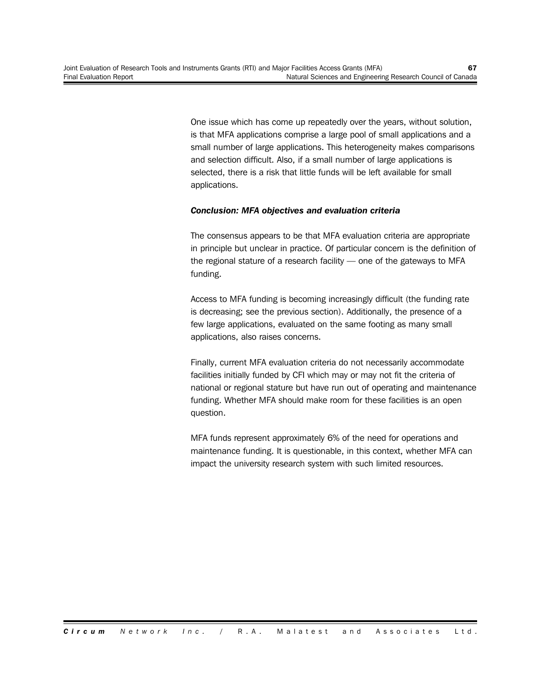One issue which has come up repeatedly over the years, without solution, is that MFA applications comprise a large pool of small applications and a small number of large applications. This heterogeneity makes comparisons and selection difficult. Also, if a small number of large applications is selected, there is a risk that little funds will be left available for small applications.

## *Conclusion: MFA objectives and evaluation criteria*

The consensus appears to be that MFA evaluation criteria are appropriate in principle but unclear in practice. Of particular concern is the definition of the regional stature of a research facility — one of the gateways to MFA funding.

Access to MFA funding is becoming increasingly difficult (the funding rate is decreasing; see the previous section). Additionally, the presence of a few large applications, evaluated on the same footing as many small applications, also raises concerns.

Finally, current MFA evaluation criteria do not necessarily accommodate facilities initially funded by CFI which may or may not fit the criteria of national or regional stature but have run out of operating and maintenance funding. Whether MFA should make room for these facilities is an open question.

MFA funds represent approximately 6% of the need for operations and maintenance funding. It is questionable, in this context, whether MFA can impact the university research system with such limited resources.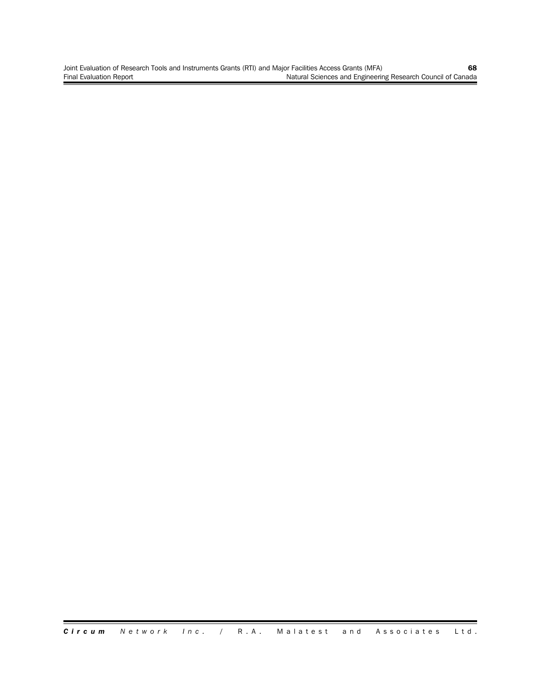Joint Evaluation of Research Tools and Instruments Grants (RTI) and Major Facilities Access Grants (MFA) **68** Final Evaluation of Research Tours and Insuminents shares (111) and major Founder Council of Canada Natural Sciences and Engineering Research Council of Canada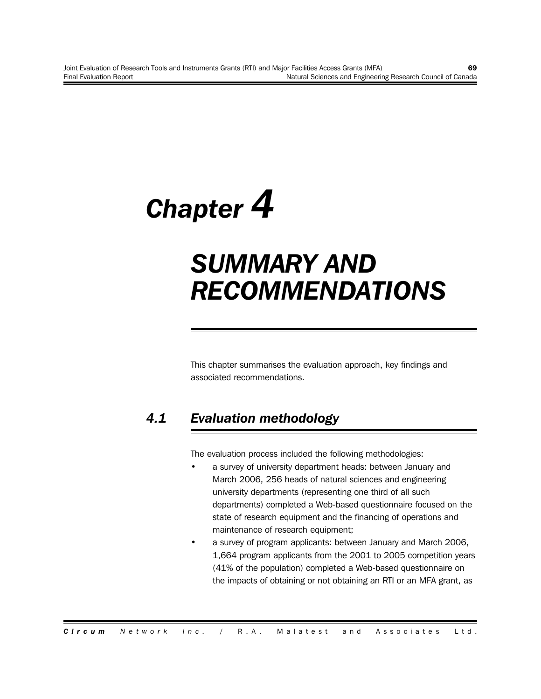# *Chapter 4*

## *SUMMARY AND RECOMMENDATIONS*

This chapter summarises the evaluation approach, key findings and associated recommendations.

## *4.1 Evaluation methodology*

The evaluation process included the following methodologies:

- a survey of university department heads: between January and March 2006, 256 heads of natural sciences and engineering university departments (representing one third of all such departments) completed a Web-based questionnaire focused on the state of research equipment and the financing of operations and maintenance of research equipment;
- a survey of program applicants: between January and March 2006, 1,664 program applicants from the 2001 to 2005 competition years (41% of the population) completed a Web-based questionnaire on the impacts of obtaining or not obtaining an RTI or an MFA grant, as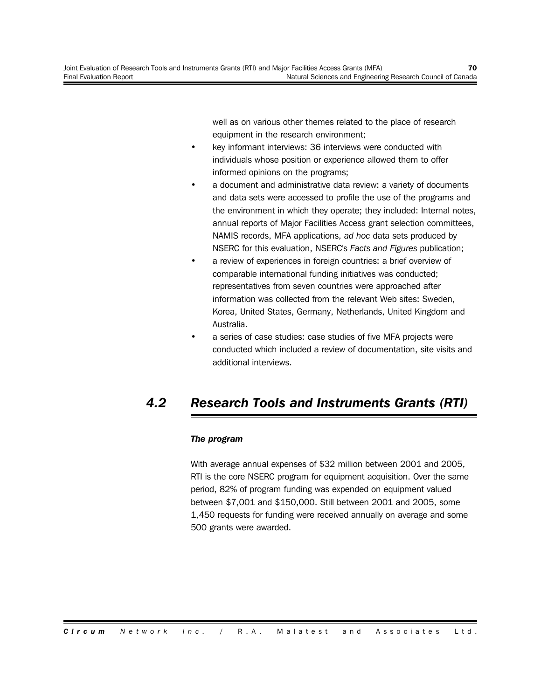well as on various other themes related to the place of research equipment in the research environment;

- key informant interviews: 36 interviews were conducted with individuals whose position or experience allowed them to offer informed opinions on the programs;
- a document and administrative data review: a variety of documents and data sets were accessed to profile the use of the programs and the environment in which they operate; they included: Internal notes, annual reports of Major Facilities Access grant selection committees, NAMIS records, MFA applications, *ad hoc* data sets produced by NSERC for this evaluation, NSERC's *Facts and Figures* publication;
- a review of experiences in foreign countries: a brief overview of comparable international funding initiatives was conducted; representatives from seven countries were approached after information was collected from the relevant Web sites: Sweden, Korea, United States, Germany, Netherlands, United Kingdom and Australia.
- a series of case studies: case studies of five MFA projects were conducted which included a review of documentation, site visits and additional interviews.

## *4.2 Research Tools and Instruments Grants (RTI)*

## *The program*

With average annual expenses of \$32 million between 2001 and 2005, RTI is the core NSERC program for equipment acquisition. Over the same period, 82% of program funding was expended on equipment valued between \$7,001 and \$150,000. Still between 2001 and 2005, some 1,450 requests for funding were received annually on average and some 500 grants were awarded.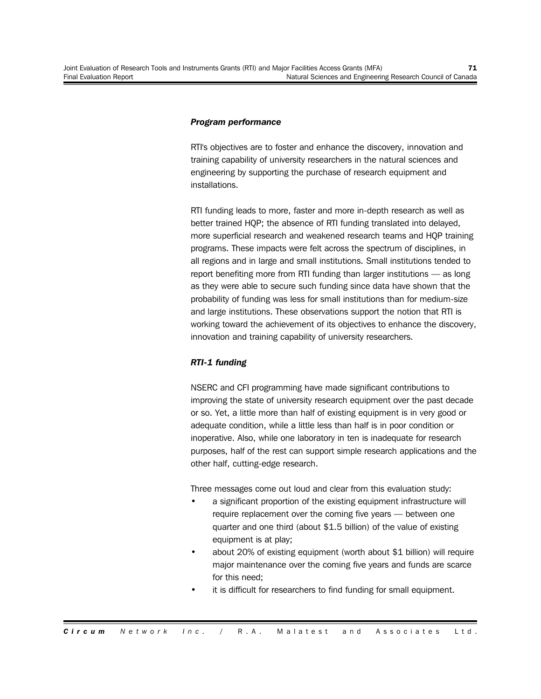## *Program performance*

RTI's objectives are to foster and enhance the discovery, innovation and training capability of university researchers in the natural sciences and engineering by supporting the purchase of research equipment and installations.

RTI funding leads to more, faster and more in-depth research as well as better trained HQP; the absence of RTI funding translated into delayed, more superficial research and weakened research teams and HQP training programs. These impacts were felt across the spectrum of disciplines, in all regions and in large and small institutions. Small institutions tended to report benefiting more from RTI funding than larger institutions — as long as they were able to secure such funding since data have shown that the probability of funding was less for small institutions than for medium-size and large institutions. These observations support the notion that RTI is working toward the achievement of its objectives to enhance the discovery, innovation and training capability of university researchers.

### *RTI-1 funding*

NSERC and CFI programming have made significant contributions to improving the state of university research equipment over the past decade or so. Yet, a little more than half of existing equipment is in very good or adequate condition, while a little less than half is in poor condition or inoperative. Also, while one laboratory in ten is inadequate for research purposes, half of the rest can support simple research applications and the other half, cutting-edge research.

Three messages come out loud and clear from this evaluation study:

- a significant proportion of the existing equipment infrastructure will require replacement over the coming five years — between one quarter and one third (about \$1.5 billion) of the value of existing equipment is at play;
- about 20% of existing equipment (worth about \$1 billion) will require major maintenance over the coming five years and funds are scarce for this need;
- it is difficult for researchers to find funding for small equipment.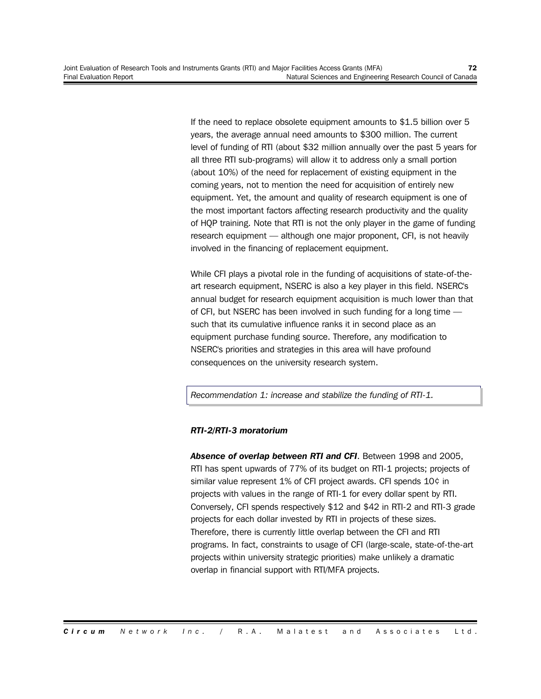If the need to replace obsolete equipment amounts to \$1.5 billion over 5 years, the average annual need amounts to \$300 million. The current level of funding of RTI (about \$32 million annually over the past 5 years for all three RTI sub-programs) will allow it to address only a small portion (about 10%) of the need for replacement of existing equipment in the coming years, not to mention the need for acquisition of entirely new equipment. Yet, the amount and quality of research equipment is one of the most important factors affecting research productivity and the quality of HQP training. Note that RTI is not the only player in the game of funding research equipment — although one major proponent, CFI, is not heavily involved in the financing of replacement equipment.

While CFI plays a pivotal role in the funding of acquisitions of state-of-theart research equipment, NSERC is also a key player in this field. NSERC's annual budget for research equipment acquisition is much lower than that of CFI, but NSERC has been involved in such funding for a long time such that its cumulative influence ranks it in second place as an equipment purchase funding source. Therefore, any modification to NSERC's priorities and strategies in this area will have profound consequences on the university research system.

*Recommendation 1: increase and stabilize the funding of RTI-1.*

## *RTI-2/RTI-3 moratorium*

*Absence of overlap between RTI and CFI*. Between 1998 and 2005, RTI has spent upwards of 77% of its budget on RTI-1 projects; projects of similar value represent 1% of CFI project awards. CFI spends 10¢ in projects with values in the range of RTI-1 for every dollar spent by RTI. Conversely, CFI spends respectively \$12 and \$42 in RTI-2 and RTI-3 grade projects for each dollar invested by RTI in projects of these sizes. Therefore, there is currently little overlap between the CFI and RTI programs. In fact, constraints to usage of CFI (large-scale, state-of-the-art projects within university strategic priorities) make unlikely a dramatic overlap in financial support with RTI/MFA projects.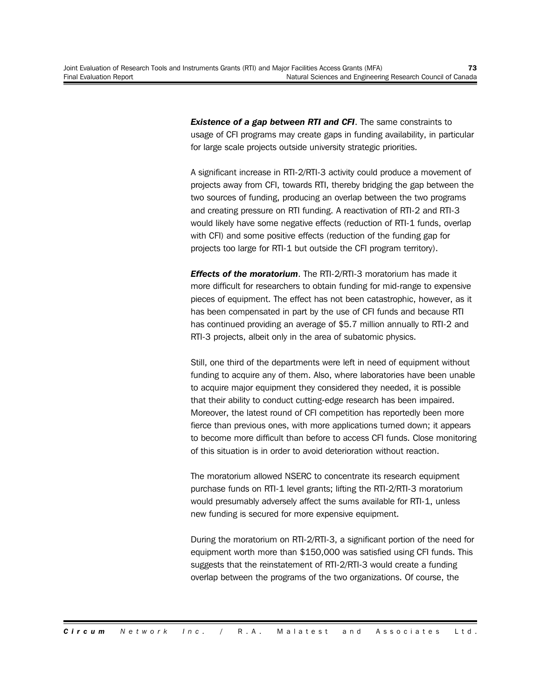*Existence of a gap between RTI and CFI*. The same constraints to usage of CFI programs may create gaps in funding availability, in particular for large scale projects outside university strategic priorities.

A significant increase in RTI-2/RTI-3 activity could produce a movement of projects away from CFI, towards RTI, thereby bridging the gap between the two sources of funding, producing an overlap between the two programs and creating pressure on RTI funding. A reactivation of RTI-2 and RTI-3 would likely have some negative effects (reduction of RTI-1 funds, overlap with CFI) and some positive effects (reduction of the funding gap for projects too large for RTI-1 but outside the CFI program territory).

*Effects of the moratorium*. The RTI-2/RTI-3 moratorium has made it more difficult for researchers to obtain funding for mid-range to expensive pieces of equipment. The effect has not been catastrophic, however, as it has been compensated in part by the use of CFI funds and because RTI has continued providing an average of \$5.7 million annually to RTI-2 and RTI-3 projects, albeit only in the area of subatomic physics.

Still, one third of the departments were left in need of equipment without funding to acquire any of them. Also, where laboratories have been unable to acquire major equipment they considered they needed, it is possible that their ability to conduct cutting-edge research has been impaired. Moreover, the latest round of CFI competition has reportedly been more fierce than previous ones, with more applications turned down; it appears to become more difficult than before to access CFI funds. Close monitoring of this situation is in order to avoid deterioration without reaction.

The moratorium allowed NSERC to concentrate its research equipment purchase funds on RTI-1 level grants; lifting the RTI-2/RTI-3 moratorium would presumably adversely affect the sums available for RTI-1, unless new funding is secured for more expensive equipment.

During the moratorium on RTI-2/RTI-3, a significant portion of the need for equipment worth more than \$150,000 was satisfied using CFI funds. This suggests that the reinstatement of RTI-2/RTI-3 would create a funding overlap between the programs of the two organizations. Of course, the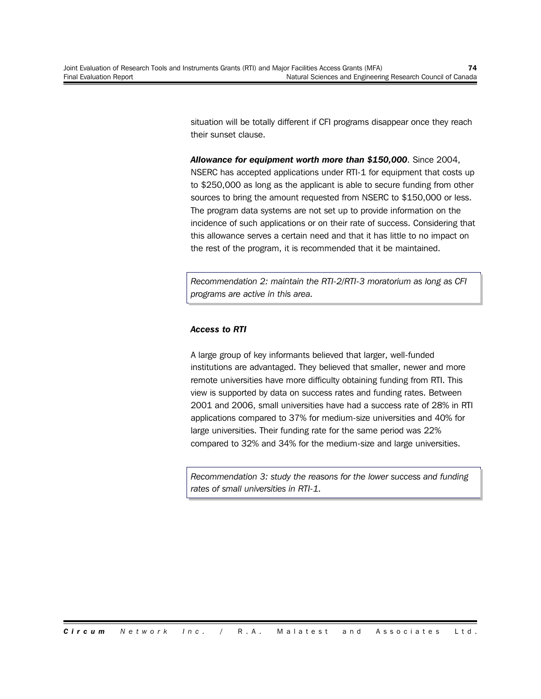situation will be totally different if CFI programs disappear once they reach their sunset clause.

*Allowance for equipment worth more than \$150,000*. Since 2004, NSERC has accepted applications under RTI-1 for equipment that costs up to \$250,000 as long as the applicant is able to secure funding from other sources to bring the amount requested from NSERC to \$150,000 or less. The program data systems are not set up to provide information on the incidence of such applications or on their rate of success. Considering that this allowance serves a certain need and that it has little to no impact on the rest of the program, it is recommended that it be maintained.

*Recommendation 2: maintain the RTI-2/RTI-3 moratorium as long as CFI programs are active in this area.*

## *Access to RTI*

A large group of key informants believed that larger, well-funded institutions are advantaged. They believed that smaller, newer and more remote universities have more difficulty obtaining funding from RTI. This view is supported by data on success rates and funding rates. Between 2001 and 2006, small universities have had a success rate of 28% in RTI applications compared to 37% for medium-size universities and 40% for large universities. Their funding rate for the same period was 22% compared to 32% and 34% for the medium-size and large universities.

*Recommendation 3: study the reasons for the lower success and funding rates of small universities in RTI-1.*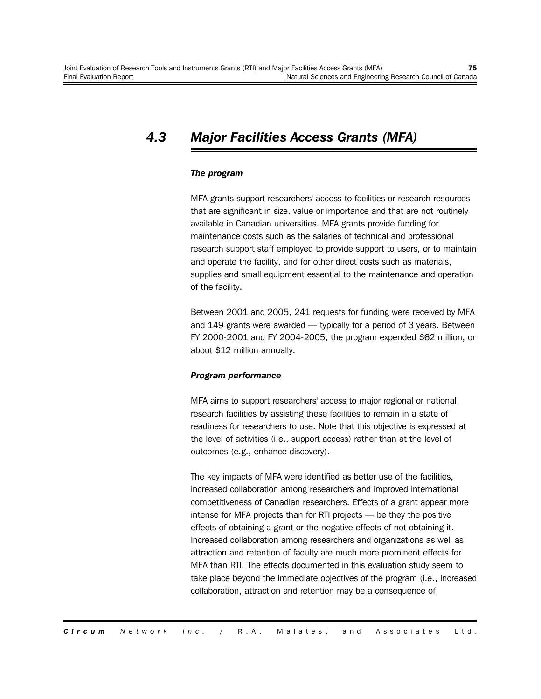## *4.3 Major Facilities Access Grants (MFA)*

## *The program*

MFA grants support researchers' access to facilities or research resources that are significant in size, value or importance and that are not routinely available in Canadian universities. MFA grants provide funding for maintenance costs such as the salaries of technical and professional research support staff employed to provide support to users, or to maintain and operate the facility, and for other direct costs such as materials, supplies and small equipment essential to the maintenance and operation of the facility.

Between 2001 and 2005, 241 requests for funding were received by MFA and 149 grants were awarded — typically for a period of 3 years. Between FY 2000-2001 and FY 2004-2005, the program expended \$62 million, or about \$12 million annually.

## *Program performance*

MFA aims to support researchers' access to major regional or national research facilities by assisting these facilities to remain in a state of readiness for researchers to use. Note that this objective is expressed at the level of activities (i.e., support access) rather than at the level of outcomes (e.g., enhance discovery).

The key impacts of MFA were identified as better use of the facilities, increased collaboration among researchers and improved international competitiveness of Canadian researchers. Effects of a grant appear more intense for MFA projects than for RTI projects — be they the positive effects of obtaining a grant or the negative effects of not obtaining it. Increased collaboration among researchers and organizations as well as attraction and retention of faculty are much more prominent effects for MFA than RTI. The effects documented in this evaluation study seem to take place beyond the immediate objectives of the program (i.e., increased collaboration, attraction and retention may be a consequence of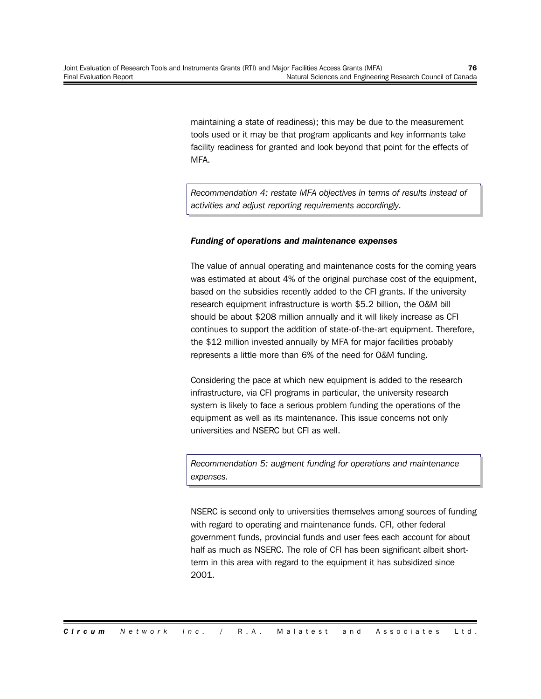maintaining a state of readiness); this may be due to the measurement tools used or it may be that program applicants and key informants take facility readiness for granted and look beyond that point for the effects of MFA.

*Recommendation 4: restate MFA objectives in terms of results instead of activities and adjust reporting requirements accordingly.*

## *Funding of operations and maintenance expenses*

The value of annual operating and maintenance costs for the coming years was estimated at about 4% of the original purchase cost of the equipment, based on the subsidies recently added to the CFI grants. If the university research equipment infrastructure is worth \$5.2 billion, the O&M bill should be about \$208 million annually and it will likely increase as CFI continues to support the addition of state-of-the-art equipment. Therefore, the \$12 million invested annually by MFA for major facilities probably represents a little more than 6% of the need for O&M funding.

Considering the pace at which new equipment is added to the research infrastructure, via CFI programs in particular, the university research system is likely to face a serious problem funding the operations of the equipment as well as its maintenance. This issue concerns not only universities and NSERC but CFI as well.

*Recommendation 5: augment funding for operations and maintenance expenses.*

NSERC is second only to universities themselves among sources of funding with regard to operating and maintenance funds. CFI, other federal government funds, provincial funds and user fees each account for about half as much as NSERC. The role of CFI has been significant albeit shortterm in this area with regard to the equipment it has subsidized since 2001.